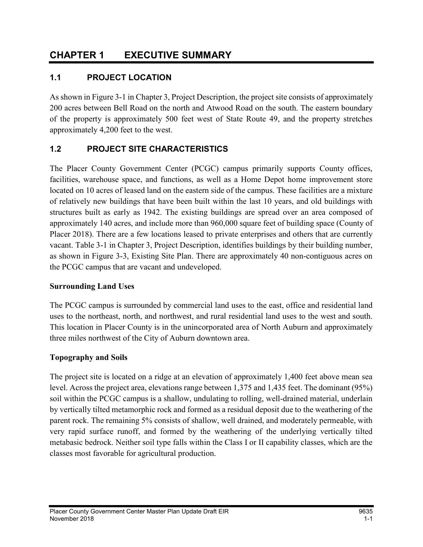# 1.1 PROJECT LOCATION

As shown in Figure 3-1 in Chapter 3, Project Description, the project site consists of approximately 200 acres between Bell Road on the north and Atwood Road on the south. The eastern boundary of the property is approximately 500 feet west of State Route 49, and the property stretches approximately 4,200 feet to the west.

## 1.2 PROJECT SITE CHARACTERISTICS

The Placer County Government Center (PCGC) campus primarily supports County offices, facilities, warehouse space, and functions, as well as a Home Depot home improvement store located on 10 acres of leased land on the eastern side of the campus. These facilities are a mixture of relatively new buildings that have been built within the last 10 years, and old buildings with structures built as early as 1942. The existing buildings are spread over an area composed of approximately 140 acres, and include more than 960,000 square feet of building space (County of Placer 2018). There are a few locations leased to private enterprises and others that are currently vacant. Table 3-1 in Chapter 3, Project Description, identifies buildings by their building number, as shown in Figure 3-3, Existing Site Plan. There are approximately 40 non-contiguous acres on the PCGC campus that are vacant and undeveloped.

#### Surrounding Land Uses

The PCGC campus is surrounded by commercial land uses to the east, office and residential land uses to the northeast, north, and northwest, and rural residential land uses to the west and south. This location in Placer County is in the unincorporated area of North Auburn and approximately three miles northwest of the City of Auburn downtown area.

## Topography and Soils

The project site is located on a ridge at an elevation of approximately 1,400 feet above mean sea level. Across the project area, elevations range between 1,375 and 1,435 feet. The dominant (95%) soil within the PCGC campus is a shallow, undulating to rolling, well-drained material, underlain by vertically tilted metamorphic rock and formed as a residual deposit due to the weathering of the parent rock. The remaining 5% consists of shallow, well drained, and moderately permeable, with very rapid surface runoff, and formed by the weathering of the underlying vertically tilted metabasic bedrock. Neither soil type falls within the Class I or II capability classes, which are the classes most favorable for agricultural production.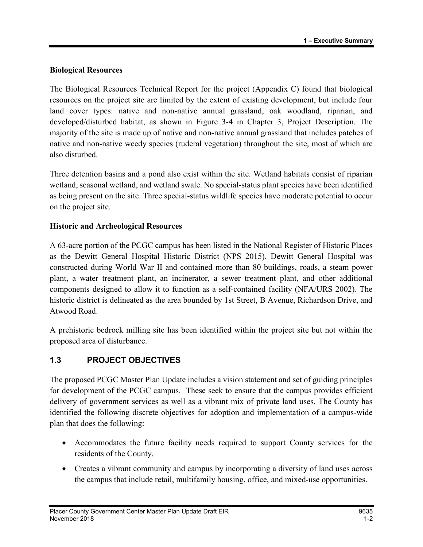#### Biological Resources

The Biological Resources Technical Report for the project (Appendix C) found that biological resources on the project site are limited by the extent of existing development, but include four land cover types: native and non-native annual grassland, oak woodland, riparian, and developed/disturbed habitat, as shown in Figure 3-4 in Chapter 3, Project Description. The majority of the site is made up of native and non-native annual grassland that includes patches of native and non-native weedy species (ruderal vegetation) throughout the site, most of which are also disturbed.

Three detention basins and a pond also exist within the site. Wetland habitats consist of riparian wetland, seasonal wetland, and wetland swale. No special-status plant species have been identified as being present on the site. Three special-status wildlife species have moderate potential to occur on the project site.

#### Historic and Archeological Resources

A 63-acre portion of the PCGC campus has been listed in the National Register of Historic Places as the Dewitt General Hospital Historic District (NPS 2015). Dewitt General Hospital was constructed during World War II and contained more than 80 buildings, roads, a steam power plant, a water treatment plant, an incinerator, a sewer treatment plant, and other additional components designed to allow it to function as a self-contained facility (NFA/URS 2002). The historic district is delineated as the area bounded by 1st Street, B Avenue, Richardson Drive, and Atwood Road.

A prehistoric bedrock milling site has been identified within the project site but not within the proposed area of disturbance.

## 1.3 PROJECT OBJECTIVES

The proposed PCGC Master Plan Update includes a vision statement and set of guiding principles for development of the PCGC campus. These seek to ensure that the campus provides efficient delivery of government services as well as a vibrant mix of private land uses. The County has identified the following discrete objectives for adoption and implementation of a campus-wide plan that does the following:

- Accommodates the future facility needs required to support County services for the residents of the County.
- Creates a vibrant community and campus by incorporating a diversity of land uses across the campus that include retail, multifamily housing, office, and mixed-use opportunities.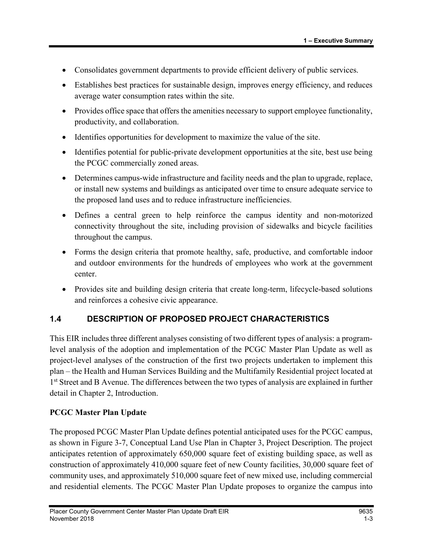- Consolidates government departments to provide efficient delivery of public services.
- Establishes best practices for sustainable design, improves energy efficiency, and reduces average water consumption rates within the site.
- Provides office space that offers the amenities necessary to support employee functionality, productivity, and collaboration.
- Identifies opportunities for development to maximize the value of the site.
- Identifies potential for public-private development opportunities at the site, best use being the PCGC commercially zoned areas.
- Determines campus-wide infrastructure and facility needs and the plan to upgrade, replace, or install new systems and buildings as anticipated over time to ensure adequate service to the proposed land uses and to reduce infrastructure inefficiencies.
- Defines a central green to help reinforce the campus identity and non-motorized connectivity throughout the site, including provision of sidewalks and bicycle facilities throughout the campus.
- Forms the design criteria that promote healthy, safe, productive, and comfortable indoor and outdoor environments for the hundreds of employees who work at the government center.
- Provides site and building design criteria that create long-term, lifecycle-based solutions and reinforces a cohesive civic appearance.

## 1.4 DESCRIPTION OF PROPOSED PROJECT CHARACTERISTICS

This EIR includes three different analyses consisting of two different types of analysis: a programlevel analysis of the adoption and implementation of the PCGC Master Plan Update as well as project-level analyses of the construction of the first two projects undertaken to implement this plan – the Health and Human Services Building and the Multifamily Residential project located at 1<sup>st</sup> Street and B Avenue. The differences between the two types of analysis are explained in further detail in Chapter 2, Introduction.

#### PCGC Master Plan Update

The proposed PCGC Master Plan Update defines potential anticipated uses for the PCGC campus, as shown in Figure 3-7, Conceptual Land Use Plan in Chapter 3, Project Description. The project anticipates retention of approximately 650,000 square feet of existing building space, as well as construction of approximately 410,000 square feet of new County facilities, 30,000 square feet of community uses, and approximately 510,000 square feet of new mixed use, including commercial and residential elements. The PCGC Master Plan Update proposes to organize the campus into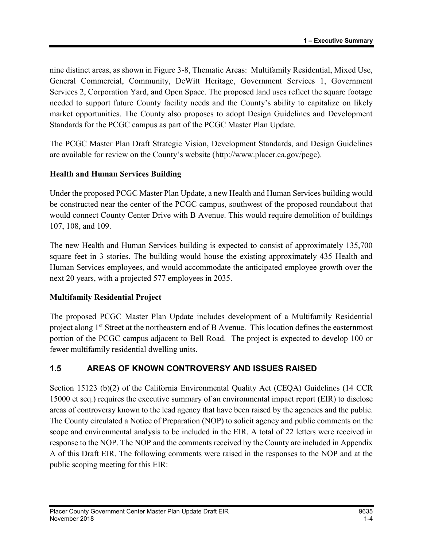nine distinct areas, as shown in Figure 3-8, Thematic Areas: Multifamily Residential, Mixed Use, General Commercial, Community, DeWitt Heritage, Government Services 1, Government Services 2, Corporation Yard, and Open Space. The proposed land uses reflect the square footage needed to support future County facility needs and the County's ability to capitalize on likely market opportunities. The County also proposes to adopt Design Guidelines and Development Standards for the PCGC campus as part of the PCGC Master Plan Update.

The PCGC Master Plan Draft Strategic Vision, Development Standards, and Design Guidelines are available for review on the County's website (http://www.placer.ca.gov/pcgc).

#### Health and Human Services Building

Under the proposed PCGC Master Plan Update, a new Health and Human Services building would be constructed near the center of the PCGC campus, southwest of the proposed roundabout that would connect County Center Drive with B Avenue. This would require demolition of buildings 107, 108, and 109.

The new Health and Human Services building is expected to consist of approximately 135,700 square feet in 3 stories. The building would house the existing approximately 435 Health and Human Services employees, and would accommodate the anticipated employee growth over the next 20 years, with a projected 577 employees in 2035.

#### Multifamily Residential Project

The proposed PCGC Master Plan Update includes development of a Multifamily Residential project along 1<sup>st</sup> Street at the northeastern end of B Avenue. This location defines the easternmost portion of the PCGC campus adjacent to Bell Road. The project is expected to develop 100 or fewer multifamily residential dwelling units.

## 1.5 AREAS OF KNOWN CONTROVERSY AND ISSUES RAISED

Section 15123 (b)(2) of the California Environmental Quality Act (CEQA) Guidelines (14 CCR 15000 et seq.) requires the executive summary of an environmental impact report (EIR) to disclose areas of controversy known to the lead agency that have been raised by the agencies and the public. The County circulated a Notice of Preparation (NOP) to solicit agency and public comments on the scope and environmental analysis to be included in the EIR. A total of 22 letters were received in response to the NOP. The NOP and the comments received by the County are included in Appendix A of this Draft EIR. The following comments were raised in the responses to the NOP and at the public scoping meeting for this EIR: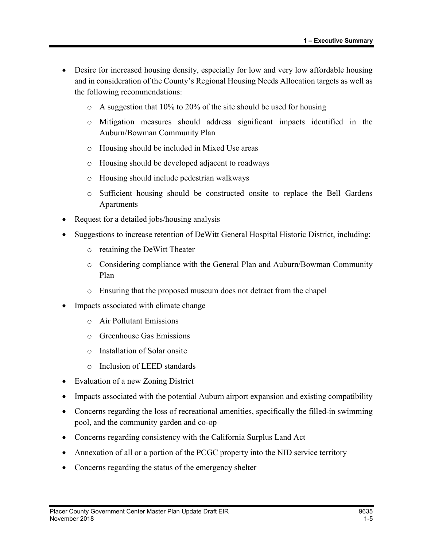- Desire for increased housing density, especially for low and very low affordable housing and in consideration of the County's Regional Housing Needs Allocation targets as well as the following recommendations:
	- o A suggestion that 10% to 20% of the site should be used for housing
	- o Mitigation measures should address significant impacts identified in the Auburn/Bowman Community Plan
	- o Housing should be included in Mixed Use areas
	- o Housing should be developed adjacent to roadways
	- o Housing should include pedestrian walkways
	- o Sufficient housing should be constructed onsite to replace the Bell Gardens Apartments
- Request for a detailed jobs/housing analysis
- Suggestions to increase retention of DeWitt General Hospital Historic District, including:
	- o retaining the DeWitt Theater
	- o Considering compliance with the General Plan and Auburn/Bowman Community Plan
	- o Ensuring that the proposed museum does not detract from the chapel
- Impacts associated with climate change
	- o Air Pollutant Emissions
	- o Greenhouse Gas Emissions
	- o Installation of Solar onsite
	- o Inclusion of LEED standards
- Evaluation of a new Zoning District
- Impacts associated with the potential Auburn airport expansion and existing compatibility
- Concerns regarding the loss of recreational amenities, specifically the filled-in swimming pool, and the community garden and co-op
- Concerns regarding consistency with the California Surplus Land Act
- Annexation of all or a portion of the PCGC property into the NID service territory
- Concerns regarding the status of the emergency shelter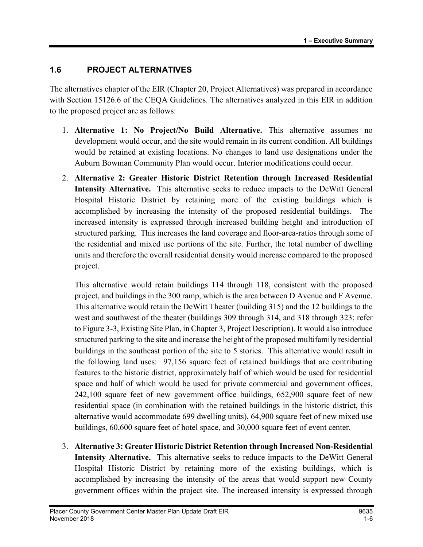## 1.6 PROJECT ALTERNATIVES

The alternatives chapter of the EIR (Chapter 20, Project Alternatives) was prepared in accordance with Section 15126.6 of the CEQA Guidelines. The alternatives analyzed in this EIR in addition to the proposed project are as follows:

- 1. Alternative 1: No Project/No Build Alternative. This alternative assumes no development would occur, and the site would remain in its current condition. All buildings would be retained at existing locations. No changes to land use designations under the Auburn Bowman Community Plan would occur. Interior modifications could occur.
- 2. Alternative 2: Greater Historic District Retention through Increased Residential Intensity Alternative. This alternative seeks to reduce impacts to the DeWitt General Hospital Historic District by retaining more of the existing buildings which is accomplished by increasing the intensity of the proposed residential buildings. The increased intensity is expressed through increased building height and introduction of structured parking. This increases the land coverage and floor-area-ratios through some of the residential and mixed use portions of the site. Further, the total number of dwelling units and therefore the overall residential density would increase compared to the proposed project.

This alternative would retain buildings 114 through 118, consistent with the proposed project, and buildings in the 300 ramp, which is the area between D Avenue and F Avenue. This alternative would retain the DeWitt Theater (building 315) and the 12 buildings to the west and southwest of the theater (buildings 309 through 314, and 318 through 323; refer to Figure 3-3, Existing Site Plan, in Chapter 3, Project Description). It would also introduce structured parking to the site and increase the height of the proposed multifamily residential buildings in the southeast portion of the site to 5 stories. This alternative would result in the following land uses: 97,156 square feet of retained buildings that are contributing features to the historic district, approximately half of which would be used for residential space and half of which would be used for private commercial and government offices, 242,100 square feet of new government office buildings, 652,900 square feet of new residential space (in combination with the retained buildings in the historic district, this alternative would accommodate 699 dwelling units), 64,900 square feet of new mixed use buildings, 60,600 square feet of hotel space, and 30,000 square feet of event center.

3. Alternative 3: Greater Historic District Retention through Increased Non-Residential Intensity Alternative. This alternative seeks to reduce impacts to the DeWitt General Hospital Historic District by retaining more of the existing buildings, which is accomplished by increasing the intensity of the areas that would support new County government offices within the project site. The increased intensity is expressed through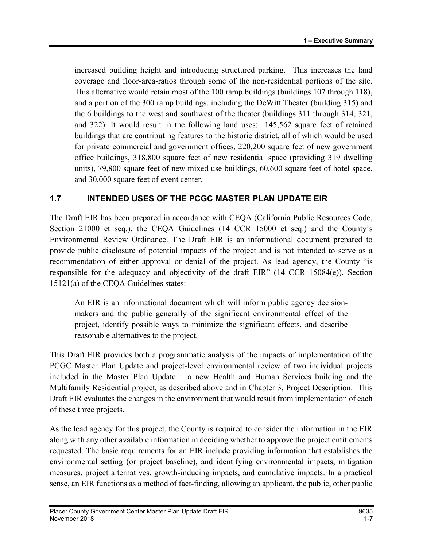increased building height and introducing structured parking. This increases the land coverage and floor-area-ratios through some of the non-residential portions of the site. This alternative would retain most of the 100 ramp buildings (buildings 107 through 118), and a portion of the 300 ramp buildings, including the DeWitt Theater (building 315) and the 6 buildings to the west and southwest of the theater (buildings 311 through 314, 321, and 322). It would result in the following land uses: 145,562 square feet of retained buildings that are contributing features to the historic district, all of which would be used for private commercial and government offices, 220,200 square feet of new government office buildings, 318,800 square feet of new residential space (providing 319 dwelling units), 79,800 square feet of new mixed use buildings, 60,600 square feet of hotel space, and 30,000 square feet of event center.

## 1.7 INTENDED USES OF THE PCGC MASTER PLAN UPDATE EIR

The Draft EIR has been prepared in accordance with CEQA (California Public Resources Code, Section 21000 et seq.), the CEQA Guidelines (14 CCR 15000 et seq.) and the County's Environmental Review Ordinance. The Draft EIR is an informational document prepared to provide public disclosure of potential impacts of the project and is not intended to serve as a recommendation of either approval or denial of the project. As lead agency, the County "is responsible for the adequacy and objectivity of the draft EIR" (14 CCR 15084(e)). Section 15121(a) of the CEQA Guidelines states:

An EIR is an informational document which will inform public agency decisionmakers and the public generally of the significant environmental effect of the project, identify possible ways to minimize the significant effects, and describe reasonable alternatives to the project.

This Draft EIR provides both a programmatic analysis of the impacts of implementation of the PCGC Master Plan Update and project-level environmental review of two individual projects included in the Master Plan Update – a new Health and Human Services building and the Multifamily Residential project, as described above and in Chapter 3, Project Description. This Draft EIR evaluates the changes in the environment that would result from implementation of each of these three projects.

As the lead agency for this project, the County is required to consider the information in the EIR along with any other available information in deciding whether to approve the project entitlements requested. The basic requirements for an EIR include providing information that establishes the environmental setting (or project baseline), and identifying environmental impacts, mitigation measures, project alternatives, growth-inducing impacts, and cumulative impacts. In a practical sense, an EIR functions as a method of fact-finding, allowing an applicant, the public, other public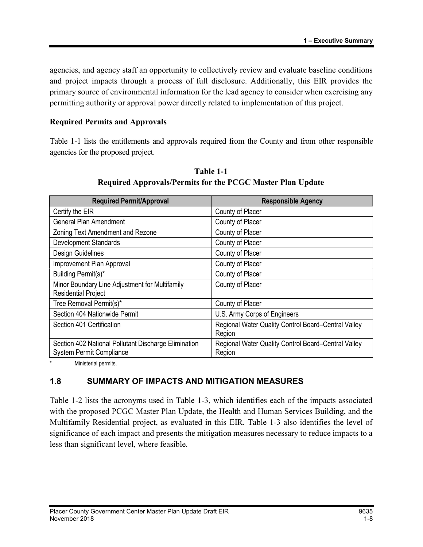agencies, and agency staff an opportunity to collectively review and evaluate baseline conditions and project impacts through a process of full disclosure. Additionally, this EIR provides the primary source of environmental information for the lead agency to consider when exercising any permitting authority or approval power directly related to implementation of this project.

#### Required Permits and Approvals

Table 1-1 lists the entitlements and approvals required from the County and from other responsible agencies for the proposed project.

| <b>Required Permit/Approval</b>                                                         | <b>Responsible Agency</b>                                     |
|-----------------------------------------------------------------------------------------|---------------------------------------------------------------|
| Certify the EIR                                                                         | County of Placer                                              |
| <b>General Plan Amendment</b>                                                           | County of Placer                                              |
| Zoning Text Amendment and Rezone                                                        | County of Placer                                              |
| <b>Development Standards</b>                                                            | County of Placer                                              |
| Design Guidelines                                                                       | County of Placer                                              |
| Improvement Plan Approval                                                               | County of Placer                                              |
| Building Permit(s)*                                                                     | County of Placer                                              |
| Minor Boundary Line Adjustment for Multifamily<br><b>Residential Project</b>            | County of Placer                                              |
| Tree Removal Permit(s)*                                                                 | County of Placer                                              |
| Section 404 Nationwide Permit                                                           | U.S. Army Corps of Engineers                                  |
| Section 401 Certification                                                               | Regional Water Quality Control Board-Central Valley<br>Region |
| Section 402 National Pollutant Discharge Elimination<br><b>System Permit Compliance</b> | Regional Water Quality Control Board-Central Valley<br>Region |

Table 1-1 Required Approvals/Permits for the PCGC Master Plan Update

\* Ministerial permits.

## 1.8 SUMMARY OF IMPACTS AND MITIGATION MEASURES

Table 1-2 lists the acronyms used in Table 1-3, which identifies each of the impacts associated with the proposed PCGC Master Plan Update, the Health and Human Services Building, and the Multifamily Residential project, as evaluated in this EIR. Table 1-3 also identifies the level of significance of each impact and presents the mitigation measures necessary to reduce impacts to a less than significant level, where feasible.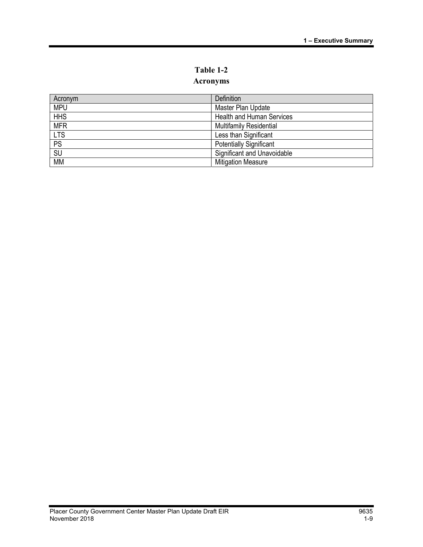# Table 1-2

# Acronyms

| Acronym    | Definition                       |
|------------|----------------------------------|
| <b>MPU</b> | Master Plan Update               |
| <b>HHS</b> | <b>Health and Human Services</b> |
| <b>MFR</b> | <b>Multifamily Residential</b>   |
| <b>LTS</b> | Less than Significant            |
| PS         | <b>Potentially Significant</b>   |
| SU         | Significant and Unavoidable      |
| <b>MM</b>  | <b>Mitigation Measure</b>        |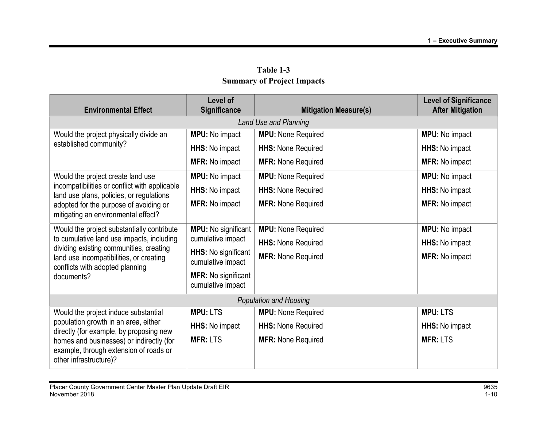| <b>Environmental Effect</b>                                                                                                     | <b>Level of</b><br>Significance                 | <b>Mitigation Measure(s)</b>  | <b>Level of Significance</b><br><b>After Mitigation</b> |  |
|---------------------------------------------------------------------------------------------------------------------------------|-------------------------------------------------|-------------------------------|---------------------------------------------------------|--|
| Land Use and Planning                                                                                                           |                                                 |                               |                                                         |  |
| Would the project physically divide an                                                                                          | <b>MPU:</b> No impact                           | <b>MPU:</b> None Required     | <b>MPU:</b> No impact                                   |  |
| established community?                                                                                                          |                                                 | <b>HHS: None Required</b>     |                                                         |  |
|                                                                                                                                 | <b>HHS:</b> No impact                           |                               | HHS: No impact                                          |  |
|                                                                                                                                 | <b>MFR:</b> No impact                           | <b>MFR: None Required</b>     | <b>MFR: No impact</b>                                   |  |
| Would the project create land use                                                                                               | <b>MPU:</b> No impact                           | <b>MPU:</b> None Required     | <b>MPU:</b> No impact                                   |  |
| incompatibilities or conflict with applicable<br>land use plans, policies, or regulations                                       | HHS: No impact                                  | <b>HHS: None Required</b>     | HHS: No impact                                          |  |
| adopted for the purpose of avoiding or                                                                                          | <b>MFR: No impact</b>                           | <b>MFR: None Required</b>     | <b>MFR: No impact</b>                                   |  |
| mitigating an environmental effect?                                                                                             |                                                 |                               |                                                         |  |
| Would the project substantially contribute                                                                                      | <b>MPU:</b> No significant                      | <b>MPU:</b> None Required     | <b>MPU:</b> No impact                                   |  |
| to cumulative land use impacts, including<br>dividing existing communities, creating<br>land use incompatibilities, or creating | cumulative impact                               | <b>HHS: None Required</b>     | HHS: No impact                                          |  |
|                                                                                                                                 | <b>HHS:</b> No significant<br>cumulative impact | <b>MFR: None Required</b>     | <b>MFR: No impact</b>                                   |  |
| conflicts with adopted planning<br>documents?                                                                                   | <b>MFR: No significant</b><br>cumulative impact |                               |                                                         |  |
|                                                                                                                                 |                                                 |                               |                                                         |  |
|                                                                                                                                 |                                                 | <b>Population and Housing</b> |                                                         |  |
| Would the project induce substantial                                                                                            | <b>MPU: LTS</b>                                 | <b>MPU:</b> None Required     | <b>MPU: LTS</b>                                         |  |
| population growth in an area, either<br>directly (for example, by proposing new                                                 | HHS: No impact                                  | <b>HHS: None Required</b>     | HHS: No impact                                          |  |
| homes and businesses) or indirectly (for<br>example, through extension of roads or<br>other infrastructure)?                    | <b>MFR: LTS</b>                                 | <b>MFR: None Required</b>     | <b>MFR: LTS</b>                                         |  |

Table 1-3 Summary of Project Impacts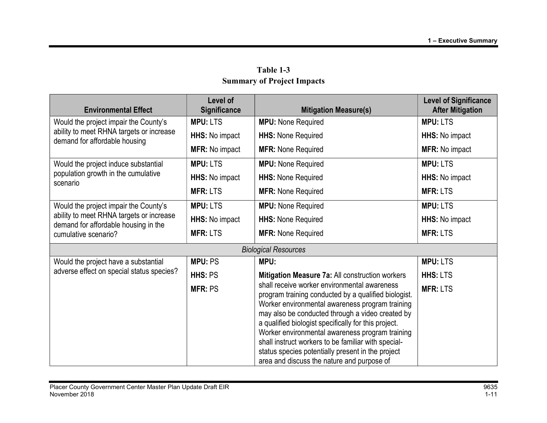| <b>Environmental Effect</b>                                                      | Level of<br><b>Significance</b> | <b>Mitigation Measure(s)</b>                                                                                                                                                                                                                                                                                                                                                                                                                                                     | <b>Level of Significance</b><br><b>After Mitigation</b> |
|----------------------------------------------------------------------------------|---------------------------------|----------------------------------------------------------------------------------------------------------------------------------------------------------------------------------------------------------------------------------------------------------------------------------------------------------------------------------------------------------------------------------------------------------------------------------------------------------------------------------|---------------------------------------------------------|
| Would the project impair the County's                                            | <b>MPU: LTS</b>                 | <b>MPU:</b> None Required                                                                                                                                                                                                                                                                                                                                                                                                                                                        | <b>MPU: LTS</b>                                         |
| ability to meet RHNA targets or increase<br>demand for affordable housing        | HHS: No impact                  | <b>HHS: None Required</b>                                                                                                                                                                                                                                                                                                                                                                                                                                                        | HHS: No impact                                          |
|                                                                                  | <b>MFR: No impact</b>           | <b>MFR: None Required</b>                                                                                                                                                                                                                                                                                                                                                                                                                                                        | <b>MFR: No impact</b>                                   |
| Would the project induce substantial                                             | <b>MPU: LTS</b>                 | <b>MPU:</b> None Required                                                                                                                                                                                                                                                                                                                                                                                                                                                        | <b>MPU: LTS</b>                                         |
| population growth in the cumulative<br>scenario                                  | <b>HHS:</b> No impact           | <b>HHS: None Required</b>                                                                                                                                                                                                                                                                                                                                                                                                                                                        | <b>HHS:</b> No impact                                   |
|                                                                                  | <b>MFR: LTS</b>                 | <b>MFR: None Required</b>                                                                                                                                                                                                                                                                                                                                                                                                                                                        | <b>MFR: LTS</b>                                         |
| Would the project impair the County's                                            | <b>MPU: LTS</b>                 | <b>MPU: None Required</b>                                                                                                                                                                                                                                                                                                                                                                                                                                                        | <b>MPU: LTS</b>                                         |
| ability to meet RHNA targets or increase<br>demand for affordable housing in the | <b>HHS:</b> No impact           | <b>HHS: None Required</b>                                                                                                                                                                                                                                                                                                                                                                                                                                                        | <b>HHS:</b> No impact                                   |
| cumulative scenario?                                                             | <b>MFR: LTS</b>                 | <b>MFR: None Required</b>                                                                                                                                                                                                                                                                                                                                                                                                                                                        | <b>MFR: LTS</b>                                         |
|                                                                                  |                                 | <b>Biological Resources</b>                                                                                                                                                                                                                                                                                                                                                                                                                                                      |                                                         |
| Would the project have a substantial                                             | <b>MPU: PS</b>                  | MPU:                                                                                                                                                                                                                                                                                                                                                                                                                                                                             | <b>MPU: LTS</b>                                         |
| adverse effect on special status species?                                        | HHS: PS                         | Mitigation Measure 7a: All construction workers                                                                                                                                                                                                                                                                                                                                                                                                                                  | <b>HHS: LTS</b>                                         |
|                                                                                  | <b>MFR: PS</b>                  | shall receive worker environmental awareness<br>program training conducted by a qualified biologist.<br>Worker environmental awareness program training<br>may also be conducted through a video created by<br>a qualified biologist specifically for this project.<br>Worker environmental awareness program training<br>shall instruct workers to be familiar with special-<br>status species potentially present in the project<br>area and discuss the nature and purpose of | <b>MFR: LTS</b>                                         |

Table 1-3 Summary of Project Impacts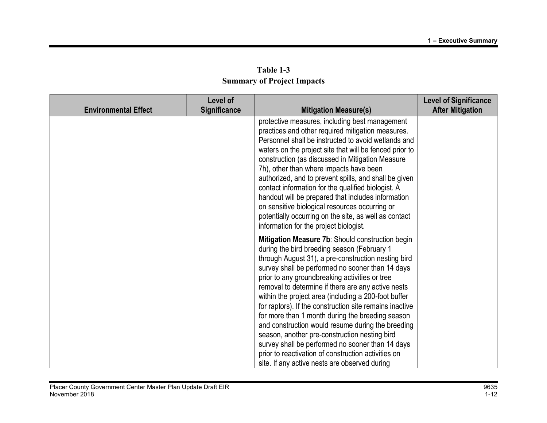| Table 1-3                         |  |  |  |  |
|-----------------------------------|--|--|--|--|
| <b>Summary of Project Impacts</b> |  |  |  |  |

|                             | Level of            |                                                                                                                                                                                                                                                                                                                                                                                                                                                                                                                                                                                                                                                                                                                                                             | <b>Level of Significance</b> |
|-----------------------------|---------------------|-------------------------------------------------------------------------------------------------------------------------------------------------------------------------------------------------------------------------------------------------------------------------------------------------------------------------------------------------------------------------------------------------------------------------------------------------------------------------------------------------------------------------------------------------------------------------------------------------------------------------------------------------------------------------------------------------------------------------------------------------------------|------------------------------|
| <b>Environmental Effect</b> | <b>Significance</b> | <b>Mitigation Measure(s)</b>                                                                                                                                                                                                                                                                                                                                                                                                                                                                                                                                                                                                                                                                                                                                | <b>After Mitigation</b>      |
|                             |                     | protective measures, including best management<br>practices and other required mitigation measures.<br>Personnel shall be instructed to avoid wetlands and<br>waters on the project site that will be fenced prior to<br>construction (as discussed in Mitigation Measure<br>7h), other than where impacts have been<br>authorized, and to prevent spills, and shall be given<br>contact information for the qualified biologist. A<br>handout will be prepared that includes information<br>on sensitive biological resources occurring or<br>potentially occurring on the site, as well as contact<br>information for the project biologist.                                                                                                              |                              |
|                             |                     | Mitigation Measure 7b: Should construction begin<br>during the bird breeding season (February 1<br>through August 31), a pre-construction nesting bird<br>survey shall be performed no sooner than 14 days<br>prior to any groundbreaking activities or tree<br>removal to determine if there are any active nests<br>within the project area (including a 200-foot buffer<br>for raptors). If the construction site remains inactive<br>for more than 1 month during the breeding season<br>and construction would resume during the breeding<br>season, another pre-construction nesting bird<br>survey shall be performed no sooner than 14 days<br>prior to reactivation of construction activities on<br>site. If any active nests are observed during |                              |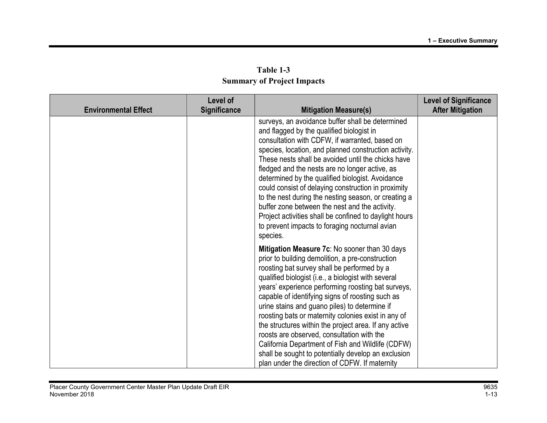| Table 1-3                         |  |  |  |  |
|-----------------------------------|--|--|--|--|
| <b>Summary of Project Impacts</b> |  |  |  |  |

| <b>Environmental Effect</b> | Level of<br><b>Significance</b> | <b>Mitigation Measure(s)</b>                                                                                                                                                                                                                                                                                                                                                                                                                                                                                                                                                                                                                                                                   | <b>Level of Significance</b><br><b>After Mitigation</b> |
|-----------------------------|---------------------------------|------------------------------------------------------------------------------------------------------------------------------------------------------------------------------------------------------------------------------------------------------------------------------------------------------------------------------------------------------------------------------------------------------------------------------------------------------------------------------------------------------------------------------------------------------------------------------------------------------------------------------------------------------------------------------------------------|---------------------------------------------------------|
|                             |                                 | surveys, an avoidance buffer shall be determined<br>and flagged by the qualified biologist in<br>consultation with CDFW, if warranted, based on<br>species, location, and planned construction activity.<br>These nests shall be avoided until the chicks have<br>fledged and the nests are no longer active, as<br>determined by the qualified biologist. Avoidance<br>could consist of delaying construction in proximity<br>to the nest during the nesting season, or creating a<br>buffer zone between the nest and the activity.<br>Project activities shall be confined to daylight hours<br>to prevent impacts to foraging nocturnal avian<br>species.                                  |                                                         |
|                             |                                 | Mitigation Measure 7c: No sooner than 30 days<br>prior to building demolition, a pre-construction<br>roosting bat survey shall be performed by a<br>qualified biologist (i.e., a biologist with several<br>years' experience performing roosting bat surveys,<br>capable of identifying signs of roosting such as<br>urine stains and guano piles) to determine if<br>roosting bats or maternity colonies exist in any of<br>the structures within the project area. If any active<br>roosts are observed, consultation with the<br>California Department of Fish and Wildlife (CDFW)<br>shall be sought to potentially develop an exclusion<br>plan under the direction of CDFW. If maternity |                                                         |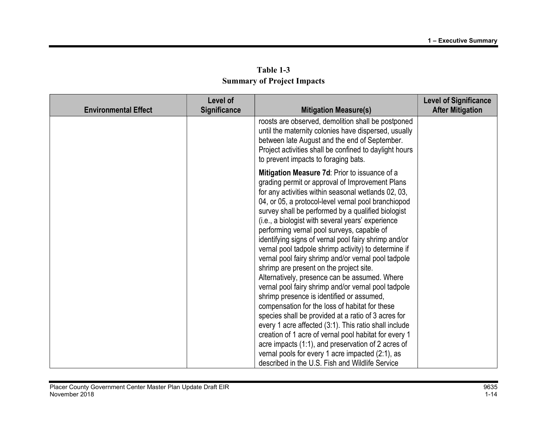| Table 1-3                         |  |  |  |
|-----------------------------------|--|--|--|
| <b>Summary of Project Impacts</b> |  |  |  |

| <b>Environmental Effect</b> | Level of<br>Significance | <b>Mitigation Measure(s)</b>                                                                                                                                                                                                                                                                                                                                                                                                                                                                                                                                                                                                                                                                                                                                                                                                                                                                                                                                                                                                                                                                                                              | <b>Level of Significance</b><br><b>After Mitigation</b> |
|-----------------------------|--------------------------|-------------------------------------------------------------------------------------------------------------------------------------------------------------------------------------------------------------------------------------------------------------------------------------------------------------------------------------------------------------------------------------------------------------------------------------------------------------------------------------------------------------------------------------------------------------------------------------------------------------------------------------------------------------------------------------------------------------------------------------------------------------------------------------------------------------------------------------------------------------------------------------------------------------------------------------------------------------------------------------------------------------------------------------------------------------------------------------------------------------------------------------------|---------------------------------------------------------|
|                             |                          | roosts are observed, demolition shall be postponed<br>until the maternity colonies have dispersed, usually<br>between late August and the end of September.<br>Project activities shall be confined to daylight hours<br>to prevent impacts to foraging bats.                                                                                                                                                                                                                                                                                                                                                                                                                                                                                                                                                                                                                                                                                                                                                                                                                                                                             |                                                         |
|                             |                          | Mitigation Measure 7d: Prior to issuance of a<br>grading permit or approval of Improvement Plans<br>for any activities within seasonal wetlands 02, 03,<br>04, or 05, a protocol-level vernal pool branchiopod<br>survey shall be performed by a qualified biologist<br>(i.e., a biologist with several years' experience<br>performing vernal pool surveys, capable of<br>identifying signs of vernal pool fairy shrimp and/or<br>vernal pool tadpole shrimp activity) to determine if<br>vernal pool fairy shrimp and/or vernal pool tadpole<br>shrimp are present on the project site.<br>Alternatively, presence can be assumed. Where<br>vernal pool fairy shrimp and/or vernal pool tadpole<br>shrimp presence is identified or assumed,<br>compensation for the loss of habitat for these<br>species shall be provided at a ratio of 3 acres for<br>every 1 acre affected (3:1). This ratio shall include<br>creation of 1 acre of vernal pool habitat for every 1<br>acre impacts $(1:1)$ , and preservation of 2 acres of<br>vernal pools for every 1 acre impacted (2:1), as<br>described in the U.S. Fish and Wildlife Service |                                                         |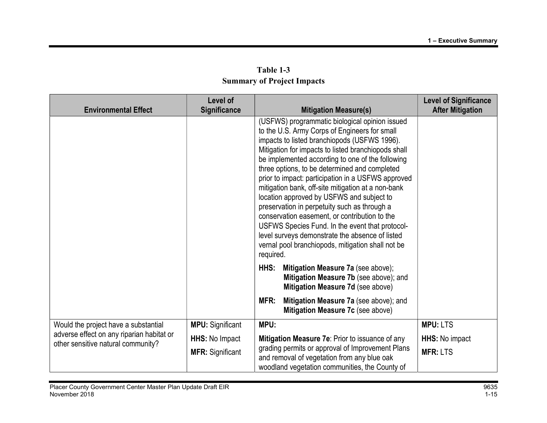| Table 1-3                         |  |  |
|-----------------------------------|--|--|
| <b>Summary of Project Impacts</b> |  |  |

| <b>Environmental Effect</b>                                                     | Level of<br><b>Significance</b> | <b>Mitigation Measure(s)</b>                                                                                                                                                                                                                                                                                                                                                                                                                                                                                                                                                                                                                                                                                                                  | <b>Level of Significance</b><br><b>After Mitigation</b> |
|---------------------------------------------------------------------------------|---------------------------------|-----------------------------------------------------------------------------------------------------------------------------------------------------------------------------------------------------------------------------------------------------------------------------------------------------------------------------------------------------------------------------------------------------------------------------------------------------------------------------------------------------------------------------------------------------------------------------------------------------------------------------------------------------------------------------------------------------------------------------------------------|---------------------------------------------------------|
|                                                                                 |                                 | (USFWS) programmatic biological opinion issued<br>to the U.S. Army Corps of Engineers for small<br>impacts to listed branchiopods (USFWS 1996).<br>Mitigation for impacts to listed branchiopods shall<br>be implemented according to one of the following<br>three options, to be determined and completed<br>prior to impact: participation in a USFWS approved<br>mitigation bank, off-site mitigation at a non-bank<br>location approved by USFWS and subject to<br>preservation in perpetuity such as through a<br>conservation easement, or contribution to the<br>USFWS Species Fund. In the event that protocol-<br>level surveys demonstrate the absence of listed<br>vernal pool branchiopods, mitigation shall not be<br>required. |                                                         |
|                                                                                 |                                 | HHS:<br>Mitigation Measure 7a (see above);<br>Mitigation Measure 7b (see above); and<br>Mitigation Measure 7d (see above)                                                                                                                                                                                                                                                                                                                                                                                                                                                                                                                                                                                                                     |                                                         |
|                                                                                 |                                 | MFR:<br>Mitigation Measure 7a (see above); and<br>Mitigation Measure 7c (see above)                                                                                                                                                                                                                                                                                                                                                                                                                                                                                                                                                                                                                                                           |                                                         |
| Would the project have a substantial                                            | <b>MPU:</b> Significant         | MPU:                                                                                                                                                                                                                                                                                                                                                                                                                                                                                                                                                                                                                                                                                                                                          | <b>MPU: LTS</b>                                         |
| adverse effect on any riparian habitat or<br>other sensitive natural community? | HHS: No Impact                  | Mitigation Measure 7e: Prior to issuance of any                                                                                                                                                                                                                                                                                                                                                                                                                                                                                                                                                                                                                                                                                               | HHS: No impact                                          |
|                                                                                 | <b>MFR: Significant</b>         | grading permits or approval of Improvement Plans<br>and removal of vegetation from any blue oak<br>woodland vegetation communities, the County of                                                                                                                                                                                                                                                                                                                                                                                                                                                                                                                                                                                             | <b>MFR: LTS</b>                                         |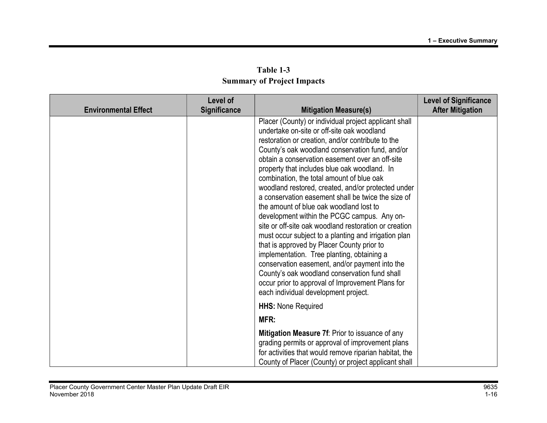| Table 1-3                         |
|-----------------------------------|
| <b>Summary of Project Impacts</b> |

| <b>Environmental Effect</b> | Level of<br><b>Significance</b> | <b>Mitigation Measure(s)</b>                                                                                                                                                                                                                                                                                                                                                                                                                                                                                                                                                                                                                                                                                                                                                                                                                                                                                                                                                  | <b>Level of Significance</b><br><b>After Mitigation</b> |
|-----------------------------|---------------------------------|-------------------------------------------------------------------------------------------------------------------------------------------------------------------------------------------------------------------------------------------------------------------------------------------------------------------------------------------------------------------------------------------------------------------------------------------------------------------------------------------------------------------------------------------------------------------------------------------------------------------------------------------------------------------------------------------------------------------------------------------------------------------------------------------------------------------------------------------------------------------------------------------------------------------------------------------------------------------------------|---------------------------------------------------------|
|                             |                                 | Placer (County) or individual project applicant shall<br>undertake on-site or off-site oak woodland<br>restoration or creation, and/or contribute to the<br>County's oak woodland conservation fund, and/or<br>obtain a conservation easement over an off-site<br>property that includes blue oak woodland. In<br>combination, the total amount of blue oak<br>woodland restored, created, and/or protected under<br>a conservation easement shall be twice the size of<br>the amount of blue oak woodland lost to<br>development within the PCGC campus. Any on-<br>site or off-site oak woodland restoration or creation<br>must occur subject to a planting and irrigation plan<br>that is approved by Placer County prior to<br>implementation. Tree planting, obtaining a<br>conservation easement, and/or payment into the<br>County's oak woodland conservation fund shall<br>occur prior to approval of Improvement Plans for<br>each individual development project. |                                                         |
|                             |                                 | <b>HHS: None Required</b>                                                                                                                                                                                                                                                                                                                                                                                                                                                                                                                                                                                                                                                                                                                                                                                                                                                                                                                                                     |                                                         |
|                             |                                 | MFR:                                                                                                                                                                                                                                                                                                                                                                                                                                                                                                                                                                                                                                                                                                                                                                                                                                                                                                                                                                          |                                                         |
|                             |                                 | Mitigation Measure 7f: Prior to issuance of any<br>grading permits or approval of improvement plans<br>for activities that would remove riparian habitat, the<br>County of Placer (County) or project applicant shall                                                                                                                                                                                                                                                                                                                                                                                                                                                                                                                                                                                                                                                                                                                                                         |                                                         |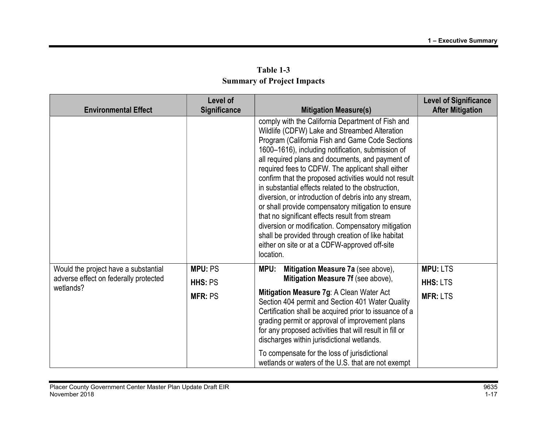| Table 1-3                         |
|-----------------------------------|
| <b>Summary of Project Impacts</b> |

| <b>Environmental Effect</b>                        | Level of<br><b>Significance</b> | <b>Mitigation Measure(s)</b>                                                                                                                                                                                                                                                                                                                                                                                                                                                                                                                                                                                                                                                                                                                                                  | <b>Level of Significance</b><br><b>After Mitigation</b> |
|----------------------------------------------------|---------------------------------|-------------------------------------------------------------------------------------------------------------------------------------------------------------------------------------------------------------------------------------------------------------------------------------------------------------------------------------------------------------------------------------------------------------------------------------------------------------------------------------------------------------------------------------------------------------------------------------------------------------------------------------------------------------------------------------------------------------------------------------------------------------------------------|---------------------------------------------------------|
|                                                    |                                 | comply with the California Department of Fish and<br>Wildlife (CDFW) Lake and Streambed Alteration<br>Program (California Fish and Game Code Sections<br>1600-1616), including notification, submission of<br>all required plans and documents, and payment of<br>required fees to CDFW. The applicant shall either<br>confirm that the proposed activities would not result<br>in substantial effects related to the obstruction,<br>diversion, or introduction of debris into any stream,<br>or shall provide compensatory mitigation to ensure<br>that no significant effects result from stream<br>diversion or modification. Compensatory mitigation<br>shall be provided through creation of like habitat<br>either on site or at a CDFW-approved off-site<br>location. |                                                         |
| Would the project have a substantial               | <b>MPU: PS</b>                  | Mitigation Measure 7a (see above),<br>MPU:                                                                                                                                                                                                                                                                                                                                                                                                                                                                                                                                                                                                                                                                                                                                    | <b>MPU: LTS</b>                                         |
| adverse effect on federally protected<br>wetlands? | HHS: PS                         | Mitigation Measure 7f (see above),                                                                                                                                                                                                                                                                                                                                                                                                                                                                                                                                                                                                                                                                                                                                            | <b>HHS: LTS</b>                                         |
|                                                    | <b>MFR: PS</b>                  | Mitigation Measure 7g: A Clean Water Act<br>Section 404 permit and Section 401 Water Quality<br>Certification shall be acquired prior to issuance of a<br>grading permit or approval of improvement plans<br>for any proposed activities that will result in fill or<br>discharges within jurisdictional wetlands.                                                                                                                                                                                                                                                                                                                                                                                                                                                            | <b>MFR: LTS</b>                                         |
|                                                    |                                 | To compensate for the loss of jurisdictional<br>wetlands or waters of the U.S. that are not exempt                                                                                                                                                                                                                                                                                                                                                                                                                                                                                                                                                                                                                                                                            |                                                         |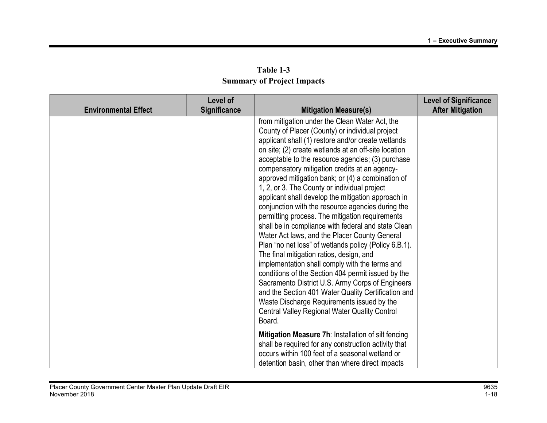|                             | Level of            |                                                                                                                                                                                                                                                                                                                                                                                                                                                                                                                                                                                                                                                                                                                                                                                                                                                                                                                                                                                                                                                                                                                                          | <b>Level of Significance</b> |
|-----------------------------|---------------------|------------------------------------------------------------------------------------------------------------------------------------------------------------------------------------------------------------------------------------------------------------------------------------------------------------------------------------------------------------------------------------------------------------------------------------------------------------------------------------------------------------------------------------------------------------------------------------------------------------------------------------------------------------------------------------------------------------------------------------------------------------------------------------------------------------------------------------------------------------------------------------------------------------------------------------------------------------------------------------------------------------------------------------------------------------------------------------------------------------------------------------------|------------------------------|
| <b>Environmental Effect</b> | <b>Significance</b> | <b>Mitigation Measure(s)</b>                                                                                                                                                                                                                                                                                                                                                                                                                                                                                                                                                                                                                                                                                                                                                                                                                                                                                                                                                                                                                                                                                                             | <b>After Mitigation</b>      |
|                             |                     | from mitigation under the Clean Water Act, the<br>County of Placer (County) or individual project<br>applicant shall (1) restore and/or create wetlands<br>on site; (2) create wetlands at an off-site location<br>acceptable to the resource agencies; (3) purchase<br>compensatory mitigation credits at an agency-<br>approved mitigation bank; or (4) a combination of<br>1, 2, or 3. The County or individual project<br>applicant shall develop the mitigation approach in<br>conjunction with the resource agencies during the<br>permitting process. The mitigation requirements<br>shall be in compliance with federal and state Clean<br>Water Act laws, and the Placer County General<br>Plan "no net loss" of wetlands policy (Policy 6.B.1).<br>The final mitigation ratios, design, and<br>implementation shall comply with the terms and<br>conditions of the Section 404 permit issued by the<br>Sacramento District U.S. Army Corps of Engineers<br>and the Section 401 Water Quality Certification and<br>Waste Discharge Requirements issued by the<br><b>Central Valley Regional Water Quality Control</b><br>Board. |                              |
|                             |                     | Mitigation Measure 7h: Installation of silt fencing<br>shall be required for any construction activity that<br>occurs within 100 feet of a seasonal wetland or<br>detention basin, other than where direct impacts                                                                                                                                                                                                                                                                                                                                                                                                                                                                                                                                                                                                                                                                                                                                                                                                                                                                                                                       |                              |

Table 1-3 Summary of Project Impacts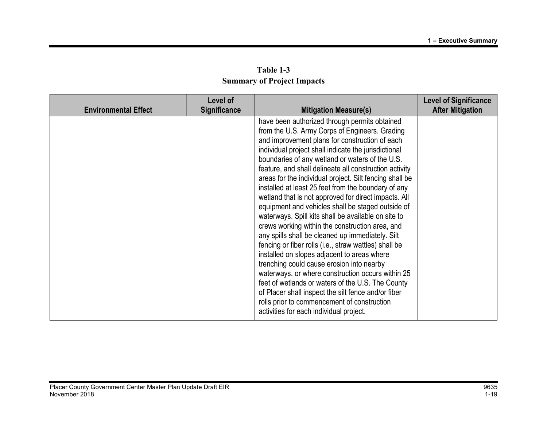| Table 1-3                         |
|-----------------------------------|
| <b>Summary of Project Impacts</b> |

| <b>Environmental Effect</b> | Level of<br>Significance | <b>Mitigation Measure(s)</b>                                                                                                                                                                                                                                                                                                                                                                                                                                                                                                                                                                                                                                                                                                                                                                                                                                                                                                                                                                                                                                                                                                        | <b>Level of Significance</b><br><b>After Mitigation</b> |
|-----------------------------|--------------------------|-------------------------------------------------------------------------------------------------------------------------------------------------------------------------------------------------------------------------------------------------------------------------------------------------------------------------------------------------------------------------------------------------------------------------------------------------------------------------------------------------------------------------------------------------------------------------------------------------------------------------------------------------------------------------------------------------------------------------------------------------------------------------------------------------------------------------------------------------------------------------------------------------------------------------------------------------------------------------------------------------------------------------------------------------------------------------------------------------------------------------------------|---------------------------------------------------------|
|                             |                          | have been authorized through permits obtained<br>from the U.S. Army Corps of Engineers. Grading<br>and improvement plans for construction of each<br>individual project shall indicate the jurisdictional<br>boundaries of any wetland or waters of the U.S.<br>feature, and shall delineate all construction activity<br>areas for the individual project. Silt fencing shall be<br>installed at least 25 feet from the boundary of any<br>wetland that is not approved for direct impacts. All<br>equipment and vehicles shall be staged outside of<br>waterways. Spill kits shall be available on site to<br>crews working within the construction area, and<br>any spills shall be cleaned up immediately. Silt<br>fencing or fiber rolls (i.e., straw wattles) shall be<br>installed on slopes adjacent to areas where<br>trenching could cause erosion into nearby<br>waterways, or where construction occurs within 25<br>feet of wetlands or waters of the U.S. The County<br>of Placer shall inspect the silt fence and/or fiber<br>rolls prior to commencement of construction<br>activities for each individual project. |                                                         |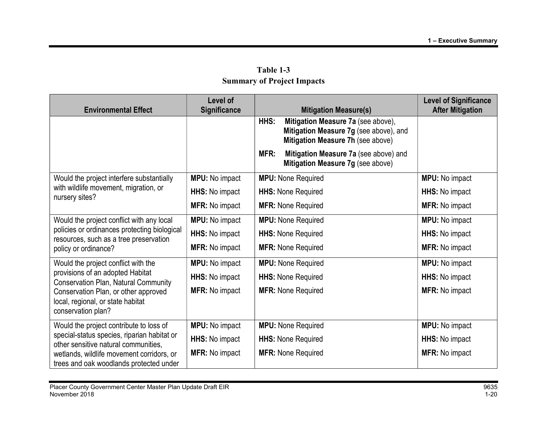| Table 1-3                         |
|-----------------------------------|
| <b>Summary of Project Impacts</b> |

| <b>Environmental Effect</b>                                                            | <b>Level of</b><br><b>Significance</b> | <b>Mitigation Measure(s)</b>                                                                                              | <b>Level of Significance</b><br><b>After Mitigation</b> |
|----------------------------------------------------------------------------------------|----------------------------------------|---------------------------------------------------------------------------------------------------------------------------|---------------------------------------------------------|
|                                                                                        |                                        | HHS:<br>Mitigation Measure 7a (see above),<br>Mitigation Measure 7g (see above), and<br>Mitigation Measure 7h (see above) |                                                         |
|                                                                                        |                                        | Mitigation Measure 7a (see above) and<br>MFR:<br>Mitigation Measure 7g (see above)                                        |                                                         |
| Would the project interfere substantially                                              | <b>MPU:</b> No impact                  | <b>MPU:</b> None Required                                                                                                 | <b>MPU:</b> No impact                                   |
| with wildlife movement, migration, or<br>nursery sites?                                | HHS: No impact                         | <b>HHS: None Required</b>                                                                                                 | HHS: No impact                                          |
|                                                                                        | <b>MFR: No impact</b>                  | <b>MFR: None Required</b>                                                                                                 | <b>MFR: No impact</b>                                   |
| Would the project conflict with any local                                              | <b>MPU:</b> No impact                  | <b>MPU:</b> None Required                                                                                                 | <b>MPU:</b> No impact                                   |
| policies or ordinances protecting biological<br>resources, such as a tree preservation | HHS: No impact                         | <b>HHS: None Required</b>                                                                                                 | <b>HHS:</b> No impact                                   |
| policy or ordinance?                                                                   | <b>MFR:</b> No impact                  | <b>MFR: None Required</b>                                                                                                 | <b>MFR: No impact</b>                                   |
| Would the project conflict with the                                                    | <b>MPU:</b> No impact                  | <b>MPU:</b> None Required                                                                                                 | <b>MPU:</b> No impact                                   |
| provisions of an adopted Habitat<br><b>Conservation Plan, Natural Community</b>        | <b>HHS: No impact</b>                  | <b>HHS: None Required</b>                                                                                                 | HHS: No impact                                          |
| Conservation Plan, or other approved<br>local, regional, or state habitat              | <b>MFR: No impact</b>                  | <b>MFR: None Required</b>                                                                                                 | <b>MFR: No impact</b>                                   |
| conservation plan?                                                                     |                                        |                                                                                                                           |                                                         |
| Would the project contribute to loss of<br>special-status species, riparian habitat or | <b>MPU:</b> No impact                  | <b>MPU:</b> None Required                                                                                                 | <b>MPU:</b> No impact                                   |
| other sensitive natural communities,                                                   | HHS: No impact                         | <b>HHS: None Required</b>                                                                                                 | HHS: No impact                                          |
| wetlands, wildlife movement corridors, or<br>trees and oak woodlands protected under   | <b>MFR: No impact</b>                  | <b>MFR: None Required</b>                                                                                                 | <b>MFR: No impact</b>                                   |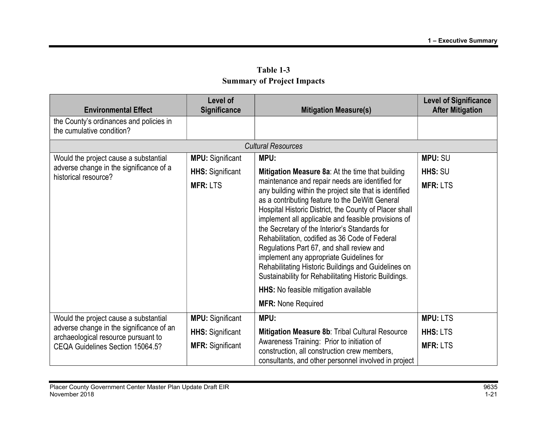| <b>Environmental Effect</b>                                                     | Level of<br><b>Significance</b> | <b>Mitigation Measure(s)</b>                                                                                                                                                                                                                                                                                                                                                                                                                                                                                                                                                                                                                                     | <b>Level of Significance</b><br><b>After Mitigation</b> |
|---------------------------------------------------------------------------------|---------------------------------|------------------------------------------------------------------------------------------------------------------------------------------------------------------------------------------------------------------------------------------------------------------------------------------------------------------------------------------------------------------------------------------------------------------------------------------------------------------------------------------------------------------------------------------------------------------------------------------------------------------------------------------------------------------|---------------------------------------------------------|
| the County's ordinances and policies in<br>the cumulative condition?            |                                 |                                                                                                                                                                                                                                                                                                                                                                                                                                                                                                                                                                                                                                                                  |                                                         |
|                                                                                 |                                 | <b>Cultural Resources</b>                                                                                                                                                                                                                                                                                                                                                                                                                                                                                                                                                                                                                                        |                                                         |
| Would the project cause a substantial                                           | <b>MPU:</b> Significant         | MPU:                                                                                                                                                                                                                                                                                                                                                                                                                                                                                                                                                                                                                                                             | <b>MPU: SU</b>                                          |
| adverse change in the significance of a<br>historical resource?                 | <b>HHS:</b> Significant         | Mitigation Measure 8a: At the time that building                                                                                                                                                                                                                                                                                                                                                                                                                                                                                                                                                                                                                 | HHS: SU                                                 |
|                                                                                 | <b>MFR: LTS</b>                 | maintenance and repair needs are identified for<br>any building within the project site that is identified<br>as a contributing feature to the DeWitt General<br>Hospital Historic District, the County of Placer shall<br>implement all applicable and feasible provisions of<br>the Secretary of the Interior's Standards for<br>Rehabilitation, codified as 36 Code of Federal<br>Regulations Part 67, and shall review and<br>implement any appropriate Guidelines for<br>Rehabilitating Historic Buildings and Guidelines on<br>Sustainability for Rehabilitating Historic Buildings.<br>HHS: No feasible mitigation available<br><b>MFR: None Required</b> | <b>MFR: LTS</b>                                         |
| Would the project cause a substantial                                           | <b>MPU:</b> Significant         | MPU:                                                                                                                                                                                                                                                                                                                                                                                                                                                                                                                                                                                                                                                             | <b>MPU: LTS</b>                                         |
| adverse change in the significance of an<br>archaeological resource pursuant to | <b>HHS:</b> Significant         | Mitigation Measure 8b: Tribal Cultural Resource                                                                                                                                                                                                                                                                                                                                                                                                                                                                                                                                                                                                                  | <b>HHS: LTS</b>                                         |
| CEQA Guidelines Section 15064.5?                                                | <b>MFR: Significant</b>         | Awareness Training: Prior to initiation of<br>construction, all construction crew members,<br>consultants, and other personnel involved in project                                                                                                                                                                                                                                                                                                                                                                                                                                                                                                               | <b>MFR: LTS</b>                                         |

Table 1-3 Summary of Project Impacts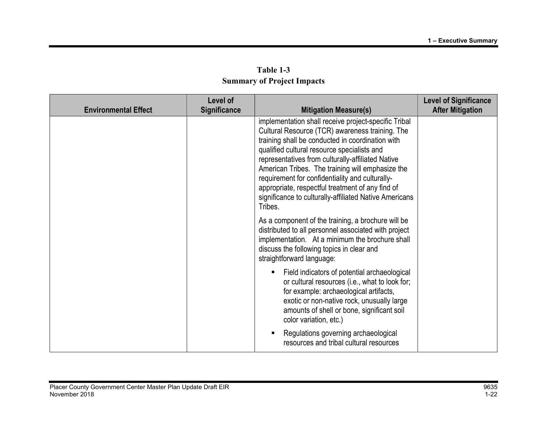| Table 1-3                         |
|-----------------------------------|
| <b>Summary of Project Impacts</b> |

| <b>Environmental Effect</b> | Level of<br><b>Significance</b> | <b>Mitigation Measure(s)</b>                                                                                                                                                                                                                                                                                                                                                                                                                                                                    | <b>Level of Significance</b><br><b>After Mitigation</b> |
|-----------------------------|---------------------------------|-------------------------------------------------------------------------------------------------------------------------------------------------------------------------------------------------------------------------------------------------------------------------------------------------------------------------------------------------------------------------------------------------------------------------------------------------------------------------------------------------|---------------------------------------------------------|
|                             |                                 | implementation shall receive project-specific Tribal<br>Cultural Resource (TCR) awareness training. The<br>training shall be conducted in coordination with<br>qualified cultural resource specialists and<br>representatives from culturally-affiliated Native<br>American Tribes. The training will emphasize the<br>requirement for confidentiality and culturally-<br>appropriate, respectful treatment of any find of<br>significance to culturally-affiliated Native Americans<br>Tribes. |                                                         |
|                             |                                 | As a component of the training, a brochure will be<br>distributed to all personnel associated with project<br>implementation. At a minimum the brochure shall<br>discuss the following topics in clear and<br>straightforward language:                                                                                                                                                                                                                                                         |                                                         |
|                             |                                 | Field indicators of potential archaeological<br>or cultural resources (i.e., what to look for;<br>for example: archaeological artifacts,<br>exotic or non-native rock, unusually large<br>amounts of shell or bone, significant soil<br>color variation, etc.)                                                                                                                                                                                                                                  |                                                         |
|                             |                                 | Regulations governing archaeological<br>resources and tribal cultural resources                                                                                                                                                                                                                                                                                                                                                                                                                 |                                                         |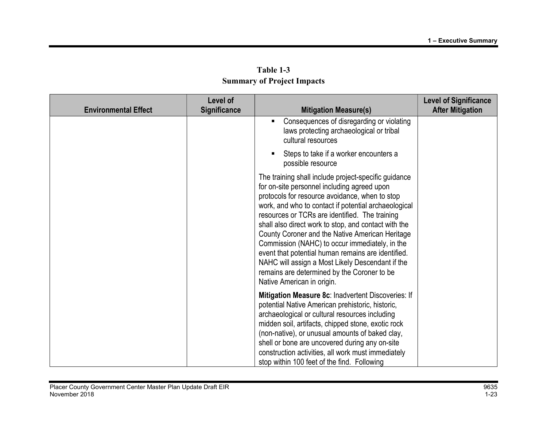| <b>Environmental Effect</b> | <b>Level of</b><br>Significance | <b>Mitigation Measure(s)</b>                                                                                                                                                                                                                                                                                                                                                                                                                                                                                                                                                                                        | <b>Level of Significance</b><br><b>After Mitigation</b> |
|-----------------------------|---------------------------------|---------------------------------------------------------------------------------------------------------------------------------------------------------------------------------------------------------------------------------------------------------------------------------------------------------------------------------------------------------------------------------------------------------------------------------------------------------------------------------------------------------------------------------------------------------------------------------------------------------------------|---------------------------------------------------------|
|                             |                                 | Consequences of disregarding or violating<br>٠<br>laws protecting archaeological or tribal<br>cultural resources                                                                                                                                                                                                                                                                                                                                                                                                                                                                                                    |                                                         |
|                             |                                 | Steps to take if a worker encounters a<br>п<br>possible resource                                                                                                                                                                                                                                                                                                                                                                                                                                                                                                                                                    |                                                         |
|                             |                                 | The training shall include project-specific guidance<br>for on-site personnel including agreed upon<br>protocols for resource avoidance, when to stop<br>work, and who to contact if potential archaeological<br>resources or TCRs are identified. The training<br>shall also direct work to stop, and contact with the<br>County Coroner and the Native American Heritage<br>Commission (NAHC) to occur immediately, in the<br>event that potential human remains are identified.<br>NAHC will assign a Most Likely Descendant if the<br>remains are determined by the Coroner to be<br>Native American in origin. |                                                         |
|                             |                                 | Mitigation Measure 8c: Inadvertent Discoveries: If<br>potential Native American prehistoric, historic,<br>archaeological or cultural resources including<br>midden soil, artifacts, chipped stone, exotic rock<br>(non-native), or unusual amounts of baked clay,<br>shell or bone are uncovered during any on-site<br>construction activities, all work must immediately<br>stop within 100 feet of the find. Following                                                                                                                                                                                            |                                                         |

Table 1-3 Summary of Project Impacts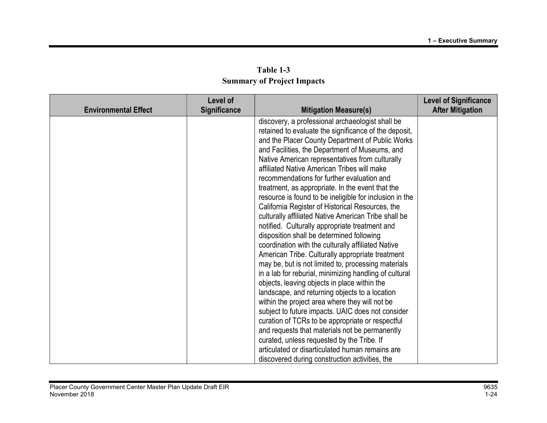| Table 1-3                         |  |  |  |
|-----------------------------------|--|--|--|
| <b>Summary of Project Impacts</b> |  |  |  |

| <b>Environmental Effect</b> | Level of<br><b>Significance</b> | <b>Mitigation Measure(s)</b>                                                                              | <b>Level of Significance</b><br><b>After Mitigation</b> |
|-----------------------------|---------------------------------|-----------------------------------------------------------------------------------------------------------|---------------------------------------------------------|
|                             |                                 | discovery, a professional archaeologist shall be<br>retained to evaluate the significance of the deposit, |                                                         |
|                             |                                 | and the Placer County Department of Public Works                                                          |                                                         |
|                             |                                 | and Facilities, the Department of Museums, and                                                            |                                                         |
|                             |                                 | Native American representatives from culturally                                                           |                                                         |
|                             |                                 | affiliated Native American Tribes will make                                                               |                                                         |
|                             |                                 | recommendations for further evaluation and                                                                |                                                         |
|                             |                                 | treatment, as appropriate. In the event that the                                                          |                                                         |
|                             |                                 | resource is found to be ineligible for inclusion in the                                                   |                                                         |
|                             |                                 | California Register of Historical Resources, the                                                          |                                                         |
|                             |                                 | culturally affiliated Native American Tribe shall be                                                      |                                                         |
|                             |                                 | notified. Culturally appropriate treatment and                                                            |                                                         |
|                             |                                 | disposition shall be determined following<br>coordination with the culturally affiliated Native           |                                                         |
|                             |                                 | American Tribe. Culturally appropriate treatment                                                          |                                                         |
|                             |                                 | may be, but is not limited to, processing materials                                                       |                                                         |
|                             |                                 | in a lab for reburial, minimizing handling of cultural                                                    |                                                         |
|                             |                                 | objects, leaving objects in place within the                                                              |                                                         |
|                             |                                 | landscape, and returning objects to a location                                                            |                                                         |
|                             |                                 | within the project area where they will not be                                                            |                                                         |
|                             |                                 | subject to future impacts. UAIC does not consider                                                         |                                                         |
|                             |                                 | curation of TCRs to be appropriate or respectful                                                          |                                                         |
|                             |                                 | and requests that materials not be permanently                                                            |                                                         |
|                             |                                 | curated, unless requested by the Tribe. If                                                                |                                                         |
|                             |                                 | articulated or disarticulated human remains are                                                           |                                                         |
|                             |                                 | discovered during construction activities, the                                                            |                                                         |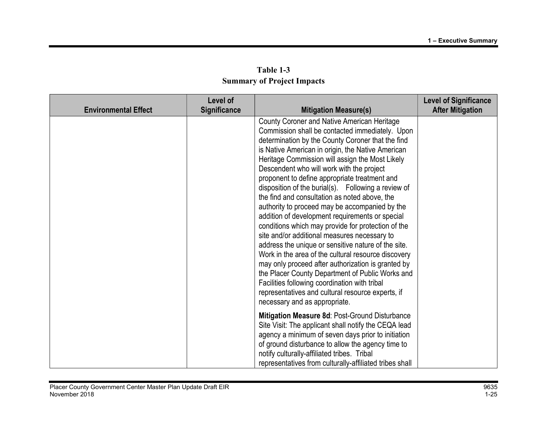| <b>Environmental Effect</b> | <b>Level of</b><br><b>Significance</b> | <b>Mitigation Measure(s)</b>                                                                                                                                                                                                                                                                                                                                                                                                                                                                                                                                                                                                                                                                                                                                                                                                                                                                                                                                                                                                                       | <b>Level of Significance</b><br><b>After Mitigation</b> |
|-----------------------------|----------------------------------------|----------------------------------------------------------------------------------------------------------------------------------------------------------------------------------------------------------------------------------------------------------------------------------------------------------------------------------------------------------------------------------------------------------------------------------------------------------------------------------------------------------------------------------------------------------------------------------------------------------------------------------------------------------------------------------------------------------------------------------------------------------------------------------------------------------------------------------------------------------------------------------------------------------------------------------------------------------------------------------------------------------------------------------------------------|---------------------------------------------------------|
|                             |                                        | <b>County Coroner and Native American Heritage</b><br>Commission shall be contacted immediately. Upon<br>determination by the County Coroner that the find<br>is Native American in origin, the Native American<br>Heritage Commission will assign the Most Likely<br>Descendent who will work with the project<br>proponent to define appropriate treatment and<br>disposition of the burial(s). Following a review of<br>the find and consultation as noted above, the<br>authority to proceed may be accompanied by the<br>addition of development requirements or special<br>conditions which may provide for protection of the<br>site and/or additional measures necessary to<br>address the unique or sensitive nature of the site.<br>Work in the area of the cultural resource discovery<br>may only proceed after authorization is granted by<br>the Placer County Department of Public Works and<br>Facilities following coordination with tribal<br>representatives and cultural resource experts, if<br>necessary and as appropriate. |                                                         |
|                             |                                        | Mitigation Measure 8d: Post-Ground Disturbance<br>Site Visit: The applicant shall notify the CEQA lead<br>agency a minimum of seven days prior to initiation<br>of ground disturbance to allow the agency time to<br>notify culturally-affiliated tribes. Tribal<br>representatives from culturally-affiliated tribes shall                                                                                                                                                                                                                                                                                                                                                                                                                                                                                                                                                                                                                                                                                                                        |                                                         |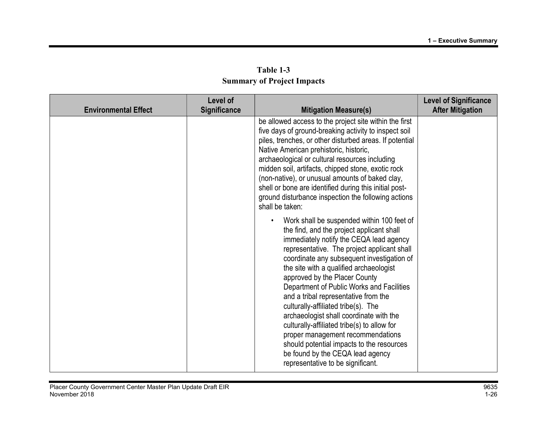| Table 1-3                         |  |  |  |  |
|-----------------------------------|--|--|--|--|
| <b>Summary of Project Impacts</b> |  |  |  |  |

| <b>Environmental Effect</b> | <b>Level of</b><br><b>Significance</b> | <b>Mitigation Measure(s)</b>                                                                                                                                                                                                                                                                                                                                                                                                                                                                                                                                                                                                                                                                 | <b>Level of Significance</b><br><b>After Mitigation</b> |
|-----------------------------|----------------------------------------|----------------------------------------------------------------------------------------------------------------------------------------------------------------------------------------------------------------------------------------------------------------------------------------------------------------------------------------------------------------------------------------------------------------------------------------------------------------------------------------------------------------------------------------------------------------------------------------------------------------------------------------------------------------------------------------------|---------------------------------------------------------|
|                             |                                        | be allowed access to the project site within the first<br>five days of ground-breaking activity to inspect soil<br>piles, trenches, or other disturbed areas. If potential<br>Native American prehistoric, historic,<br>archaeological or cultural resources including<br>midden soil, artifacts, chipped stone, exotic rock<br>(non-native), or unusual amounts of baked clay,<br>shell or bone are identified during this initial post-<br>ground disturbance inspection the following actions<br>shall be taken:                                                                                                                                                                          |                                                         |
|                             |                                        | Work shall be suspended within 100 feet of<br>the find, and the project applicant shall<br>immediately notify the CEQA lead agency<br>representative. The project applicant shall<br>coordinate any subsequent investigation of<br>the site with a qualified archaeologist<br>approved by the Placer County<br>Department of Public Works and Facilities<br>and a tribal representative from the<br>culturally-affiliated tribe(s). The<br>archaeologist shall coordinate with the<br>culturally-affiliated tribe(s) to allow for<br>proper management recommendations<br>should potential impacts to the resources<br>be found by the CEQA lead agency<br>representative to be significant. |                                                         |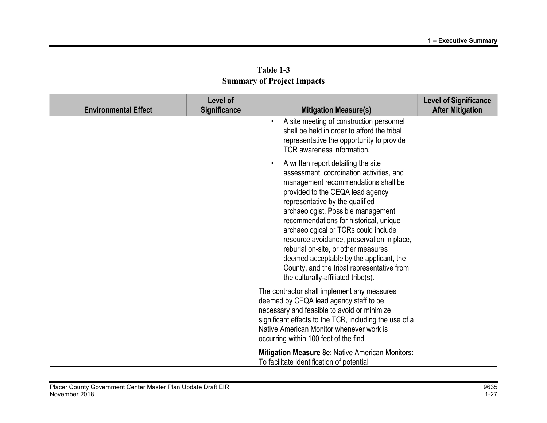| <b>Environmental Effect</b> | Level of<br><b>Significance</b> | <b>Mitigation Measure(s)</b>                                                                                                                                                                                                                                                                                                                                                                                                                                                                                                               | <b>Level of Significance</b><br><b>After Mitigation</b> |
|-----------------------------|---------------------------------|--------------------------------------------------------------------------------------------------------------------------------------------------------------------------------------------------------------------------------------------------------------------------------------------------------------------------------------------------------------------------------------------------------------------------------------------------------------------------------------------------------------------------------------------|---------------------------------------------------------|
|                             |                                 | A site meeting of construction personnel<br>$\bullet$<br>shall be held in order to afford the tribal<br>representative the opportunity to provide<br>TCR awareness information.                                                                                                                                                                                                                                                                                                                                                            |                                                         |
|                             |                                 | A written report detailing the site<br>assessment, coordination activities, and<br>management recommendations shall be<br>provided to the CEQA lead agency<br>representative by the qualified<br>archaeologist. Possible management<br>recommendations for historical, unique<br>archaeological or TCRs could include<br>resource avoidance, preservation in place,<br>reburial on-site, or other measures<br>deemed acceptable by the applicant, the<br>County, and the tribal representative from<br>the culturally-affiliated tribe(s). |                                                         |
|                             |                                 | The contractor shall implement any measures<br>deemed by CEQA lead agency staff to be<br>necessary and feasible to avoid or minimize<br>significant effects to the TCR, including the use of a<br>Native American Monitor whenever work is<br>occurring within 100 feet of the find                                                                                                                                                                                                                                                        |                                                         |
|                             |                                 | Mitigation Measure 8e: Native American Monitors:<br>To facilitate identification of potential                                                                                                                                                                                                                                                                                                                                                                                                                                              |                                                         |

Table 1-3 Summary of Project Impacts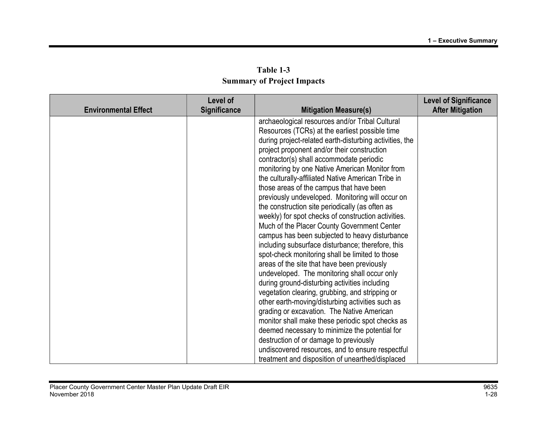| Table 1-3                         |  |  |  |  |
|-----------------------------------|--|--|--|--|
| <b>Summary of Project Impacts</b> |  |  |  |  |

|                             | Level of     |                                                         | <b>Level of Significance</b> |
|-----------------------------|--------------|---------------------------------------------------------|------------------------------|
| <b>Environmental Effect</b> | Significance | <b>Mitigation Measure(s)</b>                            | <b>After Mitigation</b>      |
|                             |              | archaeological resources and/or Tribal Cultural         |                              |
|                             |              | Resources (TCRs) at the earliest possible time          |                              |
|                             |              | during project-related earth-disturbing activities, the |                              |
|                             |              | project proponent and/or their construction             |                              |
|                             |              | contractor(s) shall accommodate periodic                |                              |
|                             |              | monitoring by one Native American Monitor from          |                              |
|                             |              | the culturally-affiliated Native American Tribe in      |                              |
|                             |              | those areas of the campus that have been                |                              |
|                             |              | previously undeveloped. Monitoring will occur on        |                              |
|                             |              | the construction site periodically (as often as         |                              |
|                             |              | weekly) for spot checks of construction activities.     |                              |
|                             |              | Much of the Placer County Government Center             |                              |
|                             |              | campus has been subjected to heavy disturbance          |                              |
|                             |              | including subsurface disturbance; therefore, this       |                              |
|                             |              | spot-check monitoring shall be limited to those         |                              |
|                             |              | areas of the site that have been previously             |                              |
|                             |              | undeveloped. The monitoring shall occur only            |                              |
|                             |              | during ground-disturbing activities including           |                              |
|                             |              | vegetation clearing, grubbing, and stripping or         |                              |
|                             |              | other earth-moving/disturbing activities such as        |                              |
|                             |              | grading or excavation. The Native American              |                              |
|                             |              | monitor shall make these periodic spot checks as        |                              |
|                             |              | deemed necessary to minimize the potential for          |                              |
|                             |              | destruction of or damage to previously                  |                              |
|                             |              | undiscovered resources, and to ensure respectful        |                              |
|                             |              | treatment and disposition of unearthed/displaced        |                              |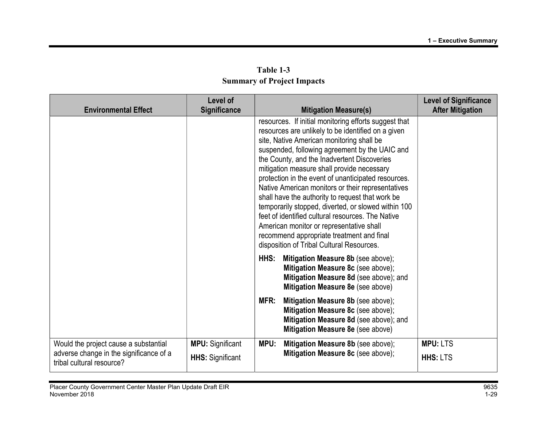| <b>Environmental Effect</b>                                          | Level of<br><b>Significance</b> |      | <b>Mitigation Measure(s)</b>                                                                                                                                                                                                                                                                                                                                                                                                                                                                                                                                                                                                                                                                                              | <b>Level of Significance</b><br><b>After Mitigation</b> |
|----------------------------------------------------------------------|---------------------------------|------|---------------------------------------------------------------------------------------------------------------------------------------------------------------------------------------------------------------------------------------------------------------------------------------------------------------------------------------------------------------------------------------------------------------------------------------------------------------------------------------------------------------------------------------------------------------------------------------------------------------------------------------------------------------------------------------------------------------------------|---------------------------------------------------------|
|                                                                      |                                 |      | resources. If initial monitoring efforts suggest that<br>resources are unlikely to be identified on a given<br>site, Native American monitoring shall be<br>suspended, following agreement by the UAIC and<br>the County, and the Inadvertent Discoveries<br>mitigation measure shall provide necessary<br>protection in the event of unanticipated resources.<br>Native American monitors or their representatives<br>shall have the authority to request that work be<br>temporarily stopped, diverted, or slowed within 100<br>feet of identified cultural resources. The Native<br>American monitor or representative shall<br>recommend appropriate treatment and final<br>disposition of Tribal Cultural Resources. |                                                         |
|                                                                      |                                 | HHS: | Mitigation Measure 8b (see above);<br>Mitigation Measure 8c (see above);<br>Mitigation Measure 8d (see above); and<br>Mitigation Measure 8e (see above)                                                                                                                                                                                                                                                                                                                                                                                                                                                                                                                                                                   |                                                         |
|                                                                      |                                 | MFR: | Mitigation Measure 8b (see above);<br>Mitigation Measure 8c (see above);<br>Mitigation Measure 8d (see above); and<br>Mitigation Measure 8e (see above)                                                                                                                                                                                                                                                                                                                                                                                                                                                                                                                                                                   |                                                         |
| Would the project cause a substantial                                | <b>MPU:</b> Significant         | MPU: | Mitigation Measure 8b (see above);                                                                                                                                                                                                                                                                                                                                                                                                                                                                                                                                                                                                                                                                                        | <b>MPU: LTS</b>                                         |
| adverse change in the significance of a<br>tribal cultural resource? | <b>HHS:</b> Significant         |      | Mitigation Measure 8c (see above);                                                                                                                                                                                                                                                                                                                                                                                                                                                                                                                                                                                                                                                                                        | <b>HHS: LTS</b>                                         |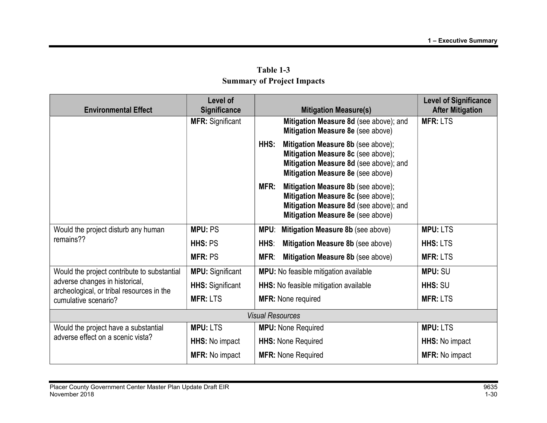| <b>Environmental Effect</b>                                                                                                                        | Level of<br><b>Significance</b> | <b>Mitigation Measure(s)</b>                                                                                                                                    | <b>Level of Significance</b><br><b>After Mitigation</b> |
|----------------------------------------------------------------------------------------------------------------------------------------------------|---------------------------------|-----------------------------------------------------------------------------------------------------------------------------------------------------------------|---------------------------------------------------------|
|                                                                                                                                                    | <b>MFR: Significant</b>         | Mitigation Measure 8d (see above); and<br>Mitigation Measure 8e (see above)                                                                                     | <b>MFR: LTS</b>                                         |
|                                                                                                                                                    |                                 | HHS:<br>Mitigation Measure 8b (see above);<br>Mitigation Measure 8c (see above);<br>Mitigation Measure 8d (see above); and<br>Mitigation Measure 8e (see above) |                                                         |
|                                                                                                                                                    |                                 | MFR:<br>Mitigation Measure 8b (see above);<br>Mitigation Measure 8c (see above);<br>Mitigation Measure 8d (see above); and<br>Mitigation Measure 8e (see above) |                                                         |
| Would the project disturb any human<br>remains??                                                                                                   | <b>MPU: PS</b>                  | Mitigation Measure 8b (see above)<br>MPU:                                                                                                                       | <b>MPU: LTS</b>                                         |
|                                                                                                                                                    | HHS: PS                         | HHS:<br>Mitigation Measure 8b (see above)                                                                                                                       | <b>HHS: LTS</b>                                         |
|                                                                                                                                                    | <b>MFR: PS</b>                  | MFR:<br>Mitigation Measure 8b (see above)                                                                                                                       | <b>MFR: LTS</b>                                         |
| Would the project contribute to substantial<br>adverse changes in historical,<br>archeological, or tribal resources in the<br>cumulative scenario? | <b>MPU:</b> Significant         | MPU: No feasible mitigation available                                                                                                                           | <b>MPU: SU</b>                                          |
|                                                                                                                                                    | <b>HHS:</b> Significant         | HHS: No feasible mitigation available                                                                                                                           | HHS: SU                                                 |
|                                                                                                                                                    | <b>MFR: LTS</b>                 | <b>MFR: None required</b>                                                                                                                                       | <b>MFR: LTS</b>                                         |
|                                                                                                                                                    |                                 | <b>Visual Resources</b>                                                                                                                                         |                                                         |
| Would the project have a substantial                                                                                                               | <b>MPU: LTS</b>                 | <b>MPU:</b> None Required                                                                                                                                       | <b>MPU: LTS</b>                                         |
| adverse effect on a scenic vista?                                                                                                                  | <b>HHS:</b> No impact           | <b>HHS: None Required</b>                                                                                                                                       | <b>HHS:</b> No impact                                   |
|                                                                                                                                                    | <b>MFR: No impact</b>           | <b>MFR: None Required</b>                                                                                                                                       | <b>MFR: No impact</b>                                   |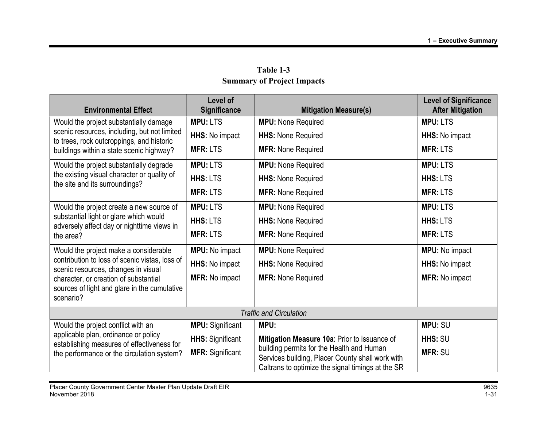| <b>Environmental Effect</b>                                                                        | <b>Level of</b><br><b>Significance</b> | <b>Mitigation Measure(s)</b>                                                                                                                       | <b>Level of Significance</b><br><b>After Mitigation</b> |
|----------------------------------------------------------------------------------------------------|----------------------------------------|----------------------------------------------------------------------------------------------------------------------------------------------------|---------------------------------------------------------|
| Would the project substantially damage                                                             | <b>MPU: LTS</b>                        | <b>MPU: None Required</b>                                                                                                                          | <b>MPU: LTS</b>                                         |
| scenic resources, including, but not limited<br>to trees, rock outcroppings, and historic          | HHS: No impact                         | <b>HHS: None Required</b>                                                                                                                          | <b>HHS:</b> No impact                                   |
| buildings within a state scenic highway?                                                           | <b>MFR: LTS</b>                        | <b>MFR: None Required</b>                                                                                                                          | <b>MFR: LTS</b>                                         |
| Would the project substantially degrade                                                            | <b>MPU: LTS</b>                        | <b>MPU:</b> None Required                                                                                                                          | <b>MPU: LTS</b>                                         |
| the existing visual character or quality of<br>the site and its surroundings?                      | <b>HHS: LTS</b>                        | <b>HHS: None Required</b>                                                                                                                          | <b>HHS: LTS</b>                                         |
|                                                                                                    | <b>MFR: LTS</b>                        | <b>MFR: None Required</b>                                                                                                                          | <b>MFR: LTS</b>                                         |
| Would the project create a new source of                                                           | <b>MPU: LTS</b>                        | <b>MPU:</b> None Required                                                                                                                          | <b>MPU: LTS</b>                                         |
| substantial light or glare which would<br>adversely affect day or nighttime views in               | <b>HHS: LTS</b>                        | <b>HHS: None Required</b>                                                                                                                          | <b>HHS: LTS</b>                                         |
| the area?                                                                                          | <b>MFR: LTS</b>                        | <b>MFR: None Required</b>                                                                                                                          | <b>MFR: LTS</b>                                         |
| Would the project make a considerable                                                              | <b>MPU:</b> No impact                  | <b>MPU:</b> None Required                                                                                                                          | <b>MPU:</b> No impact                                   |
| contribution to loss of scenic vistas, loss of<br>scenic resources, changes in visual              | HHS: No impact                         | <b>HHS: None Required</b>                                                                                                                          | HHS: No impact                                          |
| character, or creation of substantial<br>sources of light and glare in the cumulative<br>scenario? | <b>MFR: No impact</b>                  | <b>MFR: None Required</b>                                                                                                                          | <b>MFR: No impact</b>                                   |
|                                                                                                    |                                        |                                                                                                                                                    |                                                         |
|                                                                                                    |                                        | <b>Traffic and Circulation</b>                                                                                                                     |                                                         |
| Would the project conflict with an                                                                 | <b>MPU: Significant</b>                | MPU:                                                                                                                                               | <b>MPU: SU</b>                                          |
| applicable plan, ordinance or policy<br>establishing measures of effectiveness for                 | <b>HHS: Significant</b>                | Mitigation Measure 10a: Prior to issuance of                                                                                                       | HHS: SU                                                 |
| the performance or the circulation system?                                                         | <b>MFR: Significant</b>                | building permits for the Health and Human<br>Services building, Placer County shall work with<br>Caltrans to optimize the signal timings at the SR | <b>MFR: SU</b>                                          |

Table 1-3 Summary of Project Impacts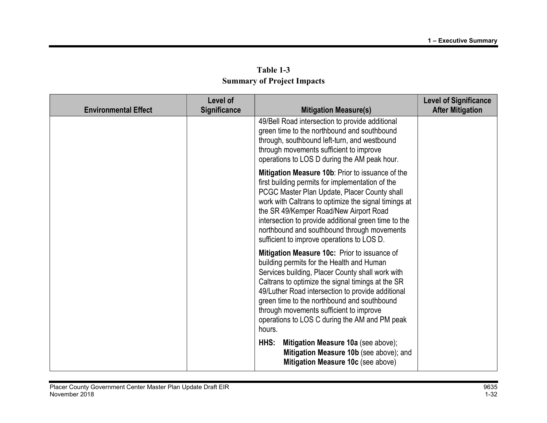| Table 1-3                         |
|-----------------------------------|
| <b>Summary of Project Impacts</b> |

| <b>Environmental Effect</b> | Level of<br>Significance | <b>Mitigation Measure(s)</b>                                                                                                                                                                                                                                                                                                                                                                                 | <b>Level of Significance</b><br><b>After Mitigation</b> |
|-----------------------------|--------------------------|--------------------------------------------------------------------------------------------------------------------------------------------------------------------------------------------------------------------------------------------------------------------------------------------------------------------------------------------------------------------------------------------------------------|---------------------------------------------------------|
|                             |                          | 49/Bell Road intersection to provide additional<br>green time to the northbound and southbound<br>through, southbound left-turn, and westbound<br>through movements sufficient to improve<br>operations to LOS D during the AM peak hour.                                                                                                                                                                    |                                                         |
|                             |                          | Mitigation Measure 10b: Prior to issuance of the<br>first building permits for implementation of the<br>PCGC Master Plan Update, Placer County shall<br>work with Caltrans to optimize the signal timings at<br>the SR 49/Kemper Road/New Airport Road<br>intersection to provide additional green time to the<br>northbound and southbound through movements<br>sufficient to improve operations to LOS D.  |                                                         |
|                             |                          | Mitigation Measure 10c: Prior to issuance of<br>building permits for the Health and Human<br>Services building, Placer County shall work with<br>Caltrans to optimize the signal timings at the SR<br>49/Luther Road intersection to provide additional<br>green time to the northbound and southbound<br>through movements sufficient to improve<br>operations to LOS C during the AM and PM peak<br>hours. |                                                         |
|                             |                          | Mitigation Measure 10a (see above);<br>HHS:<br>Mitigation Measure 10b (see above); and<br>Mitigation Measure 10c (see above)                                                                                                                                                                                                                                                                                 |                                                         |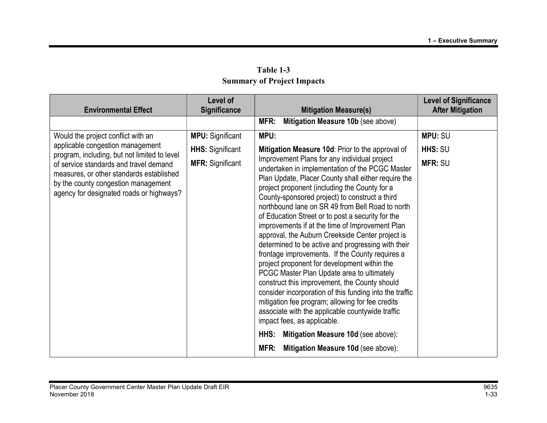|                                                                                                                                                                       | Level of                |                                                                                                                                                                                                                                                                                                                                                                                                                                                                                                                                                                                                                                                                                                                                                                                                                                                                                                                                                                                    | <b>Level of Significance</b> |
|-----------------------------------------------------------------------------------------------------------------------------------------------------------------------|-------------------------|------------------------------------------------------------------------------------------------------------------------------------------------------------------------------------------------------------------------------------------------------------------------------------------------------------------------------------------------------------------------------------------------------------------------------------------------------------------------------------------------------------------------------------------------------------------------------------------------------------------------------------------------------------------------------------------------------------------------------------------------------------------------------------------------------------------------------------------------------------------------------------------------------------------------------------------------------------------------------------|------------------------------|
| <b>Environmental Effect</b>                                                                                                                                           | <b>Significance</b>     | <b>Mitigation Measure(s)</b>                                                                                                                                                                                                                                                                                                                                                                                                                                                                                                                                                                                                                                                                                                                                                                                                                                                                                                                                                       | <b>After Mitigation</b>      |
|                                                                                                                                                                       |                         | Mitigation Measure 10b (see above)<br>MFR:                                                                                                                                                                                                                                                                                                                                                                                                                                                                                                                                                                                                                                                                                                                                                                                                                                                                                                                                         |                              |
| Would the project conflict with an                                                                                                                                    | <b>MPU:</b> Significant | MPU:                                                                                                                                                                                                                                                                                                                                                                                                                                                                                                                                                                                                                                                                                                                                                                                                                                                                                                                                                                               | <b>MPU: SU</b>               |
| applicable congestion management<br>program, including, but not limited to level                                                                                      | <b>HHS:</b> Significant | Mitigation Measure 10d: Prior to the approval of                                                                                                                                                                                                                                                                                                                                                                                                                                                                                                                                                                                                                                                                                                                                                                                                                                                                                                                                   | HHS: SU                      |
| of service standards and travel demand<br>measures, or other standards established<br>by the county congestion management<br>agency for designated roads or highways? | <b>MFR: Significant</b> | Improvement Plans for any individual project<br>undertaken in implementation of the PCGC Master<br>Plan Update, Placer County shall either require the<br>project proponent (including the County for a<br>County-sponsored project) to construct a third<br>northbound lane on SR 49 from Bell Road to north<br>of Education Street or to post a security for the<br>improvements if at the time of Improvement Plan<br>approval, the Auburn Creekside Center project is<br>determined to be active and progressing with their<br>frontage improvements. If the County requires a<br>project proponent for development within the<br>PCGC Master Plan Update area to ultimately<br>construct this improvement, the County should<br>consider incorporation of this funding into the traffic<br>mitigation fee program; allowing for fee credits<br>associate with the applicable countywide traffic<br>impact fees, as applicable.<br>HHS:<br>Mitigation Measure 10d (see above): | <b>MFR: SU</b>               |
|                                                                                                                                                                       |                         | MFR:<br>Mitigation Measure 10d (see above):                                                                                                                                                                                                                                                                                                                                                                                                                                                                                                                                                                                                                                                                                                                                                                                                                                                                                                                                        |                              |

Table 1-3 Summary of Project Impacts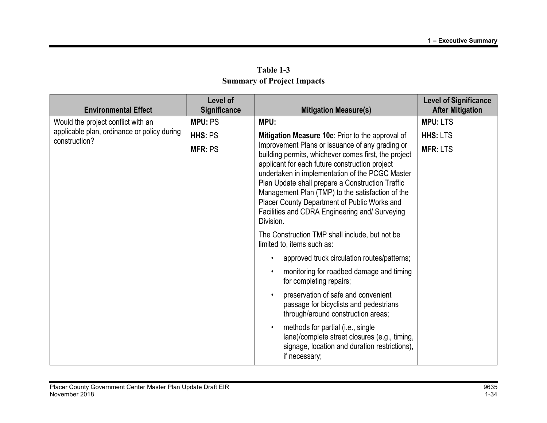|                                                                                                    | Level of       |                                                                                                                                                                                                                                                                                                                                                                                                                                                                                         | <b>Level of Significance</b> |
|----------------------------------------------------------------------------------------------------|----------------|-----------------------------------------------------------------------------------------------------------------------------------------------------------------------------------------------------------------------------------------------------------------------------------------------------------------------------------------------------------------------------------------------------------------------------------------------------------------------------------------|------------------------------|
| <b>Environmental Effect</b>                                                                        | Significance   | <b>Mitigation Measure(s)</b>                                                                                                                                                                                                                                                                                                                                                                                                                                                            | <b>After Mitigation</b>      |
| Would the project conflict with an<br>applicable plan, ordinance or policy during<br>construction? | <b>MPU: PS</b> | MPU:                                                                                                                                                                                                                                                                                                                                                                                                                                                                                    | <b>MPU: LTS</b>              |
|                                                                                                    | HHS: PS        | Mitigation Measure 10e: Prior to the approval of<br>Improvement Plans or issuance of any grading or<br>building permits, whichever comes first, the project<br>applicant for each future construction project<br>undertaken in implementation of the PCGC Master<br>Plan Update shall prepare a Construction Traffic<br>Management Plan (TMP) to the satisfaction of the<br>Placer County Department of Public Works and<br>Facilities and CDRA Engineering and/ Surveying<br>Division. | <b>HHS: LTS</b>              |
|                                                                                                    | <b>MFR: PS</b> |                                                                                                                                                                                                                                                                                                                                                                                                                                                                                         | <b>MFR: LTS</b>              |
|                                                                                                    |                | The Construction TMP shall include, but not be<br>limited to, items such as:                                                                                                                                                                                                                                                                                                                                                                                                            |                              |
|                                                                                                    |                | approved truck circulation routes/patterns;<br>$\bullet$                                                                                                                                                                                                                                                                                                                                                                                                                                |                              |
|                                                                                                    |                | monitoring for roadbed damage and timing<br>for completing repairs;                                                                                                                                                                                                                                                                                                                                                                                                                     |                              |
|                                                                                                    |                | preservation of safe and convenient<br>passage for bicyclists and pedestrians<br>through/around construction areas;                                                                                                                                                                                                                                                                                                                                                                     |                              |
|                                                                                                    |                | methods for partial (i.e., single<br>$\bullet$<br>lane)/complete street closures (e.g., timing,<br>signage, location and duration restrictions),<br>if necessary;                                                                                                                                                                                                                                                                                                                       |                              |

Table 1-3 Summary of Project Impacts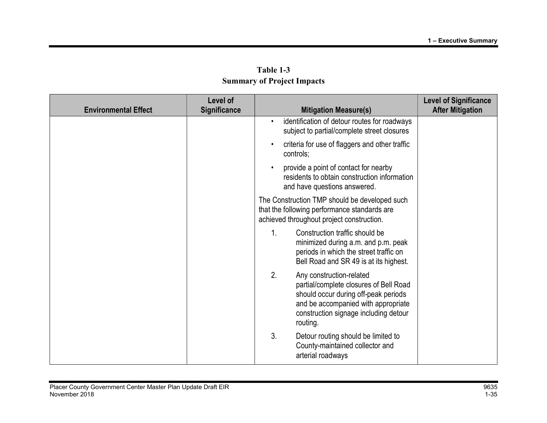|                             | Level of            |                                                                                                                                                                                                              | <b>Level of Significance</b> |
|-----------------------------|---------------------|--------------------------------------------------------------------------------------------------------------------------------------------------------------------------------------------------------------|------------------------------|
| <b>Environmental Effect</b> | <b>Significance</b> | <b>Mitigation Measure(s)</b>                                                                                                                                                                                 | <b>After Mitigation</b>      |
|                             |                     | identification of detour routes for roadways<br>$\bullet$<br>subject to partial/complete street closures                                                                                                     |                              |
|                             |                     | criteria for use of flaggers and other traffic<br>$\bullet$<br>controls;                                                                                                                                     |                              |
|                             |                     | provide a point of contact for nearby<br>residents to obtain construction information<br>and have questions answered.                                                                                        |                              |
|                             |                     | The Construction TMP should be developed such<br>that the following performance standards are<br>achieved throughout project construction.                                                                   |                              |
|                             |                     | 1.<br>Construction traffic should be<br>minimized during a.m. and p.m. peak<br>periods in which the street traffic on<br>Bell Road and SR 49 is at its highest.                                              |                              |
|                             |                     | 2.<br>Any construction-related<br>partial/complete closures of Bell Road<br>should occur during off-peak periods<br>and be accompanied with appropriate<br>construction signage including detour<br>routing. |                              |
|                             |                     | 3.<br>Detour routing should be limited to<br>County-maintained collector and<br>arterial roadways                                                                                                            |                              |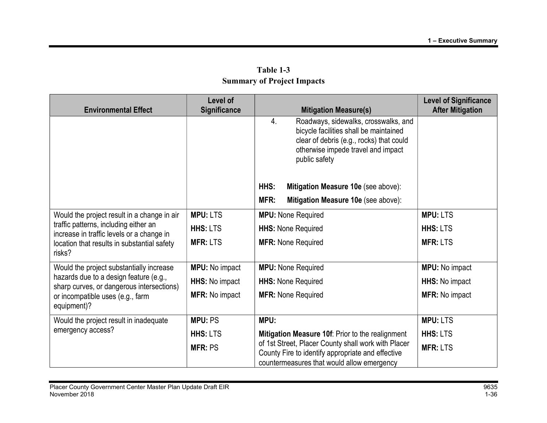| <b>Environmental Effect</b>                                                                                                                                                        | Level of<br><b>Significance</b> | <b>Mitigation Measure(s)</b>                                                                                                                                                            | <b>Level of Significance</b><br><b>After Mitigation</b> |
|------------------------------------------------------------------------------------------------------------------------------------------------------------------------------------|---------------------------------|-----------------------------------------------------------------------------------------------------------------------------------------------------------------------------------------|---------------------------------------------------------|
|                                                                                                                                                                                    |                                 | Roadways, sidewalks, crosswalks, and<br>4.<br>bicycle facilities shall be maintained<br>clear of debris (e.g., rocks) that could<br>otherwise impede travel and impact<br>public safety |                                                         |
|                                                                                                                                                                                    |                                 | HHS:<br>Mitigation Measure 10e (see above):                                                                                                                                             |                                                         |
|                                                                                                                                                                                    |                                 | MFR:<br>Mitigation Measure 10e (see above):                                                                                                                                             |                                                         |
| Would the project result in a change in air                                                                                                                                        | <b>MPU: LTS</b>                 | <b>MPU:</b> None Required                                                                                                                                                               | <b>MPU: LTS</b>                                         |
| traffic patterns, including either an<br>increase in traffic levels or a change in                                                                                                 | <b>HHS: LTS</b>                 | <b>HHS: None Required</b>                                                                                                                                                               | <b>HHS: LTS</b>                                         |
| location that results in substantial safety<br>risks?                                                                                                                              | <b>MFR: LTS</b>                 | <b>MFR: None Required</b>                                                                                                                                                               | <b>MFR: LTS</b>                                         |
| Would the project substantially increase<br>hazards due to a design feature (e.g.,<br>sharp curves, or dangerous intersections)<br>or incompatible uses (e.g., farm<br>equipment)? | <b>MPU:</b> No impact           | <b>MPU:</b> None Required                                                                                                                                                               | <b>MPU:</b> No impact                                   |
|                                                                                                                                                                                    | HHS: No impact                  | <b>HHS: None Required</b>                                                                                                                                                               | HHS: No impact                                          |
|                                                                                                                                                                                    | <b>MFR: No impact</b>           | <b>MFR: None Required</b>                                                                                                                                                               | <b>MFR: No impact</b>                                   |
| Would the project result in inadequate                                                                                                                                             | <b>MPU: PS</b>                  | MPU:                                                                                                                                                                                    | <b>MPU: LTS</b>                                         |
| emergency access?                                                                                                                                                                  | HHS: LTS                        | Mitigation Measure 10f: Prior to the realignment                                                                                                                                        | <b>HHS: LTS</b>                                         |
|                                                                                                                                                                                    | <b>MFR: PS</b>                  | of 1st Street, Placer County shall work with Placer<br>County Fire to identify appropriate and effective<br>countermeasures that would allow emergency                                  | <b>MFR: LTS</b>                                         |

Table 1-3 Summary of Project Impacts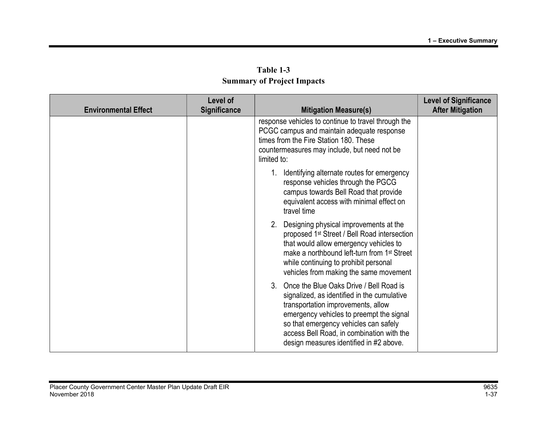| Table 1-3                         |  |  |  |  |
|-----------------------------------|--|--|--|--|
| <b>Summary of Project Impacts</b> |  |  |  |  |

| <b>Environmental Effect</b> | Level of<br><b>Significance</b> | <b>Mitigation Measure(s)</b>                                                                                                                                                                                                                                                                                 | <b>Level of Significance</b><br><b>After Mitigation</b> |
|-----------------------------|---------------------------------|--------------------------------------------------------------------------------------------------------------------------------------------------------------------------------------------------------------------------------------------------------------------------------------------------------------|---------------------------------------------------------|
|                             |                                 | response vehicles to continue to travel through the<br>PCGC campus and maintain adequate response<br>times from the Fire Station 180. These<br>countermeasures may include, but need not be<br>limited to:                                                                                                   |                                                         |
|                             |                                 | Identifying alternate routes for emergency<br>response vehicles through the PGCG<br>campus towards Bell Road that provide<br>equivalent access with minimal effect on<br>travel time                                                                                                                         |                                                         |
|                             |                                 | Designing physical improvements at the<br>2.<br>proposed 1 <sup>st</sup> Street / Bell Road intersection<br>that would allow emergency vehicles to<br>make a northbound left-turn from 1 <sup>st</sup> Street<br>while continuing to prohibit personal<br>vehicles from making the same movement             |                                                         |
|                             |                                 | 3. Once the Blue Oaks Drive / Bell Road is<br>signalized, as identified in the cumulative<br>transportation improvements, allow<br>emergency vehicles to preempt the signal<br>so that emergency vehicles can safely<br>access Bell Road, in combination with the<br>design measures identified in #2 above. |                                                         |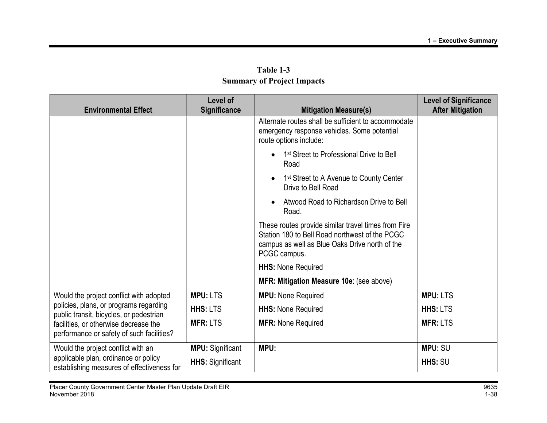| <b>Environmental Effect</b>                                                        | Level of<br><b>Significance</b> | <b>Mitigation Measure(s)</b>                                                                                                                                            | <b>Level of Significance</b><br><b>After Mitigation</b> |
|------------------------------------------------------------------------------------|---------------------------------|-------------------------------------------------------------------------------------------------------------------------------------------------------------------------|---------------------------------------------------------|
|                                                                                    |                                 | Alternate routes shall be sufficient to accommodate<br>emergency response vehicles. Some potential<br>route options include:                                            |                                                         |
|                                                                                    |                                 | 1 <sup>st</sup> Street to Professional Drive to Bell<br>$\bullet$<br>Road                                                                                               |                                                         |
|                                                                                    |                                 | 1 <sup>st</sup> Street to A Avenue to County Center<br>$\bullet$<br>Drive to Bell Road                                                                                  |                                                         |
|                                                                                    |                                 | Atwood Road to Richardson Drive to Bell<br>Road.                                                                                                                        |                                                         |
|                                                                                    |                                 | These routes provide similar travel times from Fire<br>Station 180 to Bell Road northwest of the PCGC<br>campus as well as Blue Oaks Drive north of the<br>PCGC campus. |                                                         |
|                                                                                    |                                 | <b>HHS: None Required</b>                                                                                                                                               |                                                         |
|                                                                                    |                                 | MFR: Mitigation Measure 10e: (see above)                                                                                                                                |                                                         |
| Would the project conflict with adopted                                            | <b>MPU: LTS</b>                 | <b>MPU:</b> None Required                                                                                                                                               | <b>MPU: LTS</b>                                         |
| policies, plans, or programs regarding<br>public transit, bicycles, or pedestrian  | <b>HHS: LTS</b>                 | <b>HHS: None Required</b>                                                                                                                                               | <b>HHS: LTS</b>                                         |
| facilities, or otherwise decrease the<br>performance or safety of such facilities? | <b>MFR: LTS</b>                 | <b>MFR: None Required</b>                                                                                                                                               | <b>MFR: LTS</b>                                         |
| Would the project conflict with an                                                 | <b>MPU:</b> Significant         | MPU:                                                                                                                                                                    | <b>MPU: SU</b>                                          |
| applicable plan, ordinance or policy<br>establishing measures of effectiveness for | <b>HHS:</b> Significant         |                                                                                                                                                                         | HHS: SU                                                 |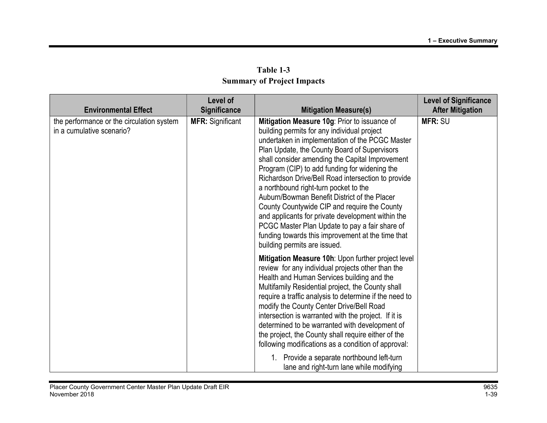|                                                                                                       | Level of                                       |                                                                                                                                                                                                                                                                                                                                                                                                                                                                                                                                                                                                                                                                                                                               | <b>Level of Significance</b>              |
|-------------------------------------------------------------------------------------------------------|------------------------------------------------|-------------------------------------------------------------------------------------------------------------------------------------------------------------------------------------------------------------------------------------------------------------------------------------------------------------------------------------------------------------------------------------------------------------------------------------------------------------------------------------------------------------------------------------------------------------------------------------------------------------------------------------------------------------------------------------------------------------------------------|-------------------------------------------|
| <b>Environmental Effect</b><br>the performance or the circulation system<br>in a cumulative scenario? | <b>Significance</b><br><b>MFR: Significant</b> | <b>Mitigation Measure(s)</b><br>Mitigation Measure 10g: Prior to issuance of<br>building permits for any individual project<br>undertaken in implementation of the PCGC Master<br>Plan Update, the County Board of Supervisors<br>shall consider amending the Capital Improvement<br>Program (CIP) to add funding for widening the<br>Richardson Drive/Bell Road intersection to provide<br>a northbound right-turn pocket to the<br>Auburn/Bowman Benefit District of the Placer<br>County Countywide CIP and require the County<br>and applicants for private development within the<br>PCGC Master Plan Update to pay a fair share of<br>funding towards this improvement at the time that<br>building permits are issued. | <b>After Mitigation</b><br><b>MFR: SU</b> |
|                                                                                                       |                                                | Mitigation Measure 10h: Upon further project level<br>review for any individual projects other than the<br>Health and Human Services building and the<br>Multifamily Residential project, the County shall<br>require a traffic analysis to determine if the need to<br>modify the County Center Drive/Bell Road<br>intersection is warranted with the project. If it is<br>determined to be warranted with development of<br>the project, the County shall require either of the<br>following modifications as a condition of approval:<br>1. Provide a separate northbound left-turn<br>lane and right-turn lane while modifying                                                                                            |                                           |

Table 1-3 Summary of Project Impacts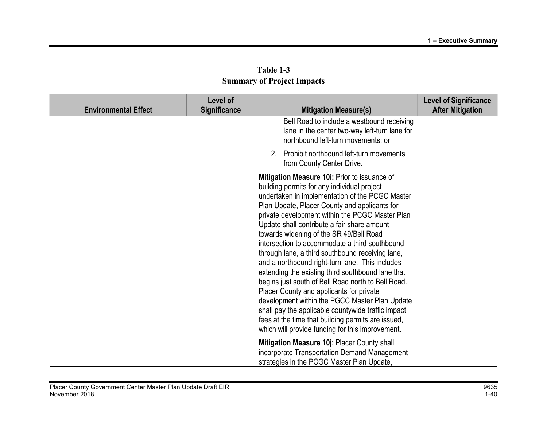| <b>Environmental Effect</b> | Level of<br><b>Significance</b> | <b>Mitigation Measure(s)</b>                                                                                                                                                                                                                                                                                                                                                                                                                                                                                                                                                                                                                                                                                                                                                                                                                                                   | <b>Level of Significance</b><br><b>After Mitigation</b> |
|-----------------------------|---------------------------------|--------------------------------------------------------------------------------------------------------------------------------------------------------------------------------------------------------------------------------------------------------------------------------------------------------------------------------------------------------------------------------------------------------------------------------------------------------------------------------------------------------------------------------------------------------------------------------------------------------------------------------------------------------------------------------------------------------------------------------------------------------------------------------------------------------------------------------------------------------------------------------|---------------------------------------------------------|
|                             |                                 | Bell Road to include a westbound receiving<br>lane in the center two-way left-turn lane for<br>northbound left-turn movements; or                                                                                                                                                                                                                                                                                                                                                                                                                                                                                                                                                                                                                                                                                                                                              |                                                         |
|                             |                                 | Prohibit northbound left-turn movements<br>2.<br>from County Center Drive.                                                                                                                                                                                                                                                                                                                                                                                                                                                                                                                                                                                                                                                                                                                                                                                                     |                                                         |
|                             |                                 | Mitigation Measure 10i: Prior to issuance of<br>building permits for any individual project<br>undertaken in implementation of the PCGC Master<br>Plan Update, Placer County and applicants for<br>private development within the PCGC Master Plan<br>Update shall contribute a fair share amount<br>towards widening of the SR 49/Bell Road<br>intersection to accommodate a third southbound<br>through lane, a third southbound receiving lane,<br>and a northbound right-turn lane. This includes<br>extending the existing third southbound lane that<br>begins just south of Bell Road north to Bell Road.<br>Placer County and applicants for private<br>development within the PGCC Master Plan Update<br>shall pay the applicable countywide traffic impact<br>fees at the time that building permits are issued,<br>which will provide funding for this improvement. |                                                         |
|                             |                                 | Mitigation Measure 10j: Placer County shall<br>incorporate Transportation Demand Management<br>strategies in the PCGC Master Plan Update,                                                                                                                                                                                                                                                                                                                                                                                                                                                                                                                                                                                                                                                                                                                                      |                                                         |

Table 1-3 Summary of Project Impacts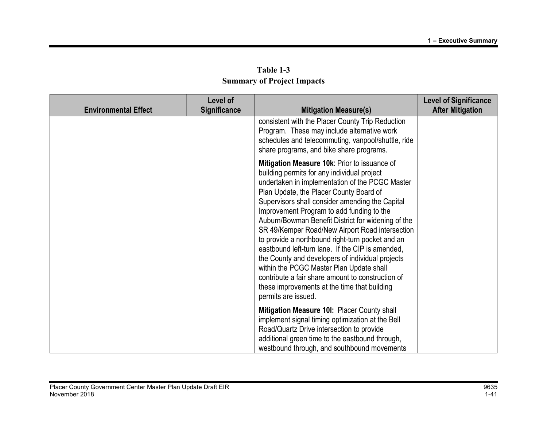| Table 1-3                         |  |  |  |  |
|-----------------------------------|--|--|--|--|
| <b>Summary of Project Impacts</b> |  |  |  |  |

| <b>Environmental Effect</b> | Level of<br><b>Significance</b> | <b>Mitigation Measure(s)</b>                                                                                                                                                                                                                                                                                                                                                                                                                                                                                                                                                                                                                                                                                                           | <b>Level of Significance</b><br><b>After Mitigation</b> |
|-----------------------------|---------------------------------|----------------------------------------------------------------------------------------------------------------------------------------------------------------------------------------------------------------------------------------------------------------------------------------------------------------------------------------------------------------------------------------------------------------------------------------------------------------------------------------------------------------------------------------------------------------------------------------------------------------------------------------------------------------------------------------------------------------------------------------|---------------------------------------------------------|
|                             |                                 | consistent with the Placer County Trip Reduction<br>Program. These may include alternative work<br>schedules and telecommuting, vanpool/shuttle, ride<br>share programs, and bike share programs.                                                                                                                                                                                                                                                                                                                                                                                                                                                                                                                                      |                                                         |
|                             |                                 | Mitigation Measure 10k: Prior to issuance of<br>building permits for any individual project<br>undertaken in implementation of the PCGC Master<br>Plan Update, the Placer County Board of<br>Supervisors shall consider amending the Capital<br>Improvement Program to add funding to the<br>Auburn/Bowman Benefit District for widening of the<br>SR 49/Kemper Road/New Airport Road intersection<br>to provide a northbound right-turn pocket and an<br>eastbound left-turn lane. If the CIP is amended,<br>the County and developers of individual projects<br>within the PCGC Master Plan Update shall<br>contribute a fair share amount to construction of<br>these improvements at the time that building<br>permits are issued. |                                                         |
|                             |                                 | Mitigation Measure 10I: Placer County shall<br>implement signal timing optimization at the Bell<br>Road/Quartz Drive intersection to provide<br>additional green time to the eastbound through,<br>westbound through, and southbound movements                                                                                                                                                                                                                                                                                                                                                                                                                                                                                         |                                                         |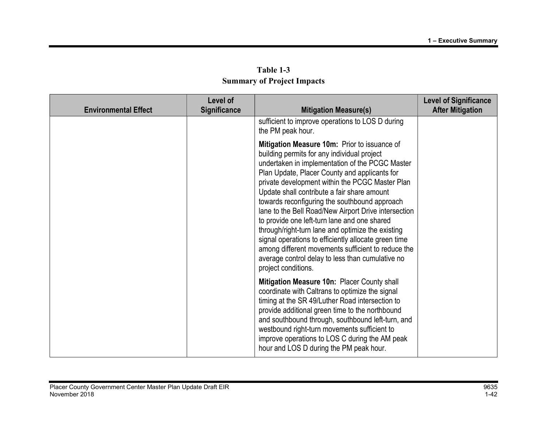| Level of<br>Significance<br><b>Environmental Effect</b> |  | <b>Mitigation Measure(s)</b>                                                                                                                                                                                                                                                                                                                                                                                                                                                                                                                                                                                                                                                                             | <b>Level of Significance</b><br><b>After Mitigation</b> |
|---------------------------------------------------------|--|----------------------------------------------------------------------------------------------------------------------------------------------------------------------------------------------------------------------------------------------------------------------------------------------------------------------------------------------------------------------------------------------------------------------------------------------------------------------------------------------------------------------------------------------------------------------------------------------------------------------------------------------------------------------------------------------------------|---------------------------------------------------------|
|                                                         |  | sufficient to improve operations to LOS D during<br>the PM peak hour.                                                                                                                                                                                                                                                                                                                                                                                                                                                                                                                                                                                                                                    |                                                         |
|                                                         |  | Mitigation Measure 10m: Prior to issuance of<br>building permits for any individual project<br>undertaken in implementation of the PCGC Master<br>Plan Update, Placer County and applicants for<br>private development within the PCGC Master Plan<br>Update shall contribute a fair share amount<br>towards reconfiguring the southbound approach<br>lane to the Bell Road/New Airport Drive intersection<br>to provide one left-turn lane and one shared<br>through/right-turn lane and optimize the existing<br>signal operations to efficiently allocate green time<br>among different movements sufficient to reduce the<br>average control delay to less than cumulative no<br>project conditions. |                                                         |
|                                                         |  | Mitigation Measure 10n: Placer County shall<br>coordinate with Caltrans to optimize the signal<br>timing at the SR 49/Luther Road intersection to<br>provide additional green time to the northbound<br>and southbound through, southbound left-turn, and<br>westbound right-turn movements sufficient to<br>improve operations to LOS C during the AM peak<br>hour and LOS D during the PM peak hour.                                                                                                                                                                                                                                                                                                   |                                                         |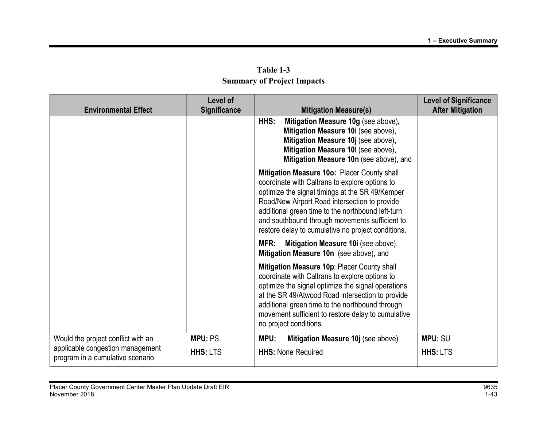|                                                                      | Level of        |                                                                                                                                                                                                                                                                                                                                                                | <b>Level of Significance</b> |
|----------------------------------------------------------------------|-----------------|----------------------------------------------------------------------------------------------------------------------------------------------------------------------------------------------------------------------------------------------------------------------------------------------------------------------------------------------------------------|------------------------------|
| <b>Environmental Effect</b>                                          | Significance    | <b>Mitigation Measure(s)</b>                                                                                                                                                                                                                                                                                                                                   | <b>After Mitigation</b>      |
|                                                                      |                 | Mitigation Measure 10g (see above),<br>HHS:<br>Mitigation Measure 10i (see above),<br>Mitigation Measure 10j (see above),<br>Mitigation Measure 10I (see above),<br>Mitigation Measure 10n (see above), and                                                                                                                                                    |                              |
|                                                                      |                 | Mitigation Measure 10o: Placer County shall<br>coordinate with Caltrans to explore options to<br>optimize the signal timings at the SR 49/Kemper<br>Road/New Airport Road intersection to provide<br>additional green time to the northbound left-turn<br>and southbound through movements sufficient to<br>restore delay to cumulative no project conditions. |                              |
|                                                                      |                 | Mitigation Measure 10i (see above),<br>MFR:<br>Mitigation Measure 10n (see above), and                                                                                                                                                                                                                                                                         |                              |
|                                                                      |                 | Mitigation Measure 10p: Placer County shall<br>coordinate with Caltrans to explore options to<br>optimize the signal optimize the signal operations<br>at the SR 49/Atwood Road intersection to provide<br>additional green time to the northbound through<br>movement sufficient to restore delay to cumulative<br>no project conditions.                     |                              |
| Would the project conflict with an                                   | <b>MPU: PS</b>  | MPU:<br>Mitigation Measure 10j (see above)                                                                                                                                                                                                                                                                                                                     | <b>MPU: SU</b>               |
| applicable congestion management<br>program in a cumulative scenario | <b>HHS: LTS</b> | <b>HHS: None Required</b>                                                                                                                                                                                                                                                                                                                                      | <b>HHS: LTS</b>              |

Table 1-3 Summary of Project Impacts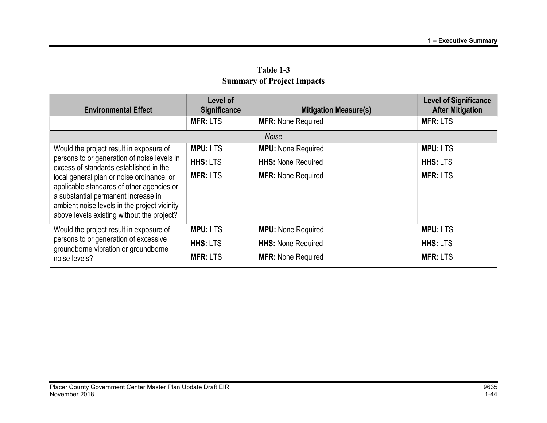| <b>Environmental Effect</b>                                                                                                                                                                                                 | Level of<br><b>Significance</b> | <b>Mitigation Measure(s)</b> | <b>Level of Significance</b><br><b>After Mitigation</b> |
|-----------------------------------------------------------------------------------------------------------------------------------------------------------------------------------------------------------------------------|---------------------------------|------------------------------|---------------------------------------------------------|
|                                                                                                                                                                                                                             | <b>MFR: LTS</b>                 | <b>MFR: None Required</b>    | <b>MFR: LTS</b>                                         |
|                                                                                                                                                                                                                             |                                 | <b>Noise</b>                 |                                                         |
| Would the project result in exposure of                                                                                                                                                                                     | <b>MPU: LTS</b>                 | <b>MPU:</b> None Required    | <b>MPU: LTS</b>                                         |
| persons to or generation of noise levels in<br>excess of standards established in the                                                                                                                                       | <b>HHS: LTS</b>                 | <b>HHS: None Required</b>    | <b>HHS: LTS</b>                                         |
| local general plan or noise ordinance, or<br>applicable standards of other agencies or<br>a substantial permanent increase in<br>ambient noise levels in the project vicinity<br>above levels existing without the project? | <b>MFR: LTS</b>                 | <b>MFR: None Required</b>    | <b>MFR: LTS</b>                                         |
| Would the project result in exposure of                                                                                                                                                                                     | <b>MPU: LTS</b>                 | <b>MPU:</b> None Required    | <b>MPU: LTS</b>                                         |
| persons to or generation of excessive<br>groundborne vibration or groundborne                                                                                                                                               | <b>HHS: LTS</b>                 | <b>HHS: None Required</b>    | <b>HHS: LTS</b>                                         |
| noise levels?                                                                                                                                                                                                               | <b>MFR: LTS</b>                 | <b>MFR: None Required</b>    | <b>MFR: LTS</b>                                         |

Table 1-3 Summary of Project Impacts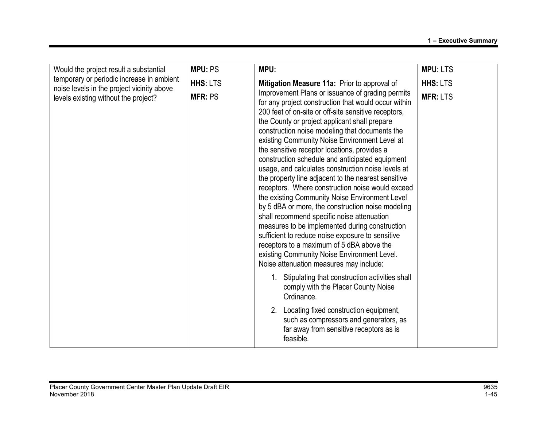| Would the project result a substantial                                                                                          | <b>MPU: PS</b>                    | MPU:                                                                                                                                                                                                                                                                                                                                                                                                                                                                                                                                                                                                                                                                                                                                                                                                                                                                                                                                                                                                                                       | <b>MPU: LTS</b>                    |
|---------------------------------------------------------------------------------------------------------------------------------|-----------------------------------|--------------------------------------------------------------------------------------------------------------------------------------------------------------------------------------------------------------------------------------------------------------------------------------------------------------------------------------------------------------------------------------------------------------------------------------------------------------------------------------------------------------------------------------------------------------------------------------------------------------------------------------------------------------------------------------------------------------------------------------------------------------------------------------------------------------------------------------------------------------------------------------------------------------------------------------------------------------------------------------------------------------------------------------------|------------------------------------|
| temporary or periodic increase in ambient<br>noise levels in the project vicinity above<br>levels existing without the project? | <b>HHS: LTS</b><br><b>MFR: PS</b> | Mitigation Measure 11a: Prior to approval of<br>Improvement Plans or issuance of grading permits<br>for any project construction that would occur within<br>200 feet of on-site or off-site sensitive receptors,<br>the County or project applicant shall prepare<br>construction noise modeling that documents the<br>existing Community Noise Environment Level at<br>the sensitive receptor locations, provides a<br>construction schedule and anticipated equipment<br>usage, and calculates construction noise levels at<br>the property line adjacent to the nearest sensitive<br>receptors. Where construction noise would exceed<br>the existing Community Noise Environment Level<br>by 5 dBA or more, the construction noise modeling<br>shall recommend specific noise attenuation<br>measures to be implemented during construction<br>sufficient to reduce noise exposure to sensitive<br>receptors to a maximum of 5 dBA above the<br>existing Community Noise Environment Level.<br>Noise attenuation measures may include: | <b>HHS: LTS</b><br><b>MFR: LTS</b> |
|                                                                                                                                 |                                   | Stipulating that construction activities shall<br>comply with the Placer County Noise<br>Ordinance.<br>2. Locating fixed construction equipment,<br>such as compressors and generators, as<br>far away from sensitive receptors as is<br>feasible.                                                                                                                                                                                                                                                                                                                                                                                                                                                                                                                                                                                                                                                                                                                                                                                         |                                    |
|                                                                                                                                 |                                   |                                                                                                                                                                                                                                                                                                                                                                                                                                                                                                                                                                                                                                                                                                                                                                                                                                                                                                                                                                                                                                            |                                    |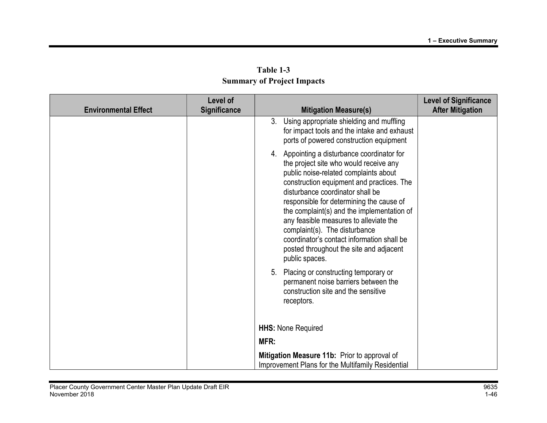|                             | Level of            |      |                                                                                                                                                                                                                                                                                                                                                                                                                                                                                                 | <b>Level of Significance</b> |
|-----------------------------|---------------------|------|-------------------------------------------------------------------------------------------------------------------------------------------------------------------------------------------------------------------------------------------------------------------------------------------------------------------------------------------------------------------------------------------------------------------------------------------------------------------------------------------------|------------------------------|
| <b>Environmental Effect</b> | <b>Significance</b> |      | <b>Mitigation Measure(s)</b>                                                                                                                                                                                                                                                                                                                                                                                                                                                                    | <b>After Mitigation</b>      |
|                             |                     |      | 3. Using appropriate shielding and muffling<br>for impact tools and the intake and exhaust<br>ports of powered construction equipment                                                                                                                                                                                                                                                                                                                                                           |                              |
|                             |                     |      | 4. Appointing a disturbance coordinator for<br>the project site who would receive any<br>public noise-related complaints about<br>construction equipment and practices. The<br>disturbance coordinator shall be<br>responsible for determining the cause of<br>the complaint(s) and the implementation of<br>any feasible measures to alleviate the<br>complaint(s). The disturbance<br>coordinator's contact information shall be<br>posted throughout the site and adjacent<br>public spaces. |                              |
|                             |                     |      | 5. Placing or constructing temporary or<br>permanent noise barriers between the<br>construction site and the sensitive<br>receptors.                                                                                                                                                                                                                                                                                                                                                            |                              |
|                             |                     |      | <b>HHS: None Required</b>                                                                                                                                                                                                                                                                                                                                                                                                                                                                       |                              |
|                             |                     | MFR: |                                                                                                                                                                                                                                                                                                                                                                                                                                                                                                 |                              |
|                             |                     |      | Mitigation Measure 11b: Prior to approval of<br>Improvement Plans for the Multifamily Residential                                                                                                                                                                                                                                                                                                                                                                                               |                              |

Table 1-3 Summary of Project Impacts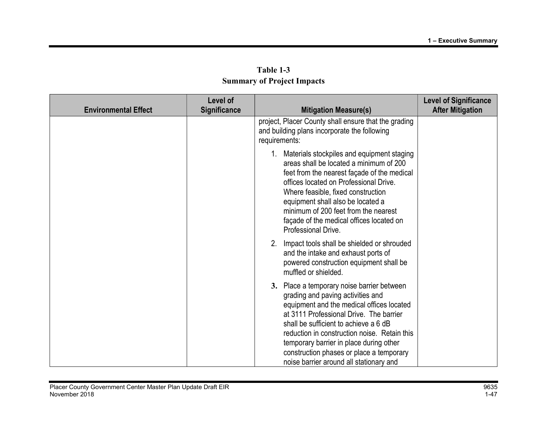|                             | Level of            |                                                                                                                                                                                                                                                                                                                                                                                                    | <b>Level of Significance</b> |
|-----------------------------|---------------------|----------------------------------------------------------------------------------------------------------------------------------------------------------------------------------------------------------------------------------------------------------------------------------------------------------------------------------------------------------------------------------------------------|------------------------------|
| <b>Environmental Effect</b> | <b>Significance</b> | <b>Mitigation Measure(s)</b>                                                                                                                                                                                                                                                                                                                                                                       | <b>After Mitigation</b>      |
|                             |                     | project, Placer County shall ensure that the grading<br>and building plans incorporate the following<br>requirements:                                                                                                                                                                                                                                                                              |                              |
|                             |                     | 1. Materials stockpiles and equipment staging<br>areas shall be located a minimum of 200<br>feet from the nearest façade of the medical<br>offices located on Professional Drive.<br>Where feasible, fixed construction<br>equipment shall also be located a<br>minimum of 200 feet from the nearest<br>façade of the medical offices located on<br>Professional Drive.                            |                              |
|                             |                     | 2. Impact tools shall be shielded or shrouded<br>and the intake and exhaust ports of<br>powered construction equipment shall be<br>muffled or shielded.                                                                                                                                                                                                                                            |                              |
|                             |                     | 3. Place a temporary noise barrier between<br>grading and paving activities and<br>equipment and the medical offices located<br>at 3111 Professional Drive. The barrier<br>shall be sufficient to achieve a 6 dB<br>reduction in construction noise. Retain this<br>temporary barrier in place during other<br>construction phases or place a temporary<br>noise barrier around all stationary and |                              |

Table 1-3 Summary of Project Impacts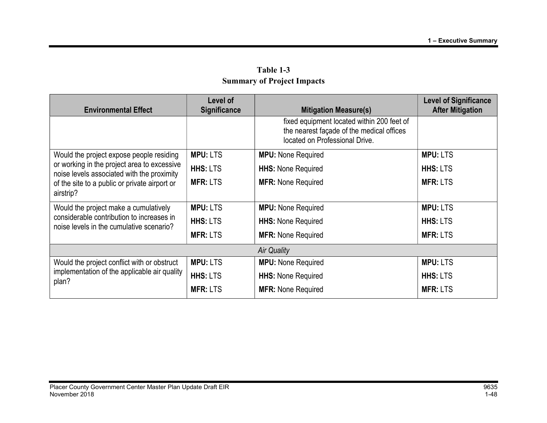| <b>Environmental Effect</b>                                                                                                    | Level of<br><b>Significance</b> | <b>Mitigation Measure(s)</b>                                                                                              | <b>Level of Significance</b><br><b>After Mitigation</b> |
|--------------------------------------------------------------------------------------------------------------------------------|---------------------------------|---------------------------------------------------------------------------------------------------------------------------|---------------------------------------------------------|
|                                                                                                                                |                                 | fixed equipment located within 200 feet of<br>the nearest façade of the medical offices<br>located on Professional Drive. |                                                         |
| Would the project expose people residing                                                                                       | <b>MPU: LTS</b>                 | <b>MPU:</b> None Required                                                                                                 | <b>MPU: LTS</b>                                         |
| or working in the project area to excessive<br>noise levels associated with the proximity                                      | <b>HHS: LTS</b>                 | <b>HHS: None Required</b>                                                                                                 | <b>HHS: LTS</b>                                         |
| of the site to a public or private airport or<br>airstrip?                                                                     | <b>MFR: LTS</b>                 | <b>MFR: None Required</b>                                                                                                 | <b>MFR: LTS</b>                                         |
| Would the project make a cumulatively<br>considerable contribution to increases in<br>noise levels in the cumulative scenario? | <b>MPU: LTS</b>                 | <b>MPU:</b> None Required                                                                                                 | <b>MPU: LTS</b>                                         |
|                                                                                                                                | <b>HHS: LTS</b>                 | <b>HHS: None Required</b>                                                                                                 | <b>HHS: LTS</b>                                         |
|                                                                                                                                | <b>MFR: LTS</b>                 | <b>MFR: None Required</b>                                                                                                 | <b>MFR: LTS</b>                                         |
|                                                                                                                                |                                 | <b>Air Quality</b>                                                                                                        |                                                         |
| Would the project conflict with or obstruct<br>implementation of the applicable air quality<br>plan?                           | <b>MPU: LTS</b>                 | <b>MPU:</b> None Required                                                                                                 | <b>MPU: LTS</b>                                         |
|                                                                                                                                | <b>HHS: LTS</b>                 | <b>HHS: None Required</b>                                                                                                 | <b>HHS: LTS</b>                                         |
|                                                                                                                                | <b>MFR: LTS</b>                 | <b>MFR: None Required</b>                                                                                                 | <b>MFR: LTS</b>                                         |

Table 1-3 Summary of Project Impacts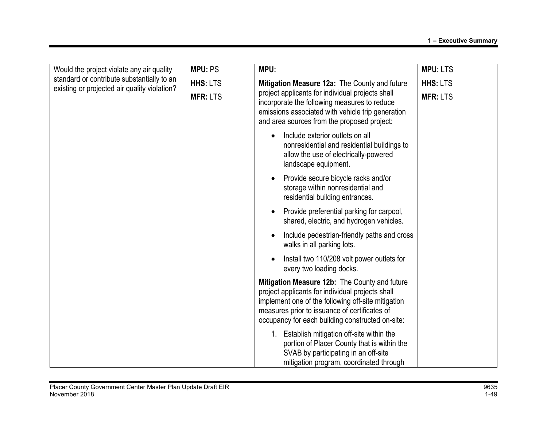| Would the project violate any air quality                                                  | <b>MPU: PS</b>  | MPU:                                                                                                                                                                                                                                                         | <b>MPU: LTS</b> |
|--------------------------------------------------------------------------------------------|-----------------|--------------------------------------------------------------------------------------------------------------------------------------------------------------------------------------------------------------------------------------------------------------|-----------------|
| standard or contribute substantially to an<br>existing or projected air quality violation? | <b>HHS: LTS</b> | Mitigation Measure 12a: The County and future<br>project applicants for individual projects shall<br>incorporate the following measures to reduce<br>emissions associated with vehicle trip generation<br>and area sources from the proposed project:        | <b>HHS: LTS</b> |
|                                                                                            | <b>MFR: LTS</b> |                                                                                                                                                                                                                                                              | <b>MFR: LTS</b> |
|                                                                                            |                 | Include exterior outlets on all<br>nonresidential and residential buildings to<br>allow the use of electrically-powered<br>landscape equipment.                                                                                                              |                 |
|                                                                                            |                 | Provide secure bicycle racks and/or<br>storage within nonresidential and<br>residential building entrances.                                                                                                                                                  |                 |
|                                                                                            |                 | Provide preferential parking for carpool,<br>shared, electric, and hydrogen vehicles.                                                                                                                                                                        |                 |
|                                                                                            |                 | Include pedestrian-friendly paths and cross<br>walks in all parking lots.                                                                                                                                                                                    |                 |
|                                                                                            |                 | Install two 110/208 volt power outlets for<br>every two loading docks.                                                                                                                                                                                       |                 |
|                                                                                            |                 | Mitigation Measure 12b: The County and future<br>project applicants for individual projects shall<br>implement one of the following off-site mitigation<br>measures prior to issuance of certificates of<br>occupancy for each building constructed on-site: |                 |
|                                                                                            |                 | 1. Establish mitigation off-site within the<br>portion of Placer County that is within the<br>SVAB by participating in an off-site<br>mitigation program, coordinated through                                                                                |                 |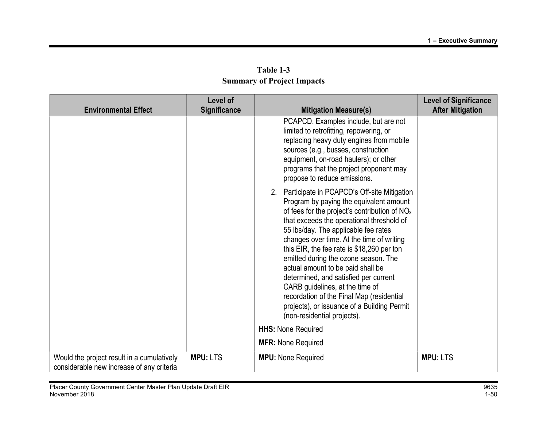|                                                                                         | Level of            |                                                                                                                                                                                                                                                                                                                                                                                                                                                                                                                                                                                                                  | <b>Level of Significance</b> |
|-----------------------------------------------------------------------------------------|---------------------|------------------------------------------------------------------------------------------------------------------------------------------------------------------------------------------------------------------------------------------------------------------------------------------------------------------------------------------------------------------------------------------------------------------------------------------------------------------------------------------------------------------------------------------------------------------------------------------------------------------|------------------------------|
| <b>Environmental Effect</b>                                                             | <b>Significance</b> | <b>Mitigation Measure(s)</b>                                                                                                                                                                                                                                                                                                                                                                                                                                                                                                                                                                                     | <b>After Mitigation</b>      |
|                                                                                         |                     | PCAPCD. Examples include, but are not<br>limited to retrofitting, repowering, or<br>replacing heavy duty engines from mobile<br>sources (e.g., busses, construction<br>equipment, on-road haulers); or other<br>programs that the project proponent may<br>propose to reduce emissions.                                                                                                                                                                                                                                                                                                                          |                              |
|                                                                                         |                     | 2. Participate in PCAPCD's Off-site Mitigation<br>Program by paying the equivalent amount<br>of fees for the project's contribution of $NOx$<br>that exceeds the operational threshold of<br>55 lbs/day. The applicable fee rates<br>changes over time. At the time of writing<br>this EIR, the fee rate is \$18,260 per ton<br>emitted during the ozone season. The<br>actual amount to be paid shall be<br>determined, and satisfied per current<br>CARB guidelines, at the time of<br>recordation of the Final Map (residential<br>projects), or issuance of a Building Permit<br>(non-residential projects). |                              |
|                                                                                         |                     | <b>HHS: None Required</b>                                                                                                                                                                                                                                                                                                                                                                                                                                                                                                                                                                                        |                              |
|                                                                                         |                     | <b>MFR: None Required</b>                                                                                                                                                                                                                                                                                                                                                                                                                                                                                                                                                                                        |                              |
| Would the project result in a cumulatively<br>considerable new increase of any criteria | <b>MPU: LTS</b>     | <b>MPU:</b> None Required                                                                                                                                                                                                                                                                                                                                                                                                                                                                                                                                                                                        | <b>MPU: LTS</b>              |

Table 1-3 Summary of Project Impacts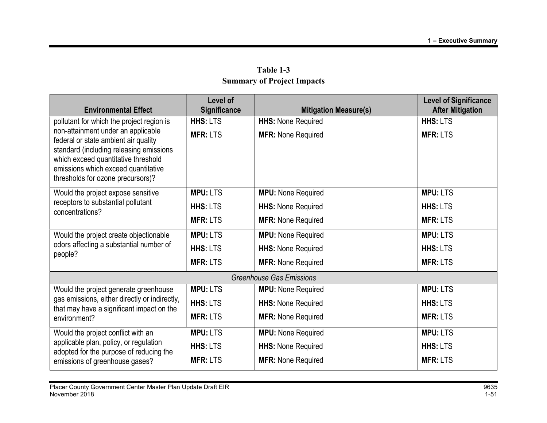|                                                                                                                                                                                                                                          | Level of            |                                 |                                                         |
|------------------------------------------------------------------------------------------------------------------------------------------------------------------------------------------------------------------------------------------|---------------------|---------------------------------|---------------------------------------------------------|
| <b>Environmental Effect</b>                                                                                                                                                                                                              | <b>Significance</b> | <b>Mitigation Measure(s)</b>    | <b>Level of Significance</b><br><b>After Mitigation</b> |
| pollutant for which the project region is                                                                                                                                                                                                | HHS: LTS            | <b>HHS: None Required</b>       | <b>HHS: LTS</b>                                         |
| non-attainment under an applicable<br>federal or state ambient air quality<br>standard (including releasing emissions<br>which exceed quantitative threshold<br>emissions which exceed quantitative<br>thresholds for ozone precursors)? | <b>MFR: LTS</b>     | <b>MFR: None Required</b>       | <b>MFR: LTS</b>                                         |
| Would the project expose sensitive                                                                                                                                                                                                       | <b>MPU: LTS</b>     | <b>MPU:</b> None Required       | <b>MPU: LTS</b>                                         |
| receptors to substantial pollutant<br>concentrations?                                                                                                                                                                                    | <b>HHS: LTS</b>     | <b>HHS: None Required</b>       | <b>HHS: LTS</b>                                         |
|                                                                                                                                                                                                                                          | <b>MFR: LTS</b>     | <b>MFR: None Required</b>       | <b>MFR: LTS</b>                                         |
| Would the project create objectionable<br>odors affecting a substantial number of<br>people?                                                                                                                                             | <b>MPU: LTS</b>     | <b>MPU:</b> None Required       | <b>MPU: LTS</b>                                         |
|                                                                                                                                                                                                                                          | <b>HHS: LTS</b>     | <b>HHS: None Required</b>       | <b>HHS: LTS</b>                                         |
|                                                                                                                                                                                                                                          | <b>MFR: LTS</b>     | <b>MFR: None Required</b>       | <b>MFR: LTS</b>                                         |
|                                                                                                                                                                                                                                          |                     | <b>Greenhouse Gas Emissions</b> |                                                         |
| Would the project generate greenhouse                                                                                                                                                                                                    | <b>MPU: LTS</b>     | <b>MPU:</b> None Required       | <b>MPU: LTS</b>                                         |
| gas emissions, either directly or indirectly,<br>that may have a significant impact on the<br>environment?                                                                                                                               | <b>HHS: LTS</b>     | <b>HHS: None Required</b>       | <b>HHS: LTS</b>                                         |
|                                                                                                                                                                                                                                          | <b>MFR: LTS</b>     | <b>MFR: None Required</b>       | <b>MFR: LTS</b>                                         |
| Would the project conflict with an                                                                                                                                                                                                       | <b>MPU: LTS</b>     | <b>MPU:</b> None Required       | <b>MPU: LTS</b>                                         |
| applicable plan, policy, or regulation<br>adopted for the purpose of reducing the                                                                                                                                                        | HHS: LTS            | <b>HHS: None Required</b>       | HHS: LTS                                                |
| emissions of greenhouse gases?                                                                                                                                                                                                           | <b>MFR: LTS</b>     | <b>MFR: None Required</b>       | <b>MFR: LTS</b>                                         |

Table 1-3 Summary of Project Impacts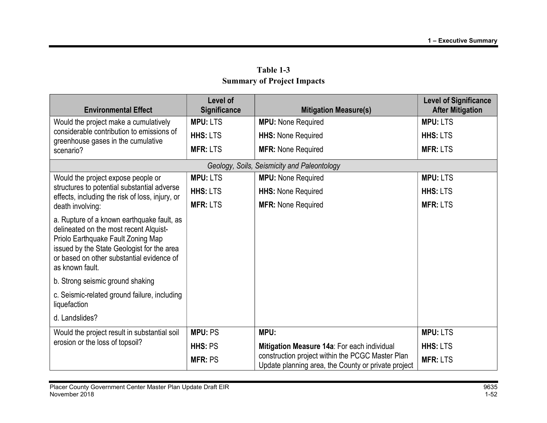| <b>Environmental Effect</b>                                                                                                                                                                                                              | Level of<br><b>Significance</b> | <b>Mitigation Measure(s)</b>                                                                            | <b>Level of Significance</b><br><b>After Mitigation</b> |
|------------------------------------------------------------------------------------------------------------------------------------------------------------------------------------------------------------------------------------------|---------------------------------|---------------------------------------------------------------------------------------------------------|---------------------------------------------------------|
| Would the project make a cumulatively                                                                                                                                                                                                    | <b>MPU: LTS</b>                 | <b>MPU:</b> None Required                                                                               | <b>MPU: LTS</b>                                         |
| considerable contribution to emissions of<br>greenhouse gases in the cumulative                                                                                                                                                          | HHS: LTS                        | <b>HHS: None Required</b>                                                                               | <b>HHS: LTS</b>                                         |
| scenario?                                                                                                                                                                                                                                | <b>MFR: LTS</b>                 | <b>MFR: None Required</b>                                                                               | <b>MFR: LTS</b>                                         |
|                                                                                                                                                                                                                                          |                                 | Geology, Soils, Seismicity and Paleontology                                                             |                                                         |
| Would the project expose people or                                                                                                                                                                                                       | <b>MPU: LTS</b>                 | <b>MPU:</b> None Required                                                                               | <b>MPU: LTS</b>                                         |
| structures to potential substantial adverse<br>effects, including the risk of loss, injury, or                                                                                                                                           | <b>HHS: LTS</b>                 | <b>HHS: None Required</b>                                                                               | <b>HHS: LTS</b>                                         |
| death involving:                                                                                                                                                                                                                         | <b>MFR: LTS</b>                 | <b>MFR: None Required</b>                                                                               | <b>MFR: LTS</b>                                         |
| a. Rupture of a known earthquake fault, as<br>delineated on the most recent Alquist-<br>Priolo Earthquake Fault Zoning Map<br>issued by the State Geologist for the area<br>or based on other substantial evidence of<br>as known fault. |                                 |                                                                                                         |                                                         |
| b. Strong seismic ground shaking                                                                                                                                                                                                         |                                 |                                                                                                         |                                                         |
| c. Seismic-related ground failure, including<br>liquefaction                                                                                                                                                                             |                                 |                                                                                                         |                                                         |
| d. Landslides?                                                                                                                                                                                                                           |                                 |                                                                                                         |                                                         |
| Would the project result in substantial soil                                                                                                                                                                                             | <b>MPU: PS</b>                  | MPU:                                                                                                    | <b>MPU: LTS</b>                                         |
| erosion or the loss of topsoil?                                                                                                                                                                                                          | <b>HHS: PS</b>                  | Mitigation Measure 14a: For each individual                                                             | <b>HHS: LTS</b>                                         |
|                                                                                                                                                                                                                                          | <b>MFR: PS</b>                  | construction project within the PCGC Master Plan<br>Update planning area, the County or private project | <b>MFR: LTS</b>                                         |

Table 1-3 Summary of Project Impacts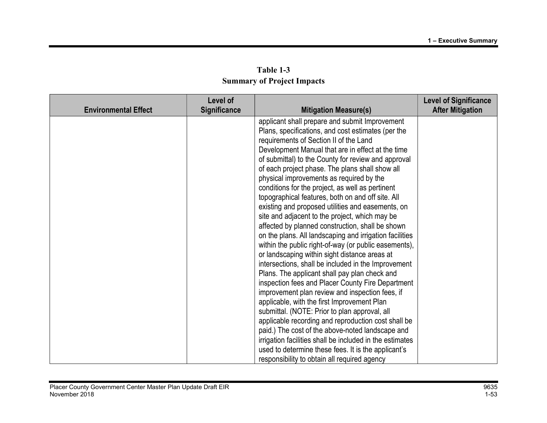| Table 1-3                         |  |
|-----------------------------------|--|
| <b>Summary of Project Impacts</b> |  |

| <b>Environmental Effect</b> | Level of<br><b>Significance</b> | <b>Mitigation Measure(s)</b>                             | <b>Level of Significance</b><br><b>After Mitigation</b> |
|-----------------------------|---------------------------------|----------------------------------------------------------|---------------------------------------------------------|
|                             |                                 | applicant shall prepare and submit Improvement           |                                                         |
|                             |                                 | Plans, specifications, and cost estimates (per the       |                                                         |
|                             |                                 | requirements of Section II of the Land                   |                                                         |
|                             |                                 | Development Manual that are in effect at the time        |                                                         |
|                             |                                 | of submittal) to the County for review and approval      |                                                         |
|                             |                                 | of each project phase. The plans shall show all          |                                                         |
|                             |                                 | physical improvements as required by the                 |                                                         |
|                             |                                 | conditions for the project, as well as pertinent         |                                                         |
|                             |                                 | topographical features, both on and off site. All        |                                                         |
|                             |                                 | existing and proposed utilities and easements, on        |                                                         |
|                             |                                 | site and adjacent to the project, which may be           |                                                         |
|                             |                                 | affected by planned construction, shall be shown         |                                                         |
|                             |                                 | on the plans. All landscaping and irrigation facilities  |                                                         |
|                             |                                 | within the public right-of-way (or public easements),    |                                                         |
|                             |                                 | or landscaping within sight distance areas at            |                                                         |
|                             |                                 | intersections, shall be included in the Improvement      |                                                         |
|                             |                                 | Plans. The applicant shall pay plan check and            |                                                         |
|                             |                                 | inspection fees and Placer County Fire Department        |                                                         |
|                             |                                 | improvement plan review and inspection fees, if          |                                                         |
|                             |                                 | applicable, with the first Improvement Plan              |                                                         |
|                             |                                 | submittal. (NOTE: Prior to plan approval, all            |                                                         |
|                             |                                 | applicable recording and reproduction cost shall be      |                                                         |
|                             |                                 | paid.) The cost of the above-noted landscape and         |                                                         |
|                             |                                 | irrigation facilities shall be included in the estimates |                                                         |
|                             |                                 | used to determine these fees. It is the applicant's      |                                                         |
|                             |                                 | responsibility to obtain all required agency             |                                                         |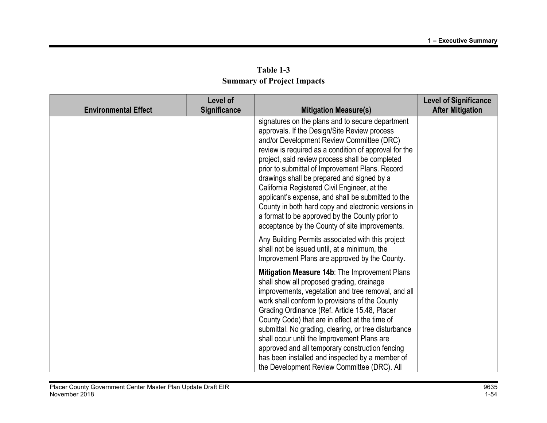| Table 1-3                         |
|-----------------------------------|
| <b>Summary of Project Impacts</b> |

| <b>Environmental Effect</b> | Level of<br><b>Significance</b> | <b>Mitigation Measure(s)</b>                                                                                                                                                                                                                                                                                                                                                                                                                                                                                                                                                                                                | <b>Level of Significance</b><br><b>After Mitigation</b> |
|-----------------------------|---------------------------------|-----------------------------------------------------------------------------------------------------------------------------------------------------------------------------------------------------------------------------------------------------------------------------------------------------------------------------------------------------------------------------------------------------------------------------------------------------------------------------------------------------------------------------------------------------------------------------------------------------------------------------|---------------------------------------------------------|
|                             |                                 | signatures on the plans and to secure department<br>approvals. If the Design/Site Review process<br>and/or Development Review Committee (DRC)<br>review is required as a condition of approval for the<br>project, said review process shall be completed<br>prior to submittal of Improvement Plans. Record<br>drawings shall be prepared and signed by a<br>California Registered Civil Engineer, at the<br>applicant's expense, and shall be submitted to the<br>County in both hard copy and electronic versions in<br>a format to be approved by the County prior to<br>acceptance by the County of site improvements. |                                                         |
|                             |                                 | Any Building Permits associated with this project<br>shall not be issued until, at a minimum, the<br>Improvement Plans are approved by the County.                                                                                                                                                                                                                                                                                                                                                                                                                                                                          |                                                         |
|                             |                                 | Mitigation Measure 14b: The Improvement Plans<br>shall show all proposed grading, drainage<br>improvements, vegetation and tree removal, and all<br>work shall conform to provisions of the County<br>Grading Ordinance (Ref. Article 15.48, Placer<br>County Code) that are in effect at the time of<br>submittal. No grading, clearing, or tree disturbance<br>shall occur until the Improvement Plans are<br>approved and all temporary construction fencing<br>has been installed and inspected by a member of<br>the Development Review Committee (DRC). All                                                           |                                                         |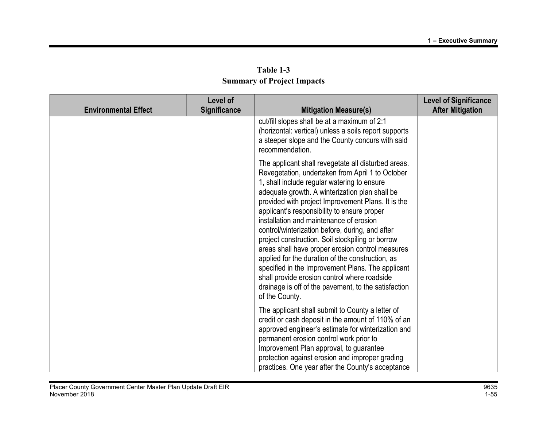| <b>Environmental Effect</b> | Level of<br><b>Significance</b> | <b>Mitigation Measure(s)</b>                                                                                                                                                                                                                                                                                                                                                                                                                                                                                                                                                                                                                                                                                                                           | <b>Level of Significance</b><br><b>After Mitigation</b> |
|-----------------------------|---------------------------------|--------------------------------------------------------------------------------------------------------------------------------------------------------------------------------------------------------------------------------------------------------------------------------------------------------------------------------------------------------------------------------------------------------------------------------------------------------------------------------------------------------------------------------------------------------------------------------------------------------------------------------------------------------------------------------------------------------------------------------------------------------|---------------------------------------------------------|
|                             |                                 | cut/fill slopes shall be at a maximum of 2:1<br>(horizontal: vertical) unless a soils report supports<br>a steeper slope and the County concurs with said<br>recommendation.                                                                                                                                                                                                                                                                                                                                                                                                                                                                                                                                                                           |                                                         |
|                             |                                 | The applicant shall revegetate all disturbed areas.<br>Revegetation, undertaken from April 1 to October<br>1, shall include regular watering to ensure<br>adequate growth. A winterization plan shall be<br>provided with project Improvement Plans. It is the<br>applicant's responsibility to ensure proper<br>installation and maintenance of erosion<br>control/winterization before, during, and after<br>project construction. Soil stockpiling or borrow<br>areas shall have proper erosion control measures<br>applied for the duration of the construction, as<br>specified in the Improvement Plans. The applicant<br>shall provide erosion control where roadside<br>drainage is off of the pavement, to the satisfaction<br>of the County. |                                                         |
|                             |                                 | The applicant shall submit to County a letter of<br>credit or cash deposit in the amount of 110% of an<br>approved engineer's estimate for winterization and<br>permanent erosion control work prior to<br>Improvement Plan approval, to guarantee<br>protection against erosion and improper grading<br>practices. One year after the County's acceptance                                                                                                                                                                                                                                                                                                                                                                                             |                                                         |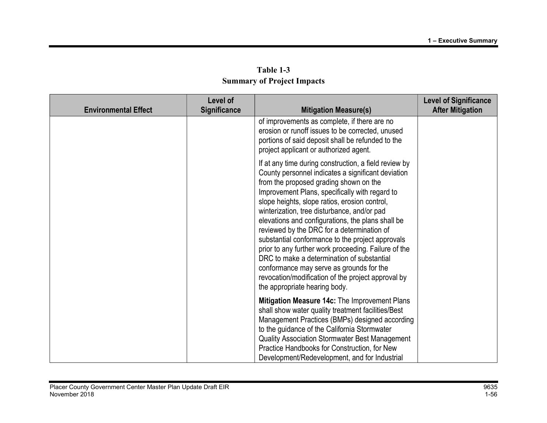| Table 1-3                         |
|-----------------------------------|
| <b>Summary of Project Impacts</b> |

| <b>Environmental Effect</b> | Level of<br>Significance | <b>Mitigation Measure(s)</b>                                                                                                                                                                                                                                                                                                                                                                                                                                                                                                                                                                                                                                                                            | <b>Level of Significance</b><br><b>After Mitigation</b> |
|-----------------------------|--------------------------|---------------------------------------------------------------------------------------------------------------------------------------------------------------------------------------------------------------------------------------------------------------------------------------------------------------------------------------------------------------------------------------------------------------------------------------------------------------------------------------------------------------------------------------------------------------------------------------------------------------------------------------------------------------------------------------------------------|---------------------------------------------------------|
|                             |                          | of improvements as complete, if there are no<br>erosion or runoff issues to be corrected, unused<br>portions of said deposit shall be refunded to the<br>project applicant or authorized agent.                                                                                                                                                                                                                                                                                                                                                                                                                                                                                                         |                                                         |
|                             |                          | If at any time during construction, a field review by<br>County personnel indicates a significant deviation<br>from the proposed grading shown on the<br>Improvement Plans, specifically with regard to<br>slope heights, slope ratios, erosion control,<br>winterization, tree disturbance, and/or pad<br>elevations and configurations, the plans shall be<br>reviewed by the DRC for a determination of<br>substantial conformance to the project approvals<br>prior to any further work proceeding. Failure of the<br>DRC to make a determination of substantial<br>conformance may serve as grounds for the<br>revocation/modification of the project approval by<br>the appropriate hearing body. |                                                         |
|                             |                          | Mitigation Measure 14c: The Improvement Plans<br>shall show water quality treatment facilities/Best<br>Management Practices (BMPs) designed according<br>to the guidance of the California Stormwater<br><b>Quality Association Stormwater Best Management</b><br>Practice Handbooks for Construction, for New<br>Development/Redevelopment, and for Industrial                                                                                                                                                                                                                                                                                                                                         |                                                         |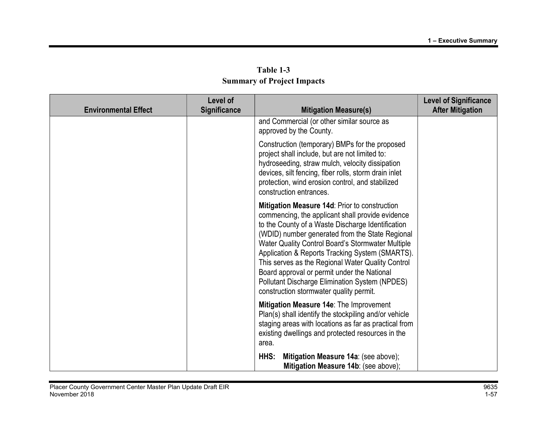|                             | Level of            |                                                                                                                                                                                                                                                                                                                                                                                                                                                                                                                    | <b>Level of Significance</b> |
|-----------------------------|---------------------|--------------------------------------------------------------------------------------------------------------------------------------------------------------------------------------------------------------------------------------------------------------------------------------------------------------------------------------------------------------------------------------------------------------------------------------------------------------------------------------------------------------------|------------------------------|
| <b>Environmental Effect</b> | <b>Significance</b> | <b>Mitigation Measure(s)</b>                                                                                                                                                                                                                                                                                                                                                                                                                                                                                       | <b>After Mitigation</b>      |
|                             |                     | and Commercial (or other similar source as<br>approved by the County.                                                                                                                                                                                                                                                                                                                                                                                                                                              |                              |
|                             |                     | Construction (temporary) BMPs for the proposed<br>project shall include, but are not limited to:<br>hydroseeding, straw mulch, velocity dissipation<br>devices, silt fencing, fiber rolls, storm drain inlet<br>protection, wind erosion control, and stabilized<br>construction entrances.                                                                                                                                                                                                                        |                              |
|                             |                     | Mitigation Measure 14d: Prior to construction<br>commencing, the applicant shall provide evidence<br>to the County of a Waste Discharge Identification<br>(WDID) number generated from the State Regional<br>Water Quality Control Board's Stormwater Multiple<br>Application & Reports Tracking System (SMARTS).<br>This serves as the Regional Water Quality Control<br>Board approval or permit under the National<br>Pollutant Discharge Elimination System (NPDES)<br>construction stormwater quality permit. |                              |
|                             |                     | Mitigation Measure 14e: The Improvement<br>Plan(s) shall identify the stockpiling and/or vehicle<br>staging areas with locations as far as practical from<br>existing dwellings and protected resources in the<br>area.                                                                                                                                                                                                                                                                                            |                              |
|                             |                     | Mitigation Measure 14a: (see above);<br>HHS:<br>Mitigation Measure 14b: (see above);                                                                                                                                                                                                                                                                                                                                                                                                                               |                              |

Table 1-3 Summary of Project Impacts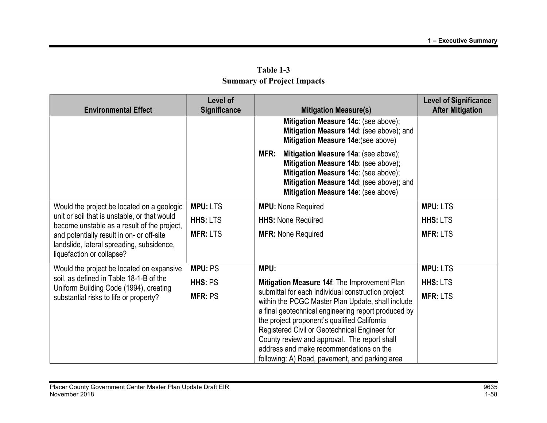|                                                                                                                                                                          | Level of            |                                                                                                                                                                | <b>Level of Significance</b> |
|--------------------------------------------------------------------------------------------------------------------------------------------------------------------------|---------------------|----------------------------------------------------------------------------------------------------------------------------------------------------------------|------------------------------|
| <b>Environmental Effect</b>                                                                                                                                              | <b>Significance</b> | <b>Mitigation Measure(s)</b>                                                                                                                                   | <b>After Mitigation</b>      |
|                                                                                                                                                                          |                     | Mitigation Measure 14c: (see above);                                                                                                                           |                              |
|                                                                                                                                                                          |                     | Mitigation Measure 14d: (see above); and                                                                                                                       |                              |
|                                                                                                                                                                          |                     | Mitigation Measure 14e: (see above)                                                                                                                            |                              |
|                                                                                                                                                                          |                     | Mitigation Measure 14a: (see above);<br>MFR:                                                                                                                   |                              |
|                                                                                                                                                                          |                     | Mitigation Measure 14b: (see above);                                                                                                                           |                              |
|                                                                                                                                                                          |                     | Mitigation Measure 14c: (see above);                                                                                                                           |                              |
|                                                                                                                                                                          |                     | Mitigation Measure 14d: (see above); and                                                                                                                       |                              |
|                                                                                                                                                                          |                     | Mitigation Measure 14e: (see above)                                                                                                                            |                              |
| Would the project be located on a geologic                                                                                                                               | <b>MPU: LTS</b>     | <b>MPU:</b> None Required                                                                                                                                      | <b>MPU: LTS</b>              |
| unit or soil that is unstable, or that would<br>become unstable as a result of the project,                                                                              | <b>HHS: LTS</b>     | <b>HHS: None Required</b>                                                                                                                                      | <b>HHS: LTS</b>              |
| and potentially result in on- or off-site                                                                                                                                | <b>MFR: LTS</b>     | <b>MFR: None Required</b>                                                                                                                                      | <b>MFR: LTS</b>              |
| landslide, lateral spreading, subsidence,                                                                                                                                |                     |                                                                                                                                                                |                              |
| liquefaction or collapse?                                                                                                                                                |                     |                                                                                                                                                                |                              |
|                                                                                                                                                                          |                     |                                                                                                                                                                |                              |
| Would the project be located on expansive<br>soil, as defined in Table 18-1-B of the<br>Uniform Building Code (1994), creating<br>substantial risks to life or property? | <b>MPU: PS</b>      | MPU:                                                                                                                                                           | <b>MPU: LTS</b>              |
|                                                                                                                                                                          | HHS: PS             | Mitigation Measure 14f: The Improvement Plan                                                                                                                   | <b>HHS: LTS</b>              |
|                                                                                                                                                                          | <b>MFR: PS</b>      | submittal for each individual construction project<br>within the PCGC Master Plan Update, shall include<br>a final geotechnical engineering report produced by | <b>MFR: LTS</b>              |
|                                                                                                                                                                          |                     | the project proponent's qualified California                                                                                                                   |                              |
|                                                                                                                                                                          |                     | Registered Civil or Geotechnical Engineer for                                                                                                                  |                              |
|                                                                                                                                                                          |                     | County review and approval. The report shall                                                                                                                   |                              |
|                                                                                                                                                                          |                     | address and make recommendations on the                                                                                                                        |                              |
|                                                                                                                                                                          |                     | following: A) Road, pavement, and parking area                                                                                                                 |                              |

Table 1-3 Summary of Project Impacts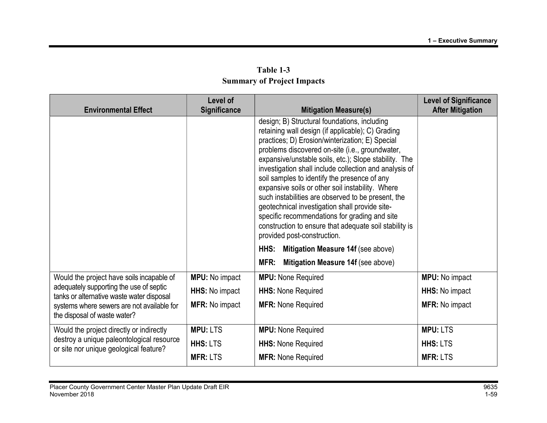| Summar y or rroject rinpacts                                                                                                                                       |                                 |                                                                                                                                                                                                                                                                                                                                                                                                                                                                                                                                                                                                                                                                                  |                                                         |  |
|--------------------------------------------------------------------------------------------------------------------------------------------------------------------|---------------------------------|----------------------------------------------------------------------------------------------------------------------------------------------------------------------------------------------------------------------------------------------------------------------------------------------------------------------------------------------------------------------------------------------------------------------------------------------------------------------------------------------------------------------------------------------------------------------------------------------------------------------------------------------------------------------------------|---------------------------------------------------------|--|
| <b>Environmental Effect</b>                                                                                                                                        | Level of<br><b>Significance</b> | <b>Mitigation Measure(s)</b>                                                                                                                                                                                                                                                                                                                                                                                                                                                                                                                                                                                                                                                     | <b>Level of Significance</b><br><b>After Mitigation</b> |  |
|                                                                                                                                                                    |                                 | design; B) Structural foundations, including<br>retaining wall design (if applicable); C) Grading<br>practices; D) Erosion/winterization; E) Special<br>problems discovered on-site (i.e., groundwater,<br>expansive/unstable soils, etc.); Slope stability. The<br>investigation shall include collection and analysis of<br>soil samples to identify the presence of any<br>expansive soils or other soil instability. Where<br>such instabilities are observed to be present, the<br>geotechnical investigation shall provide site-<br>specific recommendations for grading and site<br>construction to ensure that adequate soil stability is<br>provided post-construction. |                                                         |  |
|                                                                                                                                                                    |                                 | HHS:<br>Mitigation Measure 14f (see above)                                                                                                                                                                                                                                                                                                                                                                                                                                                                                                                                                                                                                                       |                                                         |  |
|                                                                                                                                                                    |                                 | MFR:<br>Mitigation Measure 14f (see above)                                                                                                                                                                                                                                                                                                                                                                                                                                                                                                                                                                                                                                       |                                                         |  |
| Would the project have soils incapable of                                                                                                                          | <b>MPU:</b> No impact           | <b>MPU:</b> None Required                                                                                                                                                                                                                                                                                                                                                                                                                                                                                                                                                                                                                                                        | <b>MPU:</b> No impact                                   |  |
| adequately supporting the use of septic<br>tanks or alternative waste water disposal<br>systems where sewers are not available for<br>the disposal of waste water? | HHS: No impact                  | <b>HHS: None Required</b>                                                                                                                                                                                                                                                                                                                                                                                                                                                                                                                                                                                                                                                        | HHS: No impact                                          |  |
|                                                                                                                                                                    | <b>MFR: No impact</b>           | <b>MFR: None Required</b>                                                                                                                                                                                                                                                                                                                                                                                                                                                                                                                                                                                                                                                        | <b>MFR: No impact</b>                                   |  |
| Would the project directly or indirectly<br>destroy a unique paleontological resource<br>or site nor unique geological feature?                                    | <b>MPU: LTS</b>                 | <b>MPU:</b> None Required                                                                                                                                                                                                                                                                                                                                                                                                                                                                                                                                                                                                                                                        | <b>MPU: LTS</b>                                         |  |
|                                                                                                                                                                    | <b>HHS: LTS</b>                 | <b>HHS: None Required</b>                                                                                                                                                                                                                                                                                                                                                                                                                                                                                                                                                                                                                                                        | <b>HHS: LTS</b>                                         |  |
|                                                                                                                                                                    | <b>MFR: LTS</b>                 | <b>MFR: None Required</b>                                                                                                                                                                                                                                                                                                                                                                                                                                                                                                                                                                                                                                                        | <b>MFR: LTS</b>                                         |  |

Table 1-3 Summary of Project Impacts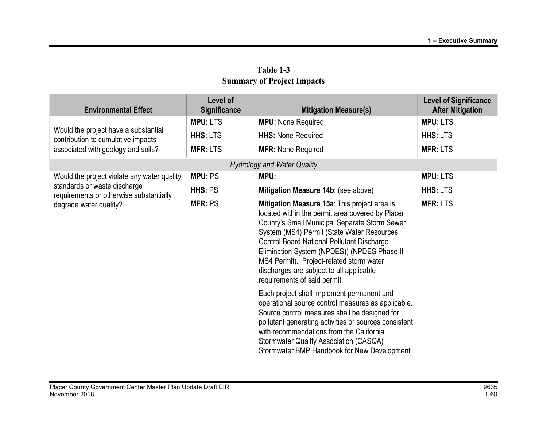| <b>Environmental Effect</b>                                                | Level of<br><b>Significance</b> | <b>Mitigation Measure(s)</b>                                                                                                                                                                                                                                                                                                                                                                                                | <b>Level of Significance</b><br><b>After Mitigation</b> |
|----------------------------------------------------------------------------|---------------------------------|-----------------------------------------------------------------------------------------------------------------------------------------------------------------------------------------------------------------------------------------------------------------------------------------------------------------------------------------------------------------------------------------------------------------------------|---------------------------------------------------------|
|                                                                            | <b>MPU: LTS</b>                 | <b>MPU: None Required</b>                                                                                                                                                                                                                                                                                                                                                                                                   | <b>MPU: LTS</b>                                         |
| Would the project have a substantial<br>contribution to cumulative impacts | <b>HHS: LTS</b>                 | <b>HHS: None Required</b>                                                                                                                                                                                                                                                                                                                                                                                                   | <b>HHS: LTS</b>                                         |
| associated with geology and soils?                                         | <b>MFR: LTS</b>                 | <b>MFR: None Required</b>                                                                                                                                                                                                                                                                                                                                                                                                   | <b>MFR: LTS</b>                                         |
|                                                                            |                                 | <b>Hydrology and Water Quality</b>                                                                                                                                                                                                                                                                                                                                                                                          |                                                         |
| Would the project violate any water quality                                | <b>MPU: PS</b>                  | MPU:                                                                                                                                                                                                                                                                                                                                                                                                                        | <b>MPU: LTS</b>                                         |
| standards or waste discharge<br>requirements or otherwise substantially    | HHS: PS                         | Mitigation Measure 14b: (see above)                                                                                                                                                                                                                                                                                                                                                                                         | <b>HHS: LTS</b>                                         |
| degrade water quality?                                                     | <b>MFR: PS</b>                  | Mitigation Measure 15a: This project area is<br>located within the permit area covered by Placer<br>County's Small Municipal Separate Storm Sewer<br>System (MS4) Permit (State Water Resources<br><b>Control Board National Pollutant Discharge</b><br>Elimination System (NPDES)) (NPDES Phase II<br>MS4 Permit). Project-related storm water<br>discharges are subject to all applicable<br>requirements of said permit. | <b>MFR: LTS</b>                                         |
|                                                                            |                                 | Each project shall implement permanent and<br>operational source control measures as applicable.<br>Source control measures shall be designed for<br>pollutant generating activities or sources consistent<br>with recommendations from the California<br><b>Stormwater Quality Association (CASQA)</b><br>Stormwater BMP Handbook for New Development                                                                      |                                                         |

Table 1-3 Summary of Project Impacts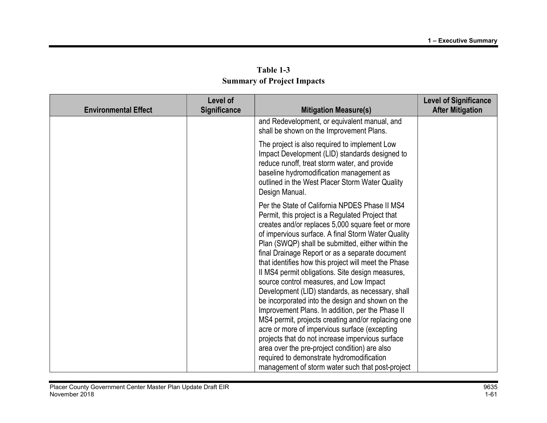| Level of |                                                                                                                                                                                                                                                                                                                                                                                                                                                                                                                                                                                                                                                                                                                                                                                                                                                                                                   | <b>Level of Significance</b>                                                     |
|----------|---------------------------------------------------------------------------------------------------------------------------------------------------------------------------------------------------------------------------------------------------------------------------------------------------------------------------------------------------------------------------------------------------------------------------------------------------------------------------------------------------------------------------------------------------------------------------------------------------------------------------------------------------------------------------------------------------------------------------------------------------------------------------------------------------------------------------------------------------------------------------------------------------|----------------------------------------------------------------------------------|
|          |                                                                                                                                                                                                                                                                                                                                                                                                                                                                                                                                                                                                                                                                                                                                                                                                                                                                                                   | <b>After Mitigation</b>                                                          |
|          | and Redevelopment, or equivalent manual, and<br>shall be shown on the Improvement Plans.                                                                                                                                                                                                                                                                                                                                                                                                                                                                                                                                                                                                                                                                                                                                                                                                          |                                                                                  |
|          | The project is also required to implement Low<br>Impact Development (LID) standards designed to<br>reduce runoff, treat storm water, and provide<br>baseline hydromodification management as<br>outlined in the West Placer Storm Water Quality<br>Design Manual.                                                                                                                                                                                                                                                                                                                                                                                                                                                                                                                                                                                                                                 |                                                                                  |
|          | Per the State of California NPDES Phase II MS4<br>Permit, this project is a Regulated Project that<br>creates and/or replaces 5,000 square feet or more<br>of impervious surface. A final Storm Water Quality<br>Plan (SWQP) shall be submitted, either within the<br>final Drainage Report or as a separate document<br>that identifies how this project will meet the Phase<br>II MS4 permit obligations. Site design measures,<br>source control measures, and Low Impact<br>Development (LID) standards, as necessary, shall<br>be incorporated into the design and shown on the<br>Improvement Plans. In addition, per the Phase II<br>MS4 permit, projects creating and/or replacing one<br>acre or more of impervious surface (excepting<br>projects that do not increase impervious surface<br>area over the pre-project condition) are also<br>required to demonstrate hydromodification |                                                                                  |
|          | <b>Significance</b>                                                                                                                                                                                                                                                                                                                                                                                                                                                                                                                                                                                                                                                                                                                                                                                                                                                                               | <b>Mitigation Measure(s)</b><br>management of storm water such that post-project |

Table 1-3 Summary of Project Impacts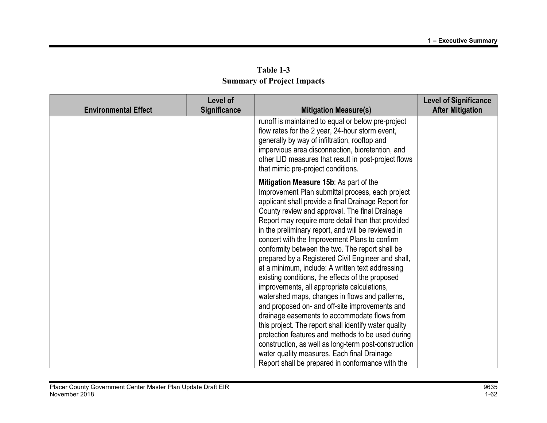| <b>Summary of Project Impacts</b> |                                 |                                                                                                                                                                                                                                                                                               |  |
|-----------------------------------|---------------------------------|-----------------------------------------------------------------------------------------------------------------------------------------------------------------------------------------------------------------------------------------------------------------------------------------------|--|
|                                   | Level of<br><b>Significance</b> | <b>Mitigation Measure(s)</b>                                                                                                                                                                                                                                                                  |  |
|                                   |                                 | runoff is maintained to equal or below pre-pro<br>flow rates for the 2 year, 24-hour storm event<br>generally by way of infiltration, rooftop and<br>impervious area disconnection, bioretention, a<br>other LID measures that result in post-project<br>Abat princip nan anniant ann difinna |  |

| Table 1-3                         |  |  |  |
|-----------------------------------|--|--|--|
| <b>Summary of Project Impacts</b> |  |  |  |

| <b>Environmental Effect</b> | Level of<br>Significance | <b>Mitigation Measure(s)</b>                                                                                                                                                                                                                                                                                                                                                                                                                                                                                                                                                                                                                                                                                                                                                                                                                                                                                                                                                                                                                                 | <b>Level of Significance</b><br><b>After Mitigation</b> |
|-----------------------------|--------------------------|--------------------------------------------------------------------------------------------------------------------------------------------------------------------------------------------------------------------------------------------------------------------------------------------------------------------------------------------------------------------------------------------------------------------------------------------------------------------------------------------------------------------------------------------------------------------------------------------------------------------------------------------------------------------------------------------------------------------------------------------------------------------------------------------------------------------------------------------------------------------------------------------------------------------------------------------------------------------------------------------------------------------------------------------------------------|---------------------------------------------------------|
|                             |                          | runoff is maintained to equal or below pre-project<br>flow rates for the 2 year, 24-hour storm event,<br>generally by way of infiltration, rooftop and<br>impervious area disconnection, bioretention, and<br>other LID measures that result in post-project flows<br>that mimic pre-project conditions.                                                                                                                                                                                                                                                                                                                                                                                                                                                                                                                                                                                                                                                                                                                                                     |                                                         |
|                             |                          | Mitigation Measure 15b: As part of the<br>Improvement Plan submittal process, each project<br>applicant shall provide a final Drainage Report for<br>County review and approval. The final Drainage<br>Report may require more detail than that provided<br>in the preliminary report, and will be reviewed in<br>concert with the Improvement Plans to confirm<br>conformity between the two. The report shall be<br>prepared by a Registered Civil Engineer and shall,<br>at a minimum, include: A written text addressing<br>existing conditions, the effects of the proposed<br>improvements, all appropriate calculations,<br>watershed maps, changes in flows and patterns,<br>and proposed on- and off-site improvements and<br>drainage easements to accommodate flows from<br>this project. The report shall identify water quality<br>protection features and methods to be used during<br>construction, as well as long-term post-construction<br>water quality measures. Each final Drainage<br>Report shall be prepared in conformance with the |                                                         |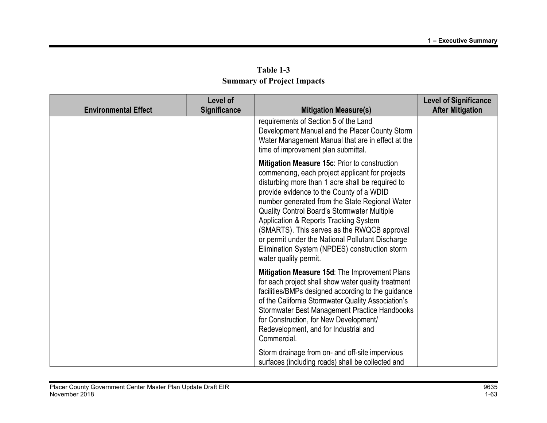| Table 1-3                         |
|-----------------------------------|
| <b>Summary of Project Impacts</b> |

| <b>Environmental Effect</b> | Level of<br>Significance | <b>Mitigation Measure(s)</b>                                                                                                                                                                                                                                                                                                                                                                                                                                                                                            | <b>Level of Significance</b><br><b>After Mitigation</b> |
|-----------------------------|--------------------------|-------------------------------------------------------------------------------------------------------------------------------------------------------------------------------------------------------------------------------------------------------------------------------------------------------------------------------------------------------------------------------------------------------------------------------------------------------------------------------------------------------------------------|---------------------------------------------------------|
|                             |                          | requirements of Section 5 of the Land<br>Development Manual and the Placer County Storm<br>Water Management Manual that are in effect at the<br>time of improvement plan submittal.                                                                                                                                                                                                                                                                                                                                     |                                                         |
|                             |                          | Mitigation Measure 15c: Prior to construction<br>commencing, each project applicant for projects<br>disturbing more than 1 acre shall be required to<br>provide evidence to the County of a WDID<br>number generated from the State Regional Water<br>Quality Control Board's Stormwater Multiple<br>Application & Reports Tracking System<br>(SMARTS). This serves as the RWQCB approval<br>or permit under the National Pollutant Discharge<br>Elimination System (NPDES) construction storm<br>water quality permit. |                                                         |
|                             |                          | Mitigation Measure 15d: The Improvement Plans<br>for each project shall show water quality treatment<br>facilities/BMPs designed according to the guidance<br>of the California Stormwater Quality Association's<br>Stormwater Best Management Practice Handbooks<br>for Construction, for New Development/<br>Redevelopment, and for Industrial and<br>Commercial.                                                                                                                                                     |                                                         |
|                             |                          | Storm drainage from on- and off-site impervious<br>surfaces (including roads) shall be collected and                                                                                                                                                                                                                                                                                                                                                                                                                    |                                                         |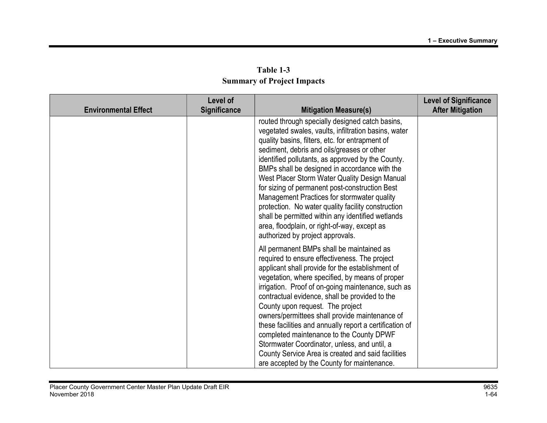| Table 1-3                         |  |
|-----------------------------------|--|
| <b>Summary of Project Impacts</b> |  |

| <b>Environmental Effect</b> | Level of<br><b>Significance</b> | <b>Mitigation Measure(s)</b>                                                                                                                                                                                                                                                                                                                                                                                                                                                                                                                                                                                                                                    | <b>Level of Significance</b><br><b>After Mitigation</b> |
|-----------------------------|---------------------------------|-----------------------------------------------------------------------------------------------------------------------------------------------------------------------------------------------------------------------------------------------------------------------------------------------------------------------------------------------------------------------------------------------------------------------------------------------------------------------------------------------------------------------------------------------------------------------------------------------------------------------------------------------------------------|---------------------------------------------------------|
|                             |                                 | routed through specially designed catch basins,<br>vegetated swales, vaults, infiltration basins, water<br>quality basins, filters, etc. for entrapment of<br>sediment, debris and oils/greases or other<br>identified pollutants, as approved by the County.<br>BMPs shall be designed in accordance with the<br>West Placer Storm Water Quality Design Manual<br>for sizing of permanent post-construction Best<br>Management Practices for stormwater quality<br>protection. No water quality facility construction<br>shall be permitted within any identified wetlands<br>area, floodplain, or right-of-way, except as<br>authorized by project approvals. |                                                         |
|                             |                                 | All permanent BMPs shall be maintained as<br>required to ensure effectiveness. The project<br>applicant shall provide for the establishment of<br>vegetation, where specified, by means of proper<br>irrigation. Proof of on-going maintenance, such as<br>contractual evidence, shall be provided to the<br>County upon request. The project<br>owners/permittees shall provide maintenance of<br>these facilities and annually report a certification of<br>completed maintenance to the County DPWF<br>Stormwater Coordinator, unless, and until, a<br>County Service Area is created and said facilities<br>are accepted by the County for maintenance.     |                                                         |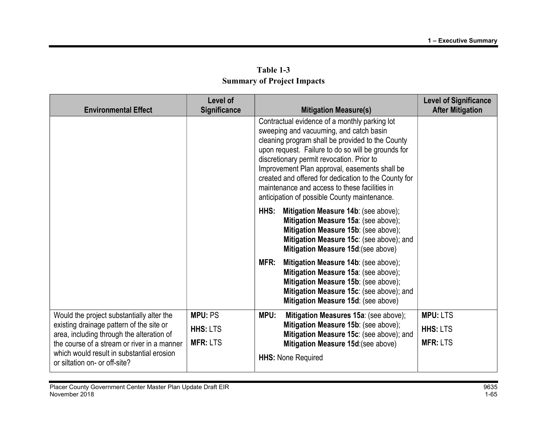| <b>Environmental Effect</b>                                                           | Level of<br><b>Significance</b> |      | <b>Mitigation Measure(s)</b>                                                                                                                                                                                                                                                                                                                                                                                                                              | <b>Level of Significance</b><br><b>After Mitigation</b> |
|---------------------------------------------------------------------------------------|---------------------------------|------|-----------------------------------------------------------------------------------------------------------------------------------------------------------------------------------------------------------------------------------------------------------------------------------------------------------------------------------------------------------------------------------------------------------------------------------------------------------|---------------------------------------------------------|
|                                                                                       |                                 |      | Contractual evidence of a monthly parking lot<br>sweeping and vacuuming, and catch basin<br>cleaning program shall be provided to the County<br>upon request. Failure to do so will be grounds for<br>discretionary permit revocation. Prior to<br>Improvement Plan approval, easements shall be<br>created and offered for dedication to the County for<br>maintenance and access to these facilities in<br>anticipation of possible County maintenance. |                                                         |
|                                                                                       |                                 | HHS: | Mitigation Measure 14b: (see above);<br>Mitigation Measure 15a: (see above);<br>Mitigation Measure 15b: (see above);<br>Mitigation Measure 15c: (see above); and<br>Mitigation Measure 15d:(see above)                                                                                                                                                                                                                                                    |                                                         |
|                                                                                       |                                 | MFR: | Mitigation Measure 14b: (see above);<br>Mitigation Measure 15a: (see above);<br>Mitigation Measure 15b: (see above);<br>Mitigation Measure 15c: (see above); and<br>Mitigation Measure 15d: (see above)                                                                                                                                                                                                                                                   |                                                         |
| Would the project substantially alter the                                             | <b>MPU: PS</b>                  | MPU: | Mitigation Measures 15a: (see above);                                                                                                                                                                                                                                                                                                                                                                                                                     | <b>MPU: LTS</b>                                         |
| existing drainage pattern of the site or<br>area, including through the alteration of | <b>HHS: LTS</b>                 |      | Mitigation Measure 15b: (see above);<br>Mitigation Measure 15c: (see above); and                                                                                                                                                                                                                                                                                                                                                                          | <b>HHS: LTS</b>                                         |
| the course of a stream or river in a manner                                           | <b>MFR: LTS</b>                 |      | Mitigation Measure 15d: (see above)                                                                                                                                                                                                                                                                                                                                                                                                                       | <b>MFR: LTS</b>                                         |
| which would result in substantial erosion<br>or siltation on- or off-site?            |                                 |      | <b>HHS: None Required</b>                                                                                                                                                                                                                                                                                                                                                                                                                                 |                                                         |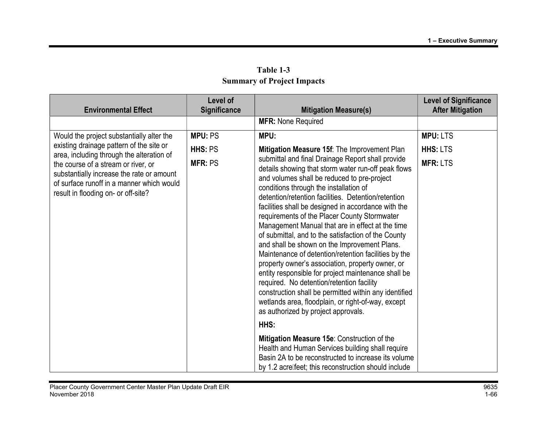| <b>Environmental Effect</b>                                                                                                                                          | Level of<br><b>Significance</b> | <b>Mitigation Measure(s)</b>                                                                                                                                                                                                                                                                                                                                                                                                                                                                                                                                                                                                                                                                                                                                                                                                                                                                                                                                                                                                                                       | <b>Level of Significance</b><br><b>After Mitigation</b> |
|----------------------------------------------------------------------------------------------------------------------------------------------------------------------|---------------------------------|--------------------------------------------------------------------------------------------------------------------------------------------------------------------------------------------------------------------------------------------------------------------------------------------------------------------------------------------------------------------------------------------------------------------------------------------------------------------------------------------------------------------------------------------------------------------------------------------------------------------------------------------------------------------------------------------------------------------------------------------------------------------------------------------------------------------------------------------------------------------------------------------------------------------------------------------------------------------------------------------------------------------------------------------------------------------|---------------------------------------------------------|
|                                                                                                                                                                      |                                 | <b>MFR: None Required</b>                                                                                                                                                                                                                                                                                                                                                                                                                                                                                                                                                                                                                                                                                                                                                                                                                                                                                                                                                                                                                                          |                                                         |
| Would the project substantially alter the                                                                                                                            | <b>MPU: PS</b>                  | MPU:                                                                                                                                                                                                                                                                                                                                                                                                                                                                                                                                                                                                                                                                                                                                                                                                                                                                                                                                                                                                                                                               | <b>MPU: LTS</b>                                         |
| existing drainage pattern of the site or<br>area, including through the alteration of                                                                                | HHS: PS                         | Mitigation Measure 15f: The Improvement Plan                                                                                                                                                                                                                                                                                                                                                                                                                                                                                                                                                                                                                                                                                                                                                                                                                                                                                                                                                                                                                       | <b>HHS: LTS</b>                                         |
| the course of a stream or river, or<br>substantially increase the rate or amount<br>of surface runoff in a manner which would<br>result in flooding on- or off-site? | <b>MFR: PS</b>                  | submittal and final Drainage Report shall provide<br>details showing that storm water run-off peak flows<br>and volumes shall be reduced to pre-project<br>conditions through the installation of<br>detention/retention facilities. Detention/retention<br>facilities shall be designed in accordance with the<br>requirements of the Placer County Stormwater<br>Management Manual that are in effect at the time<br>of submittal, and to the satisfaction of the County<br>and shall be shown on the Improvement Plans.<br>Maintenance of detention/retention facilities by the<br>property owner's association, property owner, or<br>entity responsible for project maintenance shall be<br>required. No detention/retention facility<br>construction shall be permitted within any identified<br>wetlands area, floodplain, or right-of-way, except<br>as authorized by project approvals.<br>HHS:<br>Mitigation Measure 15e: Construction of the<br>Health and Human Services building shall require<br>Basin 2A to be reconstructed to increase its volume | <b>MFR: LTS</b>                                         |

Table 1-3 Summary of Project Impacts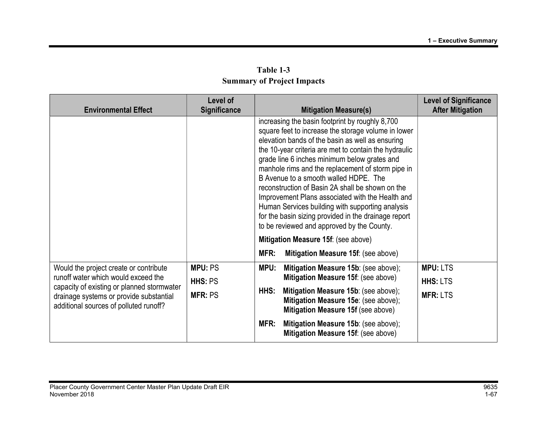| Table 1-3                         |  |  |
|-----------------------------------|--|--|
| <b>Summary of Project Impacts</b> |  |  |

| <b>Environmental Effect</b>                                                                                                                                            | Level of<br><b>Significance</b> | <b>Mitigation Measure(s)</b>                                                                                                                                                                                                                                                                                                                                                                                                                                                                                                                                                                                                        | <b>Level of Significance</b><br><b>After Mitigation</b> |
|------------------------------------------------------------------------------------------------------------------------------------------------------------------------|---------------------------------|-------------------------------------------------------------------------------------------------------------------------------------------------------------------------------------------------------------------------------------------------------------------------------------------------------------------------------------------------------------------------------------------------------------------------------------------------------------------------------------------------------------------------------------------------------------------------------------------------------------------------------------|---------------------------------------------------------|
|                                                                                                                                                                        |                                 | increasing the basin footprint by roughly 8,700<br>square feet to increase the storage volume in lower<br>elevation bands of the basin as well as ensuring<br>the 10-year criteria are met to contain the hydraulic<br>grade line 6 inches minimum below grates and<br>manhole rims and the replacement of storm pipe in<br>B Avenue to a smooth walled HDPE. The<br>reconstruction of Basin 2A shall be shown on the<br>Improvement Plans associated with the Health and<br>Human Services building with supporting analysis<br>for the basin sizing provided in the drainage report<br>to be reviewed and approved by the County. |                                                         |
|                                                                                                                                                                        |                                 | Mitigation Measure 15f: (see above)                                                                                                                                                                                                                                                                                                                                                                                                                                                                                                                                                                                                 |                                                         |
|                                                                                                                                                                        |                                 | MFR:<br>Mitigation Measure 15f: (see above)                                                                                                                                                                                                                                                                                                                                                                                                                                                                                                                                                                                         |                                                         |
| Would the project create or contribute                                                                                                                                 | <b>MPU: PS</b>                  | MPU:<br>Mitigation Measure 15b: (see above);                                                                                                                                                                                                                                                                                                                                                                                                                                                                                                                                                                                        | <b>MPU: LTS</b>                                         |
| runoff water which would exceed the<br>capacity of existing or planned stormwater<br>drainage systems or provide substantial<br>additional sources of polluted runoff? | HHS: PS                         | Mitigation Measure 15f: (see above)                                                                                                                                                                                                                                                                                                                                                                                                                                                                                                                                                                                                 | <b>HHS: LTS</b>                                         |
|                                                                                                                                                                        | <b>MFR: PS</b>                  | Mitigation Measure 15b: (see above);<br>HHS:<br>Mitigation Measure 15e: (see above);<br>Mitigation Measure 15f (see above)                                                                                                                                                                                                                                                                                                                                                                                                                                                                                                          | <b>MFR: LTS</b>                                         |
|                                                                                                                                                                        |                                 | MFR:<br>Mitigation Measure 15b: (see above);<br>Mitigation Measure 15f: (see above)                                                                                                                                                                                                                                                                                                                                                                                                                                                                                                                                                 |                                                         |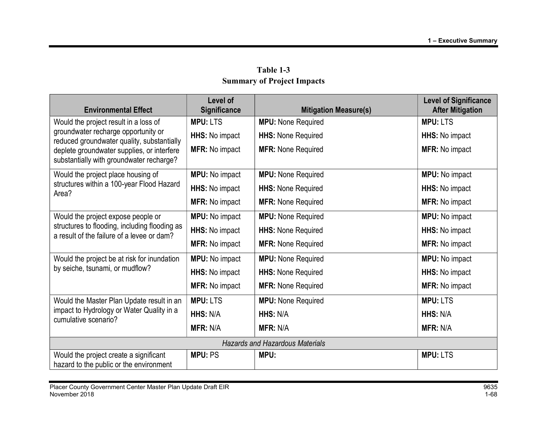| Table 1-3                         |  |  |
|-----------------------------------|--|--|
| <b>Summary of Project Impacts</b> |  |  |

| <b>Environmental Effect</b>                                                                 | Level of<br>Significance | <b>Mitigation Measure(s)</b> | <b>Level of Significance</b><br><b>After Mitigation</b> |  |
|---------------------------------------------------------------------------------------------|--------------------------|------------------------------|---------------------------------------------------------|--|
| Would the project result in a loss of                                                       | <b>MPU: LTS</b>          | <b>MPU:</b> None Required    | <b>MPU: LTS</b>                                         |  |
| groundwater recharge opportunity or<br>reduced groundwater quality, substantially           | HHS: No impact           | <b>HHS: None Required</b>    | <b>HHS:</b> No impact                                   |  |
| deplete groundwater supplies, or interfere<br>substantially with groundwater recharge?      | <b>MFR: No impact</b>    | <b>MFR: None Required</b>    | <b>MFR: No impact</b>                                   |  |
| Would the project place housing of                                                          | <b>MPU:</b> No impact    | <b>MPU:</b> None Required    | <b>MPU:</b> No impact                                   |  |
| structures within a 100-year Flood Hazard<br>Area?                                          | HHS: No impact           | <b>HHS: None Required</b>    | HHS: No impact                                          |  |
|                                                                                             | <b>MFR: No impact</b>    | <b>MFR: None Required</b>    | <b>MFR: No impact</b>                                   |  |
| Would the project expose people or                                                          | <b>MPU:</b> No impact    | <b>MPU:</b> None Required    | MPU: No impact                                          |  |
| structures to flooding, including flooding as<br>a result of the failure of a levee or dam? | HHS: No impact           | <b>HHS: None Required</b>    | HHS: No impact                                          |  |
|                                                                                             | <b>MFR: No impact</b>    | <b>MFR: None Required</b>    | <b>MFR: No impact</b>                                   |  |
| Would the project be at risk for inundation                                                 | <b>MPU:</b> No impact    | <b>MPU:</b> None Required    | <b>MPU:</b> No impact                                   |  |
| by seiche, tsunami, or mudflow?                                                             | HHS: No impact           | <b>HHS: None Required</b>    | HHS: No impact                                          |  |
|                                                                                             | MFR: No impact           | <b>MFR: None Required</b>    | <b>MFR: No impact</b>                                   |  |
| Would the Master Plan Update result in an                                                   | <b>MPU: LTS</b>          | <b>MPU: None Required</b>    | <b>MPU: LTS</b>                                         |  |
| impact to Hydrology or Water Quality in a<br>cumulative scenario?                           | HHS: N/A                 | HHS: N/A                     | HHS: N/A                                                |  |
|                                                                                             | <b>MFR: N/A</b>          | <b>MFR: N/A</b>              | <b>MFR: N/A</b>                                         |  |
| <b>Hazards and Hazardous Materials</b>                                                      |                          |                              |                                                         |  |
| Would the project create a significant<br>hazard to the public or the environment           | <b>MPU: PS</b>           | MPU:                         | <b>MPU: LTS</b>                                         |  |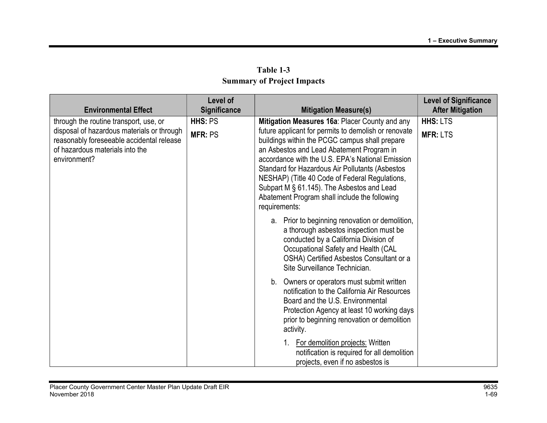|                                                                                                                                            | Level of            |                                                                                                                                                                                                                                                                                                                                                                                                                              | <b>Level of Significance</b> |
|--------------------------------------------------------------------------------------------------------------------------------------------|---------------------|------------------------------------------------------------------------------------------------------------------------------------------------------------------------------------------------------------------------------------------------------------------------------------------------------------------------------------------------------------------------------------------------------------------------------|------------------------------|
| <b>Environmental Effect</b>                                                                                                                | <b>Significance</b> | <b>Mitigation Measure(s)</b>                                                                                                                                                                                                                                                                                                                                                                                                 | <b>After Mitigation</b>      |
| through the routine transport, use, or                                                                                                     | HHS: PS             | Mitigation Measures 16a: Placer County and any                                                                                                                                                                                                                                                                                                                                                                               | <b>HHS: LTS</b>              |
| disposal of hazardous materials or through<br>reasonably foreseeable accidental release<br>of hazardous materials into the<br>environment? | <b>MFR: PS</b>      | future applicant for permits to demolish or renovate<br>buildings within the PCGC campus shall prepare<br>an Asbestos and Lead Abatement Program in<br>accordance with the U.S. EPA's National Emission<br>Standard for Hazardous Air Pollutants (Asbestos<br>NESHAP) (Title 40 Code of Federal Regulations,<br>Subpart M § 61.145). The Asbestos and Lead<br>Abatement Program shall include the following<br>requirements: | <b>MFR: LTS</b>              |
|                                                                                                                                            |                     | a. Prior to beginning renovation or demolition,<br>a thorough asbestos inspection must be<br>conducted by a California Division of<br>Occupational Safety and Health (CAL<br>OSHA) Certified Asbestos Consultant or a<br>Site Surveillance Technician.                                                                                                                                                                       |                              |
|                                                                                                                                            |                     | b. Owners or operators must submit written<br>notification to the California Air Resources<br>Board and the U.S. Environmental<br>Protection Agency at least 10 working days<br>prior to beginning renovation or demolition<br>activity.                                                                                                                                                                                     |                              |
|                                                                                                                                            |                     | 1. For demolition projects: Written<br>notification is required for all demolition<br>projects, even if no asbestos is                                                                                                                                                                                                                                                                                                       |                              |

Table 1-3 Summary of Project Impacts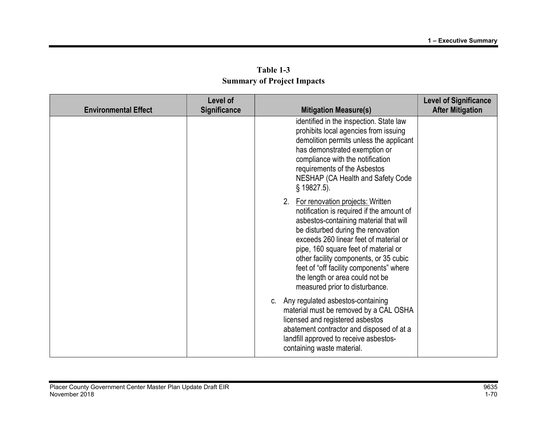|                             | Level of     |                                                                                                                                                                                                                                                                                                                                                                                                              | <b>Level of Significance</b> |
|-----------------------------|--------------|--------------------------------------------------------------------------------------------------------------------------------------------------------------------------------------------------------------------------------------------------------------------------------------------------------------------------------------------------------------------------------------------------------------|------------------------------|
| <b>Environmental Effect</b> | Significance | <b>Mitigation Measure(s)</b>                                                                                                                                                                                                                                                                                                                                                                                 | <b>After Mitigation</b>      |
|                             |              | identified in the inspection. State law<br>prohibits local agencies from issuing<br>demolition permits unless the applicant<br>has demonstrated exemption or<br>compliance with the notification<br>requirements of the Asbestos<br>NESHAP (CA Health and Safety Code<br>$§$ 19827.5).                                                                                                                       |                              |
|                             |              | 2. For renovation projects: Written<br>notification is required if the amount of<br>asbestos-containing material that will<br>be disturbed during the renovation<br>exceeds 260 linear feet of material or<br>pipe, 160 square feet of material or<br>other facility components, or 35 cubic<br>feet of "off facility components" where<br>the length or area could not be<br>measured prior to disturbance. |                              |
|                             |              | c. Any regulated asbestos-containing<br>material must be removed by a CAL OSHA<br>licensed and registered asbestos<br>abatement contractor and disposed of at a<br>landfill approved to receive asbestos-<br>containing waste material.                                                                                                                                                                      |                              |

Table 1-3 Summary of Project Impacts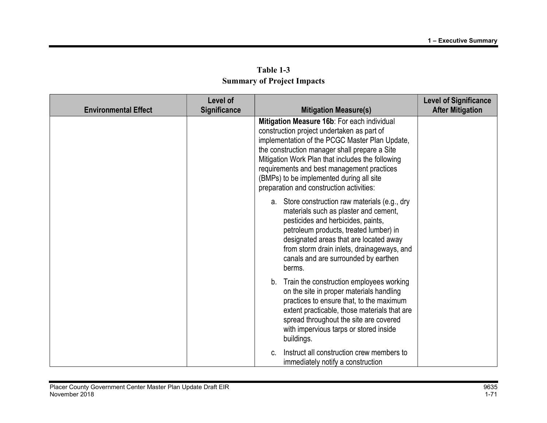| Table 1-3                         |
|-----------------------------------|
| <b>Summary of Project Impacts</b> |

| <b>Environmental Effect</b> | Level of<br>Significance | <b>Mitigation Measure(s)</b>                                                                                                                                                                                                                                                                                                                                                           | <b>Level of Significance</b><br><b>After Mitigation</b> |
|-----------------------------|--------------------------|----------------------------------------------------------------------------------------------------------------------------------------------------------------------------------------------------------------------------------------------------------------------------------------------------------------------------------------------------------------------------------------|---------------------------------------------------------|
|                             |                          | Mitigation Measure 16b: For each individual<br>construction project undertaken as part of<br>implementation of the PCGC Master Plan Update,<br>the construction manager shall prepare a Site<br>Mitigation Work Plan that includes the following<br>requirements and best management practices<br>(BMPs) to be implemented during all site<br>preparation and construction activities: |                                                         |
|                             |                          | a. Store construction raw materials (e.g., dry<br>materials such as plaster and cement,<br>pesticides and herbicides, paints,<br>petroleum products, treated lumber) in<br>designated areas that are located away<br>from storm drain inlets, drainageways, and<br>canals and are surrounded by earthen<br>berms.                                                                      |                                                         |
|                             |                          | b. Train the construction employees working<br>on the site in proper materials handling<br>practices to ensure that, to the maximum<br>extent practicable, those materials that are<br>spread throughout the site are covered<br>with impervious tarps or stored inside<br>buildings.                                                                                                  |                                                         |
|                             |                          | Instruct all construction crew members to<br>immediately notify a construction                                                                                                                                                                                                                                                                                                         |                                                         |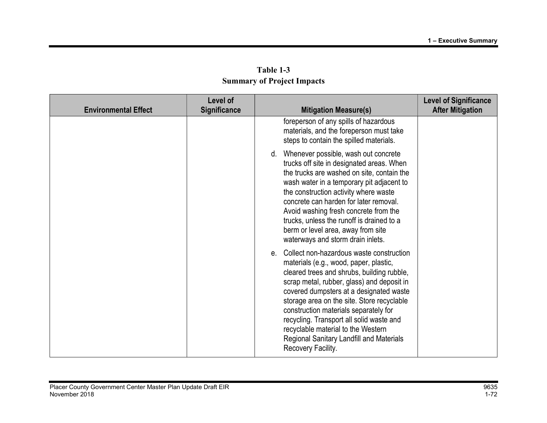|                             | Level of            |                                                                                                                                                                                                                                                                                                                                                                                                                                                                         | <b>Level of Significance</b> |
|-----------------------------|---------------------|-------------------------------------------------------------------------------------------------------------------------------------------------------------------------------------------------------------------------------------------------------------------------------------------------------------------------------------------------------------------------------------------------------------------------------------------------------------------------|------------------------------|
| <b>Environmental Effect</b> | <b>Significance</b> | <b>Mitigation Measure(s)</b>                                                                                                                                                                                                                                                                                                                                                                                                                                            | <b>After Mitigation</b>      |
|                             |                     | foreperson of any spills of hazardous<br>materials, and the foreperson must take<br>steps to contain the spilled materials.                                                                                                                                                                                                                                                                                                                                             |                              |
|                             |                     | d. Whenever possible, wash out concrete<br>trucks off site in designated areas. When<br>the trucks are washed on site, contain the<br>wash water in a temporary pit adjacent to<br>the construction activity where waste<br>concrete can harden for later removal.<br>Avoid washing fresh concrete from the<br>trucks, unless the runoff is drained to a<br>berm or level area, away from site<br>waterways and storm drain inlets.                                     |                              |
|                             |                     | e. Collect non-hazardous waste construction<br>materials (e.g., wood, paper, plastic,<br>cleared trees and shrubs, building rubble,<br>scrap metal, rubber, glass) and deposit in<br>covered dumpsters at a designated waste<br>storage area on the site. Store recyclable<br>construction materials separately for<br>recycling. Transport all solid waste and<br>recyclable material to the Western<br>Regional Sanitary Landfill and Materials<br>Recovery Facility. |                              |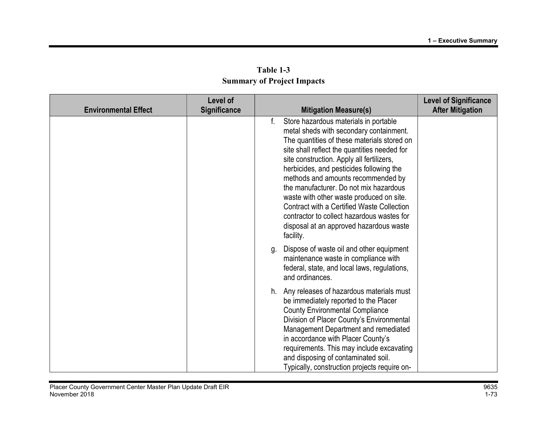|                             | <b>Level of</b>     |                                                                                                                                                                                                                                                                                                                                                                                                                                                                                                                                                                |                                                         |
|-----------------------------|---------------------|----------------------------------------------------------------------------------------------------------------------------------------------------------------------------------------------------------------------------------------------------------------------------------------------------------------------------------------------------------------------------------------------------------------------------------------------------------------------------------------------------------------------------------------------------------------|---------------------------------------------------------|
| <b>Environmental Effect</b> | <b>Significance</b> | <b>Mitigation Measure(s)</b>                                                                                                                                                                                                                                                                                                                                                                                                                                                                                                                                   | <b>Level of Significance</b><br><b>After Mitigation</b> |
|                             |                     | f.<br>Store hazardous materials in portable<br>metal sheds with secondary containment.<br>The quantities of these materials stored on<br>site shall reflect the quantities needed for<br>site construction. Apply all fertilizers,<br>herbicides, and pesticides following the<br>methods and amounts recommended by<br>the manufacturer. Do not mix hazardous<br>waste with other waste produced on site.<br>Contract with a Certified Waste Collection<br>contractor to collect hazardous wastes for<br>disposal at an approved hazardous waste<br>facility. |                                                         |
|                             |                     | Dispose of waste oil and other equipment<br>g.<br>maintenance waste in compliance with<br>federal, state, and local laws, regulations,<br>and ordinances.                                                                                                                                                                                                                                                                                                                                                                                                      |                                                         |
|                             |                     | h. Any releases of hazardous materials must<br>be immediately reported to the Placer<br><b>County Environmental Compliance</b><br>Division of Placer County's Environmental<br>Management Department and remediated<br>in accordance with Placer County's<br>requirements. This may include excavating<br>and disposing of contaminated soil.<br>Typically, construction projects require on-                                                                                                                                                                  |                                                         |

Table 1-3 Summary of Project Impacts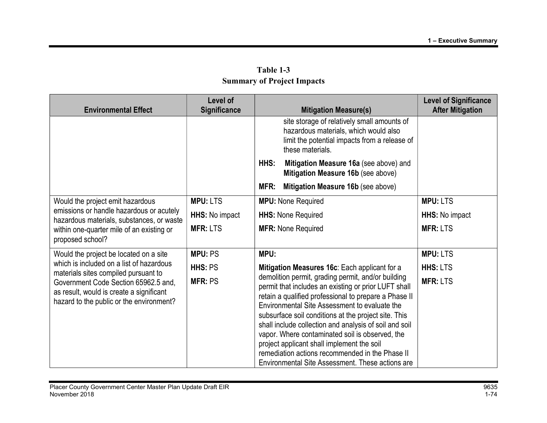| Table 1-3                         |  |  |  |  |
|-----------------------------------|--|--|--|--|
| <b>Summary of Project Impacts</b> |  |  |  |  |

| <b>Environmental Effect</b>                                                                                                                                                                                      | Level of<br><b>Significance</b> | <b>Mitigation Measure(s)</b>                                                                                                                                                                                                                                                                                                                                                                                                                                                                                                                   | <b>Level of Significance</b><br><b>After Mitigation</b> |
|------------------------------------------------------------------------------------------------------------------------------------------------------------------------------------------------------------------|---------------------------------|------------------------------------------------------------------------------------------------------------------------------------------------------------------------------------------------------------------------------------------------------------------------------------------------------------------------------------------------------------------------------------------------------------------------------------------------------------------------------------------------------------------------------------------------|---------------------------------------------------------|
|                                                                                                                                                                                                                  |                                 | site storage of relatively small amounts of<br>hazardous materials, which would also<br>limit the potential impacts from a release of<br>these materials.                                                                                                                                                                                                                                                                                                                                                                                      |                                                         |
|                                                                                                                                                                                                                  |                                 | HHS:<br>Mitigation Measure 16a (see above) and<br>Mitigation Measure 16b (see above)                                                                                                                                                                                                                                                                                                                                                                                                                                                           |                                                         |
|                                                                                                                                                                                                                  |                                 | MFR:<br>Mitigation Measure 16b (see above)                                                                                                                                                                                                                                                                                                                                                                                                                                                                                                     |                                                         |
| Would the project emit hazardous                                                                                                                                                                                 | <b>MPU: LTS</b>                 | <b>MPU:</b> None Required                                                                                                                                                                                                                                                                                                                                                                                                                                                                                                                      | <b>MPU: LTS</b>                                         |
| emissions or handle hazardous or acutely<br>hazardous materials, substances, or waste                                                                                                                            | HHS: No impact                  | <b>HHS: None Required</b>                                                                                                                                                                                                                                                                                                                                                                                                                                                                                                                      | <b>HHS:</b> No impact                                   |
| within one-quarter mile of an existing or<br>proposed school?                                                                                                                                                    | <b>MFR: LTS</b>                 | <b>MFR: None Required</b>                                                                                                                                                                                                                                                                                                                                                                                                                                                                                                                      | <b>MFR: LTS</b>                                         |
| Would the project be located on a site                                                                                                                                                                           | <b>MPU: PS</b>                  | MPU:                                                                                                                                                                                                                                                                                                                                                                                                                                                                                                                                           | <b>MPU: LTS</b>                                         |
| which is included on a list of hazardous<br>materials sites compiled pursuant to<br>Government Code Section 65962.5 and,<br>as result, would is create a significant<br>hazard to the public or the environment? | HHS: PS                         | Mitigation Measures 16c: Each applicant for a                                                                                                                                                                                                                                                                                                                                                                                                                                                                                                  | <b>HHS: LTS</b>                                         |
|                                                                                                                                                                                                                  | <b>MFR: PS</b>                  | demolition permit, grading permit, and/or building<br>permit that includes an existing or prior LUFT shall<br>retain a qualified professional to prepare a Phase II<br>Environmental Site Assessment to evaluate the<br>subsurface soil conditions at the project site. This<br>shall include collection and analysis of soil and soil<br>vapor. Where contaminated soil is observed, the<br>project applicant shall implement the soil<br>remediation actions recommended in the Phase II<br>Environmental Site Assessment. These actions are | <b>MFR: LTS</b>                                         |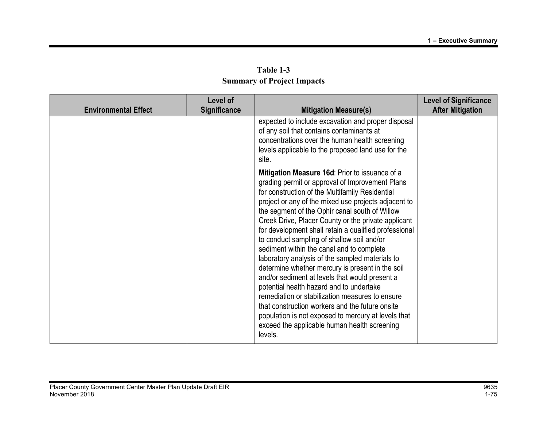| Table 1-3                         |  |  |  |  |
|-----------------------------------|--|--|--|--|
| <b>Summary of Project Impacts</b> |  |  |  |  |

| <b>Environmental Effect</b> | Level of<br><b>Significance</b> | <b>Mitigation Measure(s)</b>                                                                                                                                                                                                                                                                                                                                                                                                                                                                                                                                                                                                                                                                                                                                                                                                                                                                           | <b>Level of Significance</b><br><b>After Mitigation</b> |
|-----------------------------|---------------------------------|--------------------------------------------------------------------------------------------------------------------------------------------------------------------------------------------------------------------------------------------------------------------------------------------------------------------------------------------------------------------------------------------------------------------------------------------------------------------------------------------------------------------------------------------------------------------------------------------------------------------------------------------------------------------------------------------------------------------------------------------------------------------------------------------------------------------------------------------------------------------------------------------------------|---------------------------------------------------------|
|                             |                                 | expected to include excavation and proper disposal<br>of any soil that contains contaminants at<br>concentrations over the human health screening<br>levels applicable to the proposed land use for the<br>site.                                                                                                                                                                                                                                                                                                                                                                                                                                                                                                                                                                                                                                                                                       |                                                         |
|                             |                                 | Mitigation Measure 16d: Prior to issuance of a<br>grading permit or approval of Improvement Plans<br>for construction of the Multifamily Residential<br>project or any of the mixed use projects adjacent to<br>the segment of the Ophir canal south of Willow<br>Creek Drive, Placer County or the private applicant<br>for development shall retain a qualified professional<br>to conduct sampling of shallow soil and/or<br>sediment within the canal and to complete<br>laboratory analysis of the sampled materials to<br>determine whether mercury is present in the soil<br>and/or sediment at levels that would present a<br>potential health hazard and to undertake<br>remediation or stabilization measures to ensure<br>that construction workers and the future onsite<br>population is not exposed to mercury at levels that<br>exceed the applicable human health screening<br>levels. |                                                         |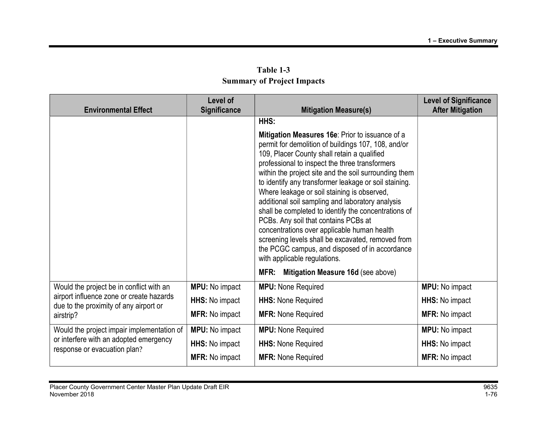| <b>Environmental Effect</b>                                                                                                                 | <b>Level of</b><br>Significance | <b>Mitigation Measure(s)</b>                                                                                                                                                                                                                                                                                                                                                                                                                                                                                                                                                                                                                                                                                               | <b>Level of Significance</b><br><b>After Mitigation</b> |
|---------------------------------------------------------------------------------------------------------------------------------------------|---------------------------------|----------------------------------------------------------------------------------------------------------------------------------------------------------------------------------------------------------------------------------------------------------------------------------------------------------------------------------------------------------------------------------------------------------------------------------------------------------------------------------------------------------------------------------------------------------------------------------------------------------------------------------------------------------------------------------------------------------------------------|---------------------------------------------------------|
|                                                                                                                                             |                                 | HHS:<br>Mitigation Measures 16e: Prior to issuance of a<br>permit for demolition of buildings 107, 108, and/or<br>109, Placer County shall retain a qualified<br>professional to inspect the three transformers<br>within the project site and the soil surrounding them<br>to identify any transformer leakage or soil staining.<br>Where leakage or soil staining is observed,<br>additional soil sampling and laboratory analysis<br>shall be completed to identify the concentrations of<br>PCBs. Any soil that contains PCBs at<br>concentrations over applicable human health<br>screening levels shall be excavated, removed from<br>the PCGC campus, and disposed of in accordance<br>with applicable regulations. |                                                         |
|                                                                                                                                             |                                 | MFR:<br>Mitigation Measure 16d (see above)                                                                                                                                                                                                                                                                                                                                                                                                                                                                                                                                                                                                                                                                                 |                                                         |
| Would the project be in conflict with an<br>airport influence zone or create hazards<br>due to the proximity of any airport or<br>airstrip? | <b>MPU:</b> No impact           | <b>MPU:</b> None Required                                                                                                                                                                                                                                                                                                                                                                                                                                                                                                                                                                                                                                                                                                  | <b>MPU:</b> No impact                                   |
|                                                                                                                                             | HHS: No impact                  | <b>HHS: None Required</b>                                                                                                                                                                                                                                                                                                                                                                                                                                                                                                                                                                                                                                                                                                  | <b>HHS:</b> No impact                                   |
|                                                                                                                                             | <b>MFR: No impact</b>           | <b>MFR: None Required</b>                                                                                                                                                                                                                                                                                                                                                                                                                                                                                                                                                                                                                                                                                                  | <b>MFR: No impact</b>                                   |
| Would the project impair implementation of<br>or interfere with an adopted emergency<br>response or evacuation plan?                        | <b>MPU:</b> No impact           | <b>MPU:</b> None Required                                                                                                                                                                                                                                                                                                                                                                                                                                                                                                                                                                                                                                                                                                  | <b>MPU:</b> No impact                                   |
|                                                                                                                                             | HHS: No impact                  | <b>HHS: None Required</b>                                                                                                                                                                                                                                                                                                                                                                                                                                                                                                                                                                                                                                                                                                  | HHS: No impact                                          |
|                                                                                                                                             | <b>MFR: No impact</b>           | <b>MFR: None Required</b>                                                                                                                                                                                                                                                                                                                                                                                                                                                                                                                                                                                                                                                                                                  | MFR: No impact                                          |

Table 1-3 Summary of Project Impacts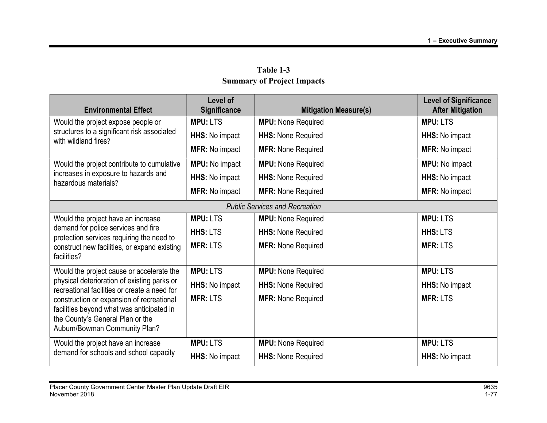|                                                                                                                                                 | Level of              |                                       | <b>Level of Significance</b> |
|-------------------------------------------------------------------------------------------------------------------------------------------------|-----------------------|---------------------------------------|------------------------------|
| <b>Environmental Effect</b>                                                                                                                     | Significance          | <b>Mitigation Measure(s)</b>          | <b>After Mitigation</b>      |
| Would the project expose people or                                                                                                              | <b>MPU: LTS</b>       | <b>MPU:</b> None Required             | <b>MPU: LTS</b>              |
| structures to a significant risk associated<br>with wildland fires?                                                                             | HHS: No impact        | <b>HHS: None Required</b>             | <b>HHS:</b> No impact        |
|                                                                                                                                                 | <b>MFR: No impact</b> | <b>MFR: None Required</b>             | <b>MFR: No impact</b>        |
| Would the project contribute to cumulative                                                                                                      | <b>MPU:</b> No impact | <b>MPU:</b> None Required             | <b>MPU:</b> No impact        |
| increases in exposure to hazards and<br>hazardous materials?                                                                                    | HHS: No impact        | <b>HHS: None Required</b>             | HHS: No impact               |
|                                                                                                                                                 | <b>MFR: No impact</b> | <b>MFR: None Required</b>             | <b>MFR: No impact</b>        |
|                                                                                                                                                 |                       | <b>Public Services and Recreation</b> |                              |
| Would the project have an increase                                                                                                              | <b>MPU: LTS</b>       | <b>MPU:</b> None Required             | <b>MPU: LTS</b>              |
| demand for police services and fire<br>protection services requiring the need to<br>construct new facilities, or expand existing<br>facilities? | <b>HHS: LTS</b>       | <b>HHS: None Required</b>             | <b>HHS: LTS</b>              |
|                                                                                                                                                 | <b>MFR: LTS</b>       | <b>MFR: None Required</b>             | <b>MFR: LTS</b>              |
|                                                                                                                                                 |                       |                                       |                              |
| Would the project cause or accelerate the                                                                                                       | <b>MPU: LTS</b>       | <b>MPU:</b> None Required             | <b>MPU: LTS</b>              |
| physical deterioration of existing parks or<br>recreational facilities or create a need for                                                     | HHS: No impact        | <b>HHS: None Required</b>             | <b>HHS:</b> No impact        |
| construction or expansion of recreational                                                                                                       | <b>MFR: LTS</b>       | <b>MFR: None Required</b>             | <b>MFR: LTS</b>              |
| facilities beyond what was anticipated in<br>the County's General Plan or the<br>Auburn/Bowman Community Plan?                                  |                       |                                       |                              |
| Would the project have an increase                                                                                                              | <b>MPU: LTS</b>       | <b>MPU:</b> None Required             | <b>MPU: LTS</b>              |
| demand for schools and school capacity                                                                                                          | HHS: No impact        | <b>HHS: None Required</b>             | HHS: No impact               |

Table 1-3 Summary of Project Impacts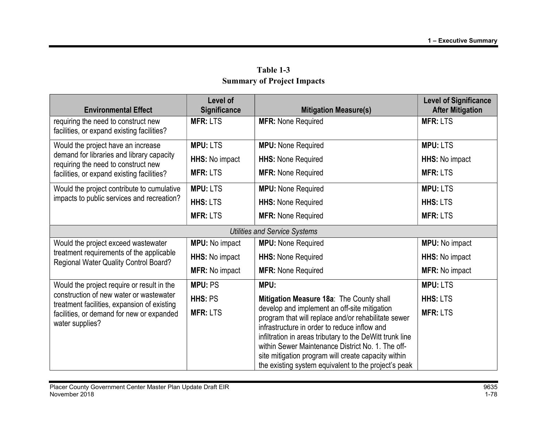| <b>Environmental Effect</b>                                                                                                                            | Level of<br><b>Significance</b> | <b>Mitigation Measure(s)</b>                                                                                                                                                                                                                                                                                                                                                        | <b>Level of Significance</b><br><b>After Mitigation</b> |
|--------------------------------------------------------------------------------------------------------------------------------------------------------|---------------------------------|-------------------------------------------------------------------------------------------------------------------------------------------------------------------------------------------------------------------------------------------------------------------------------------------------------------------------------------------------------------------------------------|---------------------------------------------------------|
| requiring the need to construct new<br>facilities, or expand existing facilities?                                                                      | <b>MFR: LTS</b>                 | <b>MFR: None Required</b>                                                                                                                                                                                                                                                                                                                                                           | <b>MFR: LTS</b>                                         |
| Would the project have an increase                                                                                                                     | <b>MPU: LTS</b>                 | <b>MPU:</b> None Required                                                                                                                                                                                                                                                                                                                                                           | <b>MPU: LTS</b>                                         |
| demand for libraries and library capacity<br>requiring the need to construct new                                                                       | HHS: No impact                  | <b>HHS: None Required</b>                                                                                                                                                                                                                                                                                                                                                           | <b>HHS:</b> No impact                                   |
| facilities, or expand existing facilities?                                                                                                             | <b>MFR: LTS</b>                 | <b>MFR: None Required</b>                                                                                                                                                                                                                                                                                                                                                           | <b>MFR: LTS</b>                                         |
| Would the project contribute to cumulative                                                                                                             | <b>MPU: LTS</b>                 | <b>MPU:</b> None Required                                                                                                                                                                                                                                                                                                                                                           | <b>MPU: LTS</b>                                         |
| impacts to public services and recreation?                                                                                                             | HHS: LTS                        | <b>HHS: None Required</b>                                                                                                                                                                                                                                                                                                                                                           | <b>HHS: LTS</b>                                         |
|                                                                                                                                                        | <b>MFR: LTS</b>                 | <b>MFR: None Required</b>                                                                                                                                                                                                                                                                                                                                                           | <b>MFR: LTS</b>                                         |
|                                                                                                                                                        |                                 | <b>Utilities and Service Systems</b>                                                                                                                                                                                                                                                                                                                                                |                                                         |
| Would the project exceed wastewater                                                                                                                    | <b>MPU:</b> No impact           | <b>MPU:</b> None Required                                                                                                                                                                                                                                                                                                                                                           | <b>MPU:</b> No impact                                   |
| treatment requirements of the applicable<br>Regional Water Quality Control Board?                                                                      | HHS: No impact                  | <b>HHS: None Required</b>                                                                                                                                                                                                                                                                                                                                                           | HHS: No impact                                          |
|                                                                                                                                                        | <b>MFR: No impact</b>           | <b>MFR: None Required</b>                                                                                                                                                                                                                                                                                                                                                           | <b>MFR: No impact</b>                                   |
| Would the project require or result in the                                                                                                             | <b>MPU: PS</b>                  | MPU:                                                                                                                                                                                                                                                                                                                                                                                | <b>MPU: LTS</b>                                         |
| construction of new water or wastewater<br>treatment facilities, expansion of existing<br>facilities, or demand for new or expanded<br>water supplies? | HHS: PS                         | Mitigation Measure 18a: The County shall                                                                                                                                                                                                                                                                                                                                            | <b>HHS: LTS</b>                                         |
|                                                                                                                                                        | <b>MFR: LTS</b>                 | develop and implement an off-site mitigation<br>program that will replace and/or rehabilitate sewer<br>infrastructure in order to reduce inflow and<br>infiltration in areas tributary to the DeWitt trunk line<br>within Sewer Maintenance District No. 1. The off-<br>site mitigation program will create capacity within<br>the existing system equivalent to the project's peak | <b>MFR: LTS</b>                                         |

Table 1-3 Summary of Project Impacts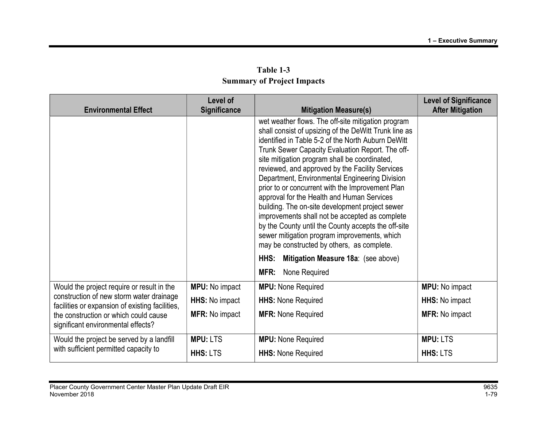| <b>Environmental Effect</b>                                                                                                                                                                                              | Level of<br>Significance | <b>Mitigation Measure(s)</b>                                                                                                                                                                                                                                                                                                                                                                                                                                                                                                                                                                                                                                                                                                            | <b>Level of Significance</b><br><b>After Mitigation</b> |
|--------------------------------------------------------------------------------------------------------------------------------------------------------------------------------------------------------------------------|--------------------------|-----------------------------------------------------------------------------------------------------------------------------------------------------------------------------------------------------------------------------------------------------------------------------------------------------------------------------------------------------------------------------------------------------------------------------------------------------------------------------------------------------------------------------------------------------------------------------------------------------------------------------------------------------------------------------------------------------------------------------------------|---------------------------------------------------------|
|                                                                                                                                                                                                                          |                          | wet weather flows. The off-site mitigation program<br>shall consist of upsizing of the DeWitt Trunk line as<br>identified in Table 5-2 of the North Auburn DeWitt<br>Trunk Sewer Capacity Evaluation Report. The off-<br>site mitigation program shall be coordinated,<br>reviewed, and approved by the Facility Services<br>Department, Environmental Engineering Division<br>prior to or concurrent with the Improvement Plan<br>approval for the Health and Human Services<br>building. The on-site development project sewer<br>improvements shall not be accepted as complete<br>by the County until the County accepts the off-site<br>sewer mitigation program improvements, which<br>may be constructed by others, as complete. |                                                         |
|                                                                                                                                                                                                                          |                          | Mitigation Measure 18a: (see above)<br>HHS:                                                                                                                                                                                                                                                                                                                                                                                                                                                                                                                                                                                                                                                                                             |                                                         |
|                                                                                                                                                                                                                          |                          | MFR:<br>None Required                                                                                                                                                                                                                                                                                                                                                                                                                                                                                                                                                                                                                                                                                                                   |                                                         |
| Would the project require or result in the<br>construction of new storm water drainage<br>facilities or expansion of existing facilities,<br>the construction or which could cause<br>significant environmental effects? | <b>MPU:</b> No impact    | <b>MPU:</b> None Required                                                                                                                                                                                                                                                                                                                                                                                                                                                                                                                                                                                                                                                                                                               | <b>MPU:</b> No impact                                   |
|                                                                                                                                                                                                                          | HHS: No impact           | <b>HHS: None Required</b>                                                                                                                                                                                                                                                                                                                                                                                                                                                                                                                                                                                                                                                                                                               | HHS: No impact                                          |
|                                                                                                                                                                                                                          | <b>MFR: No impact</b>    | <b>MFR: None Required</b>                                                                                                                                                                                                                                                                                                                                                                                                                                                                                                                                                                                                                                                                                                               | <b>MFR: No impact</b>                                   |
| Would the project be served by a landfill                                                                                                                                                                                | <b>MPU: LTS</b>          | <b>MPU:</b> None Required                                                                                                                                                                                                                                                                                                                                                                                                                                                                                                                                                                                                                                                                                                               | <b>MPU: LTS</b>                                         |
| with sufficient permitted capacity to                                                                                                                                                                                    | <b>HHS: LTS</b>          | <b>HHS: None Required</b>                                                                                                                                                                                                                                                                                                                                                                                                                                                                                                                                                                                                                                                                                                               | <b>HHS: LTS</b>                                         |

## Table 1-3 Summary of Project Impacts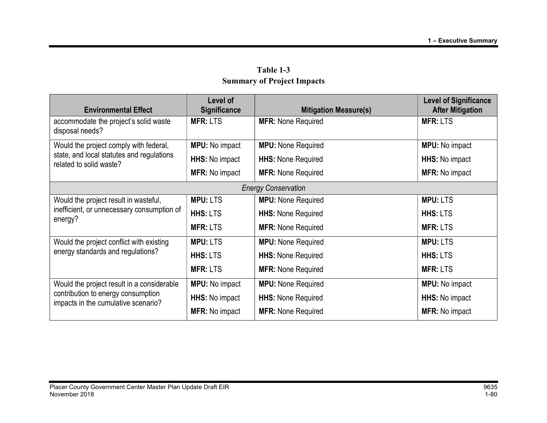| <b>Environmental Effect</b>                                                                                             | Level of<br>Significance | <b>Mitigation Measure(s)</b> | <b>Level of Significance</b><br><b>After Mitigation</b> |
|-------------------------------------------------------------------------------------------------------------------------|--------------------------|------------------------------|---------------------------------------------------------|
| accommodate the project's solid waste<br>disposal needs?                                                                | <b>MFR: LTS</b>          | <b>MFR: None Required</b>    | <b>MFR: LTS</b>                                         |
| Would the project comply with federal,                                                                                  | <b>MPU:</b> No impact    | <b>MPU:</b> None Required    | <b>MPU:</b> No impact                                   |
| state, and local statutes and regulations<br>related to solid waste?                                                    | <b>HHS:</b> No impact    | <b>HHS: None Required</b>    | <b>HHS:</b> No impact                                   |
|                                                                                                                         | <b>MFR: No impact</b>    | <b>MFR: None Required</b>    | <b>MFR: No impact</b>                                   |
|                                                                                                                         |                          | <b>Energy Conservation</b>   |                                                         |
| Would the project result in wasteful,                                                                                   | <b>MPU: LTS</b>          | <b>MPU:</b> None Required    | <b>MPU: LTS</b>                                         |
| inefficient, or unnecessary consumption of<br>energy?                                                                   | <b>HHS: LTS</b>          | <b>HHS: None Required</b>    | <b>HHS: LTS</b>                                         |
|                                                                                                                         | <b>MFR: LTS</b>          | <b>MFR: None Required</b>    | <b>MFR: LTS</b>                                         |
| Would the project conflict with existing<br>energy standards and regulations?                                           | <b>MPU: LTS</b>          | <b>MPU:</b> None Required    | <b>MPU: LTS</b>                                         |
|                                                                                                                         | <b>HHS: LTS</b>          | <b>HHS: None Required</b>    | <b>HHS: LTS</b>                                         |
|                                                                                                                         | <b>MFR: LTS</b>          | <b>MFR: None Required</b>    | <b>MFR: LTS</b>                                         |
| Would the project result in a considerable<br>contribution to energy consumption<br>impacts in the cumulative scenario? | <b>MPU:</b> No impact    | <b>MPU:</b> None Required    | <b>MPU:</b> No impact                                   |
|                                                                                                                         | HHS: No impact           | <b>HHS: None Required</b>    | HHS: No impact                                          |
|                                                                                                                         | <b>MFR: No impact</b>    | <b>MFR: None Required</b>    | <b>MFR: No impact</b>                                   |

Table 1-3 Summary of Project Impacts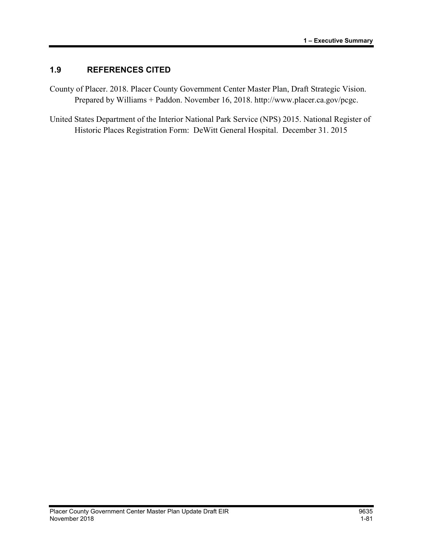## 1.9 REFERENCES CITED

- County of Placer. 2018. Placer County Government Center Master Plan, Draft Strategic Vision. Prepared by Williams + Paddon. November 16, 2018. http://www.placer.ca.gov/pcgc.
- United States Department of the Interior National Park Service (NPS) 2015. National Register of Historic Places Registration Form: DeWitt General Hospital. December 31. 2015